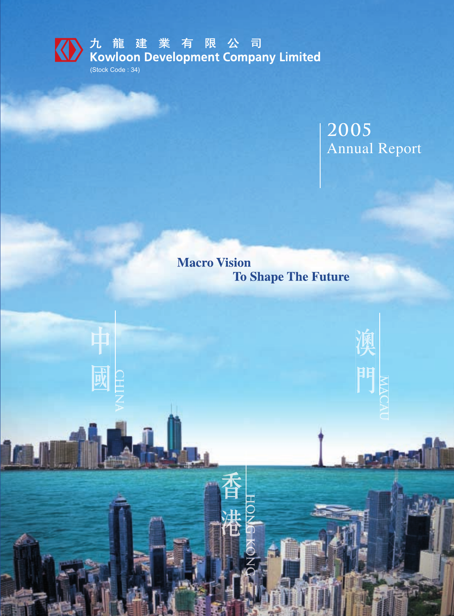

**KA** 九龍建業有限公司<br>Kowloon Development Company Limited

(Stock Code : 34)

由

國

# **2005** Annual Report

**Macro Vision To Shape The Future**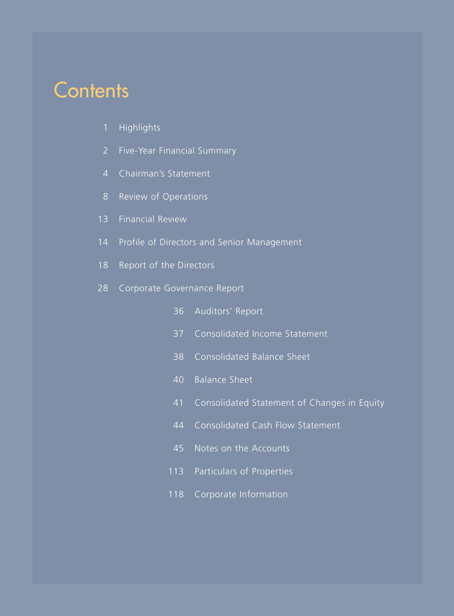# **Contents**

- 1 Highlights
- 2 Five-Year Financial Summary
- 4 Chairman's Statement
- 8 Review of Operations
- 13 Financial Review
- 14 Profile of Directors and Senior Management
- 18 Report of the Directors
- 28 Corporate Governance Report
	- 36 Auditors' Report
	- 37 Consolidated Income Statement
	- 38 Consolidated Balance Sheet
	- 40 Balance Sheet
	- 41 Consolidated Statement of Changes in Equity
	- 44 Consolidated Cash Flow Statement
	- 45 Notes on the Accounts
	- 113 Particulars of Properties
	- 118 Corporate Information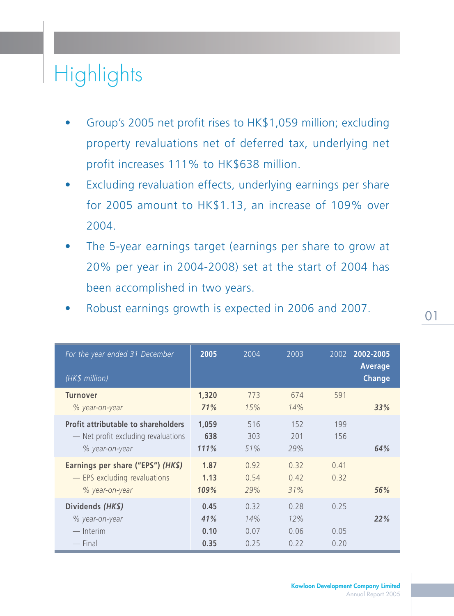# **Highlights**

- Group's 2005 net profit rises to HK\$1,059 million; excluding property revaluations net of deferred tax, underlying net profit increases 111% to HK\$638 million.
- Excluding revaluation effects, underlying earnings per share for 2005 amount to HK\$1.13, an increase of 109% over 2004.
- The 5-year earnings target (earnings per share to grow at 20% per year in 2004-2008) set at the start of 2004 has been accomplished in two years.
- Robust earnings growth is expected in 2006 and 2007.

| For the year ended 31 December<br>(HK\$ million)                                                    | 2005                        | 2004                        | 2003                        | 2002                 | 2002-2005<br><b>Average</b><br><b>Change</b> |
|-----------------------------------------------------------------------------------------------------|-----------------------------|-----------------------------|-----------------------------|----------------------|----------------------------------------------|
| <b>Turnover</b><br>% year-on-year                                                                   | 1,320<br>71%                | 773<br>15%                  | 674<br>14%                  | 591                  | 33%                                          |
| <b>Profit attributable to shareholders</b><br>- Net profit excluding revaluations<br>% year-on-year | 1,059<br>638<br>111%        | 516<br>303<br>51%           | 152<br>201<br>29%           | 199<br>156           | 64%                                          |
| Earnings per share ("EPS") (HK\$)<br>- EPS excluding revaluations<br>% year-on-year                 | 1.87<br>1.13<br>109%        | 0.92<br>0.54<br>29%         | 0.32<br>0.42<br>31%         | 0.41<br>0.32         | 56%                                          |
| Dividends (HK\$)<br>% year-on-year<br>$-$ Interim<br>$-$ Final                                      | 0.45<br>41%<br>0.10<br>0.35 | 0.32<br>14%<br>0.07<br>0.25 | 0.28<br>12%<br>0.06<br>0.22 | 0.25<br>0.05<br>0.20 | 22%                                          |

01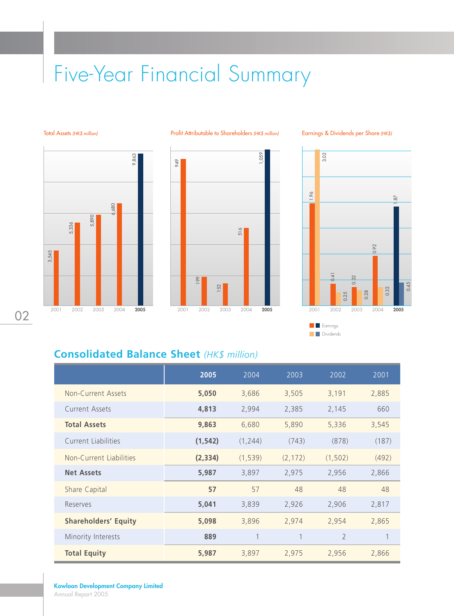# Five-Year Financial Summary







Earnings & Dividends per Share (HK\$)



## **Consolidated Balance Sheet** *(HK\$ million)*

|                             | 2005     | 2004     | 2003     | 2002           | 2001  |
|-----------------------------|----------|----------|----------|----------------|-------|
| Non-Current Assets          | 5,050    | 3,686    | 3,505    | 3,191          | 2,885 |
| Current Assets              | 4,813    | 2,994    | 2,385    | 2,145          | 660   |
| <b>Total Assets</b>         | 9,863    | 6,680    | 5,890    | 5,336          | 3,545 |
| <b>Current Liabilities</b>  | (1, 542) | (1, 244) | (743)    | (878)          | (187) |
| Non-Current Liabilities     | (2, 334) | (1, 539) | (2, 172) | (1, 502)       | (492) |
| <b>Net Assets</b>           | 5,987    | 3,897    | 2,975    | 2,956          | 2,866 |
| Share Capital               | 57       | 57       | 48       | 48             | 48    |
| Reserves                    | 5,041    | 3,839    | 2,926    | 2,906          | 2,817 |
| <b>Shareholders' Equity</b> | 5,098    | 3,896    | 2,974    | 2,954          | 2,865 |
| Minority Interests          | 889      |          |          | $\overline{2}$ |       |
| <b>Total Equity</b>         | 5,987    | 3,897    | 2,975    | 2,956          | 2,866 |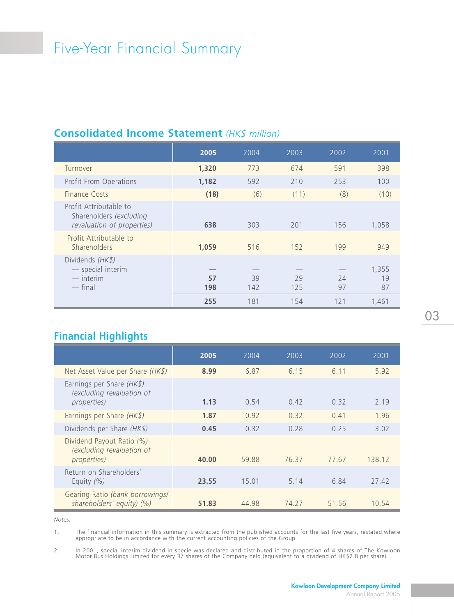# Five-Year Financial Summary

### **Consolidated Income Statement** *(HK\$ million)*

|                                                                                 | 2005      | 2004      | 2003      | 2002     | 2001              |
|---------------------------------------------------------------------------------|-----------|-----------|-----------|----------|-------------------|
| Turnover                                                                        | 1,320     | 773       | 674       | 591      | 398               |
| Profit From Operations                                                          | 1,182     | 592       | 210       | 253      | 100               |
| Finance Costs                                                                   | (18)      | (6)       | (11)      | (8)      | (10)              |
| Profit Attributable to<br>Shareholders (excluding<br>revaluation of properties) | 638       | 303       | 201       | 156      | 1,058             |
| Profit Attributable to<br>Shareholders                                          | 1,059     | 516       | 152       | 199      | 949               |
| Dividends (HK\$)<br>- special interim<br>$-$ interim<br>$-$ final               | 57<br>198 | 39<br>142 | 29<br>125 | 74<br>97 | 1,355<br>19<br>87 |
|                                                                                 | 255       | 181       | 154       | 121      | 1.461             |

## **Financial Highlights**

|                                                                               | 2005  | 2004  | 2003  | 2002  | 2001   |
|-------------------------------------------------------------------------------|-------|-------|-------|-------|--------|
| Net Asset Value per Share (HK\$)                                              | 8.99  | 6.87  | 6.15  | 6.11  | 5.92   |
| Earnings per Share $(HK\$ )<br>(excluding revaluation of<br>properties)       | 1.13  | 0.54  | 0.42  | 0.32  | 2.19   |
| Earnings per Share (HK\$)                                                     | 1.87  | 0.92  | 0.32  | 0.41  | 1.96   |
| Dividends per Share (HK\$)                                                    | 0.45  | 0.32  | 0.28  | 0.25  | 3.02   |
| Dividend Payout Ratio (%)<br>(excluding revaluation of<br><i>properties</i> ) | 40.00 | 59.88 | 76.37 | 77.67 | 138.12 |
| Return on Shareholders'<br>Equity $(%)$                                       | 23.55 | 15.01 | 5.14  | 6.84  | 27.42  |
| Gearing Ratio (bank borrowings/<br>shareholders' equity) (%)                  | 51.83 | 44.98 | 74.27 | 51.56 | 10.54  |

*Notes:*

1. The financial information in this summary is extracted from the published accounts for the last five years, restated where appropriate to be in accordance with the current accounting policies of the Group.

2. In 2001, special interim dividend in specie was declared and distributed in the proportion of 4 shares of The Kowloon Motor Bus Holdings Limited for every 37 shares of the Company held (equivalent to a dividend of HK\$2.8 per share).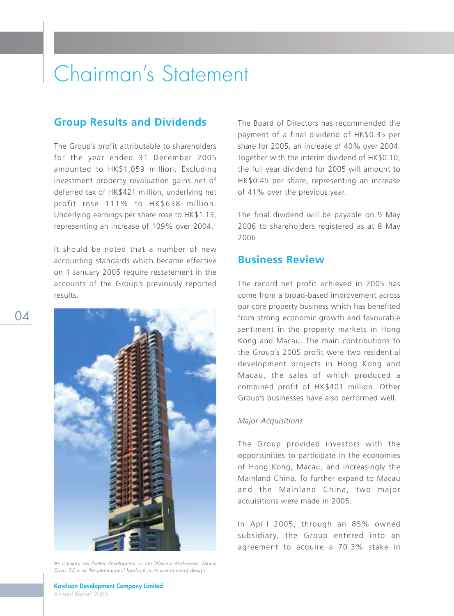#### **Group Results and Dividends**

The Group's profit attributable to shareholders for the year ended 31 December 2005 amounted to HK\$1,059 million. Excluding investment property revaluation gains net of deferred tax of HK\$421 million, underlying net profit rose 111% to HK\$638 million. Underlying earnings per share rose to HK\$1.13, representing an increase of 109% over 2004.

It should be noted that a number of new accounting standards which became effective on 1 January 2005 require restatement in the accounts of the Group's previously reported results.



As a luxury trendsetter development in the Western Mid-Levels, Mount Davis 33 is at the international forefront in its user-oriented design.

The Board of Directors has recommended the payment of a final dividend of HK\$0.35 per share for 2005, an increase of 40% over 2004. Together with the interim dividend of HK\$0.10, the full year dividend for 2005 will amount to HK\$0.45 per share, representing an increase of 41% over the previous year.

The final dividend will be payable on 9 May 2006 to shareholders registered as at 8 May 2006.

#### **Business Review**

The record net profit achieved in 2005 has come from a broad-based improvement across our core property business which has benefited from strong economic growth and favourable sentiment in the property markets in Hong Kong and Macau. The main contributions to the Group's 2005 profit were two residential development projects in Hong Kong and Macau, the sales of which produced a combined profit of HK\$401 million. Other Group's businesses have also performed well.

#### *Major Acquisitions*

The Group provided investors with the opportunities to participate in the economies of Hong Kong, Macau, and increasingly the Mainland China. To further expand to Macau and the Mainland China, two major acquisitions were made in 2005.

In April 2005, through an 85% owned subsidiary, the Group entered into an agreement to acquire a 70.3% stake in

04

**Kowloon Development Company Limited** Annual Report 2005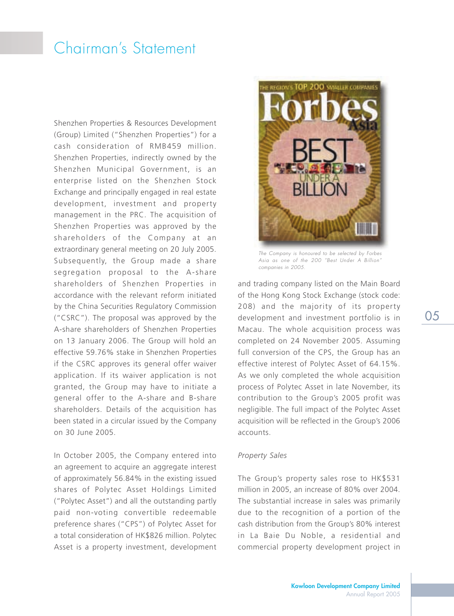Shenzhen Properties & Resources Development (Group) Limited ("Shenzhen Properties") for a cash consideration of RMB459 million. Shenzhen Properties, indirectly owned by the Shenzhen Municipal Government, is an enterprise listed on the Shenzhen Stock Exchange and principally engaged in real estate development, investment and property management in the PRC. The acquisition of Shenzhen Properties was approved by the shareholders of the Company at an extraordinary general meeting on 20 July 2005. Subsequently, the Group made a share segregation proposal to the A-share shareholders of Shenzhen Properties in accordance with the relevant reform initiated by the China Securities Regulatory Commission ("CSRC"). The proposal was approved by the A-share shareholders of Shenzhen Properties on 13 January 2006. The Group will hold an effective 59.76% stake in Shenzhen Properties if the CSRC approves its general offer waiver application. If its waiver application is not granted, the Group may have to initiate a general offer to the A-share and B-share shareholders. Details of the acquisition has been stated in a circular issued by the Company on 30 June 2005.

In October 2005, the Company entered into an agreement to acquire an aggregate interest of approximately 56.84% in the existing issued shares of Polytec Asset Holdings Limited ("Polytec Asset") and all the outstanding partly paid non-voting convertible redeemable preference shares ("CPS") of Polytec Asset for a total consideration of HK\$826 million. Polytec Asset is a property investment, development



The Company is honoured to be selected by Forbes Asia as one of the 200 "Best Under A Billion" companies in 2005.

and trading company listed on the Main Board of the Hong Kong Stock Exchange (stock code: 208) and the majority of its property development and investment portfolio is in Macau. The whole acquisition process was completed on 24 November 2005. Assuming full conversion of the CPS, the Group has an effective interest of Polytec Asset of 64.15%. As we only completed the whole acquisition process of Polytec Asset in late November, its contribution to the Group's 2005 profit was negligible. The full impact of the Polytec Asset acquisition will be reflected in the Group's 2006 accounts.

#### *Property Sales*

The Group's property sales rose to HK\$531 million in 2005, an increase of 80% over 2004. The substantial increase in sales was primarily due to the recognition of a portion of the cash distribution from the Group's 80% interest in La Baie Du Noble, a residential and commercial property development project in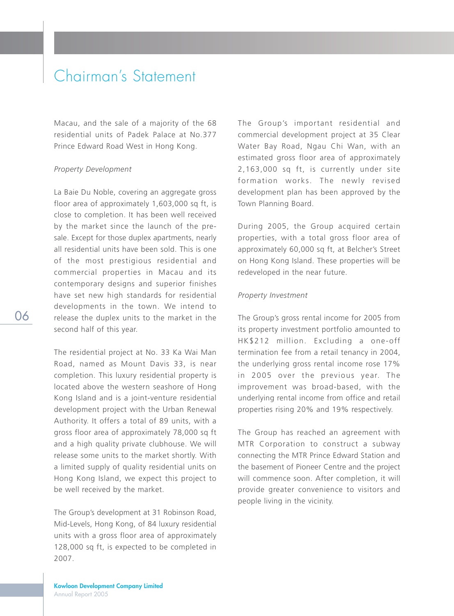Macau, and the sale of a majority of the 68 residential units of Padek Palace at No.377 Prince Edward Road West in Hong Kong.

#### *Property Development*

La Baie Du Noble, covering an aggregate gross floor area of approximately 1,603,000 sq ft, is close to completion. It has been well received by the market since the launch of the presale. Except for those duplex apartments, nearly all residential units have been sold. This is one of the most prestigious residential and commercial properties in Macau and its contemporary designs and superior finishes have set new high standards for residential developments in the town. We intend to release the duplex units to the market in the second half of this year.

The residential project at No. 33 Ka Wai Man Road, named as Mount Davis 33, is near completion. This luxury residential property is located above the western seashore of Hong Kong Island and is a joint-venture residential development project with the Urban Renewal Authority. It offers a total of 89 units, with a gross floor area of approximately 78,000 sq ft and a high quality private clubhouse. We will release some units to the market shortly. With a limited supply of quality residential units on Hong Kong Island, we expect this project to be well received by the market.

The Group's development at 31 Robinson Road, Mid-Levels, Hong Kong, of 84 luxury residential units with a gross floor area of approximately 128,000 sq ft, is expected to be completed in 2007.

The Group's important residential and commercial development project at 35 Clear Water Bay Road, Ngau Chi Wan, with an estimated gross floor area of approximately 2,163,000 sq ft, is currently under site formation works. The newly revised development plan has been approved by the Town Planning Board.

During 2005, the Group acquired certain properties, with a total gross floor area of approximately 60,000 sq ft, at Belcher's Street on Hong Kong Island. These properties will be redeveloped in the near future.

#### *Property Investment*

The Group's gross rental income for 2005 from its property investment portfolio amounted to HK\$212 million. Excluding a one-off termination fee from a retail tenancy in 2004, the underlying gross rental income rose 17% in 2005 over the previous year. The improvement was broad-based, with the underlying rental income from office and retail properties rising 20% and 19% respectively.

The Group has reached an agreement with MTR Corporation to construct a subway connecting the MTR Prince Edward Station and the basement of Pioneer Centre and the project will commence soon. After completion, it will provide greater convenience to visitors and people living in the vicinity.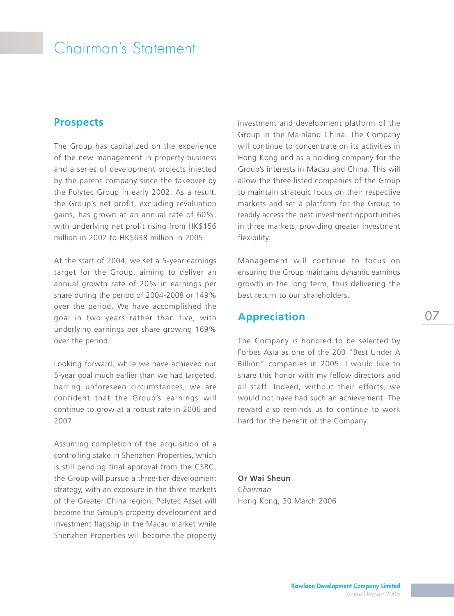#### **Prospects**

The Group has capitalized on the experience of the new management in property business and a series of development projects injected by the parent company since the takeover by the Polytec Group in early 2002. As a result, the Group's net profit, excluding revaluation gains, has grown at an annual rate of 60%, with underlying net profit rising from HK\$156 million in 2002 to HK\$638 million in 2005.

At the start of 2004, we set a 5-year earnings target for the Group, aiming to deliver an annual growth rate of 20% in earnings per share during the period of 2004-2008 or 149% over the period. We have accomplished the goal in two years rather than five, with underlying earnings per share growing 169% over the period.

Looking forward, while we have achieved our 5-year goal much earlier than we had targeted, barring unforeseen circumstances, we are confident that the Group's earnings will continue to grow at a robust rate in 2006 and 2007.

Assuming completion of the acquisition of a controlling stake in Shenzhen Properties, which is still pending final approval from the CSRC, the Group will pursue a three-tier development strategy, with an exposure in the three markets of the Greater China region. Polytec Asset will become the Group's property development and investment flagship in the Macau market while Shenzhen Properties will become the property investment and development platform of the Group in the Mainland China. The Company will continue to concentrate on its activities in Hong Kong and as a holding company for the Group's interests in Macau and China. This will allow the three listed companies of the Group to maintain strategic focus on their respective markets and set a platform for the Group to readily access the best investment opportunities in three markets, providing greater investment flexibility.

Management will continue to focus on ensuring the Group maintains dynamic earnings growth in the long term, thus delivering the best return to our shareholders.

#### **Appreciation**

The Company is honored to be selected by Forbes Asia as one of the 200 "Best Under A Billion" companies in 2005. I would like to share this honor with my fellow directors and all staff. Indeed, without their efforts, we would not have had such an achievement. The reward also reminds us to continue to work hard for the benefit of the Company.

**Or Wai Sheun** *Chairman* Hong Kong, 30 March 2006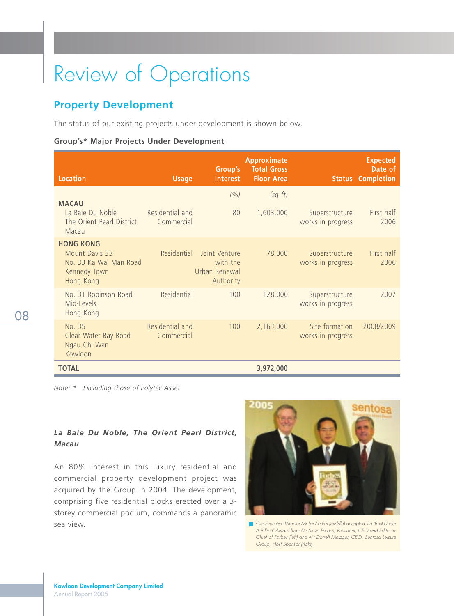## **Property Development**

The status of our existing projects under development is shown below.

#### **Group's\* Major Projects Under Development**

| <b>Location</b>                                                                           | <b>Usage</b>                  | Group's<br><b>Interest</b>                              | <b>Approximate</b><br><b>Total Gross</b><br><b>Floor Area</b> |                                     | <b>Expected</b><br>Date of<br><b>Status Completion</b> |
|-------------------------------------------------------------------------------------------|-------------------------------|---------------------------------------------------------|---------------------------------------------------------------|-------------------------------------|--------------------------------------------------------|
|                                                                                           |                               | (%)                                                     | (sq ft)                                                       |                                     |                                                        |
| <b>MACAU</b><br>La Baie Du Noble<br>The Orient Pearl District<br>Macau                    | Residential and<br>Commercial | 80                                                      | 1,603,000                                                     | Superstructure<br>works in progress | First half<br>2006                                     |
| <b>HONG KONG</b><br>Mount Davis 33<br>No. 33 Ka Wai Man Road<br>Kennedy Town<br>Hong Kong | Residential                   | Joint Venture<br>with the<br>Urban Renewal<br>Authority | 78,000                                                        | Superstructure<br>works in progress | First half<br>2006                                     |
| No. 31 Robinson Road<br>Mid-Levels<br>Hong Kong                                           | Residential                   | 100                                                     | 128,000                                                       | Superstructure<br>works in progress | 2007                                                   |
| No. 35<br>Clear Water Bay Road<br>Ngau Chi Wan<br>Kowloon                                 | Residential and<br>Commercial | 100                                                     | 2,163,000                                                     | Site formation<br>works in progress | 2008/2009                                              |
| <b>TOTAL</b>                                                                              |                               |                                                         | 3,972,000                                                     |                                     |                                                        |

*Note: \* Excluding those of Polytec Asset*

#### *La Baie Du Noble, The Orient Pearl District, Macau*

An 80% interest in this luxury residential and commercial property development project was acquired by the Group in 2004. The development, comprising five residential blocks erected over a 3 storey commercial podium, commands a panoramic sea view.



Our Executive Director Mr Lai Ka Fai (middle) accepted the "Best Under A Billion" Award from Mr Steve Forbes, President, CEO and Editor-in-Chief of Forbes (left) and Mr Darrell Metzger, CEO, Sentosa Leisure Group, Host Sponsor (right).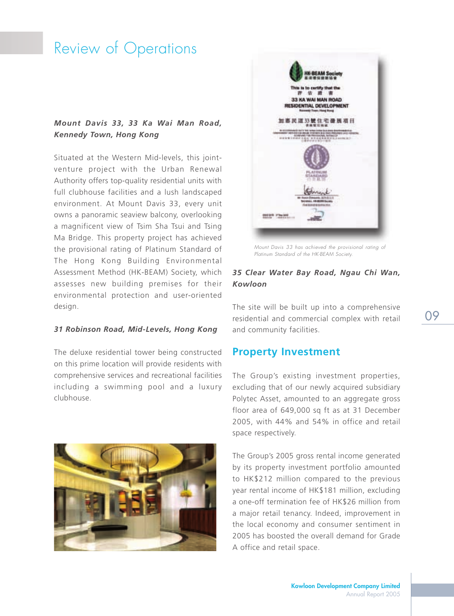#### *Mount Davis 33, 33 Ka Wai Man Road, Kennedy Town, Hong Kong*

Situated at the Western Mid-levels, this jointventure project with the Urban Renewal Authority offers top-quality residential units with full clubhouse facilities and a lush landscaped environment. At Mount Davis 33, every unit owns a panoramic seaview balcony, overlooking a magnificent view of Tsim Sha Tsui and Tsing Ma Bridge. This property project has achieved the provisional rating of Platinum Standard of The Hong Kong Building Environmental Assessment Method (HK-BEAM) Society, which assesses new building premises for their environmental protection and user-oriented design.

#### *31 Robinson Road, Mid-Levels, Hong Kong*

The deluxe residential tower being constructed on this prime location will provide residents with comprehensive services and recreational facilities including a swimming pool and a luxury clubhouse.





Mount Davis 33 has achieved the provisional rating of Platinum Standard of the HK-BEAM Society.

#### *35 Clear Water Bay Road, Ngau Chi Wan, Kowloon*

The site will be built up into a comprehensive residential and commercial complex with retail and community facilities.

09

#### **Property Investment**

The Group's existing investment properties, excluding that of our newly acquired subsidiary Polytec Asset, amounted to an aggregate gross floor area of 649,000 sq ft as at 31 December 2005, with 44% and 54% in office and retail space respectively.

The Group's 2005 gross rental income generated by its property investment portfolio amounted to HK\$212 million compared to the previous year rental income of HK\$181 million, excluding a one-off termination fee of HK\$26 million from a major retail tenancy. Indeed, improvement in the local economy and consumer sentiment in 2005 has boosted the overall demand for Grade A office and retail space.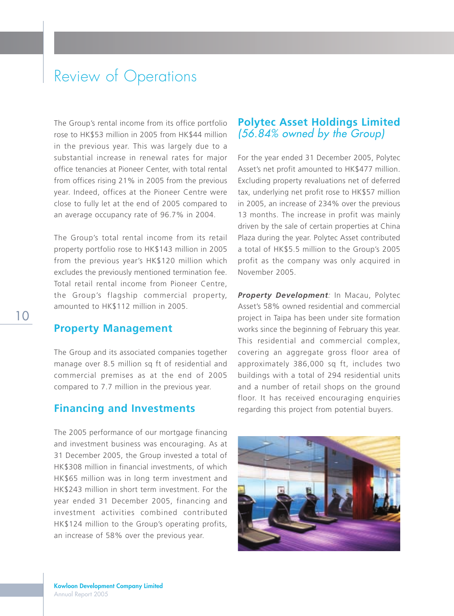The Group's rental income from its office portfolio rose to HK\$53 million in 2005 from HK\$44 million in the previous year. This was largely due to a substantial increase in renewal rates for major office tenancies at Pioneer Center, with total rental from offices rising 21% in 2005 from the previous year. Indeed, offices at the Pioneer Centre were close to fully let at the end of 2005 compared to an average occupancy rate of 96.7% in 2004.

The Group's total rental income from its retail property portfolio rose to HK\$143 million in 2005 from the previous year's HK\$120 million which excludes the previously mentioned termination fee. Total retail rental income from Pioneer Centre, the Group's flagship commercial property, amounted to HK\$112 million in 2005.

#### **Property Management**

The Group and its associated companies together manage over 8.5 million sq ft of residential and commercial premises as at the end of 2005 compared to 7.7 million in the previous year.

### **Financing and Investments**

The 2005 performance of our mortgage financing and investment business was encouraging. As at 31 December 2005, the Group invested a total of HK\$308 million in financial investments, of which HK\$65 million was in long term investment and HK\$243 million in short term investment. For the year ended 31 December 2005, financing and investment activities combined contributed HK\$124 million to the Group's operating profits, an increase of 58% over the previous year.

#### **Polytec Asset Holdings Limited** (56.84% owned by the Group)

For the year ended 31 December 2005, Polytec Asset's net profit amounted to HK\$477 million. Excluding property revaluations net of deferred tax, underlying net profit rose to HK\$57 million in 2005, an increase of 234% over the previous 13 months. The increase in profit was mainly driven by the sale of certain properties at China Plaza during the year. Polytec Asset contributed a total of HK\$5.5 million to the Group's 2005 profit as the company was only acquired in November 2005.

**Property Development**: In Macau, Polytec Asset's 58% owned residential and commercial project in Taipa has been under site formation works since the beginning of February this year. This residential and commercial complex, covering an aggregate gross floor area of approximately 386,000 sq ft, includes two buildings with a total of 294 residential units and a number of retail shops on the ground floor. It has received encouraging enquiries regarding this project from potential buyers.

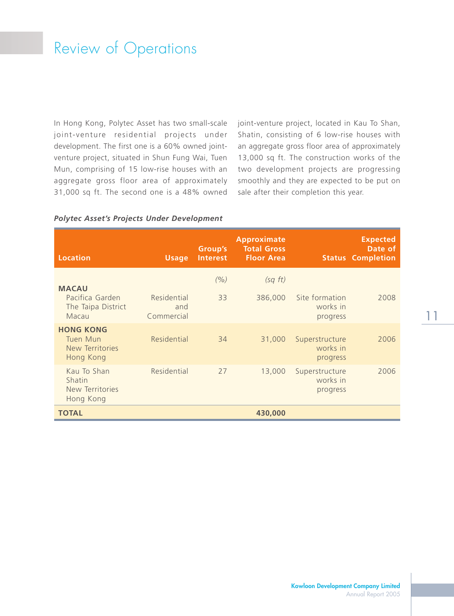In Hong Kong, Polytec Asset has two small-scale joint-venture residential projects under development. The first one is a 60% owned jointventure project, situated in Shun Fung Wai, Tuen Mun, comprising of 15 low-rise houses with an aggregate gross floor area of approximately 31,000 sq ft. The second one is a 48% owned

joint-venture project, located in Kau To Shan, Shatin, consisting of 6 low-rise houses with an aggregate gross floor area of approximately 13,000 sq ft. The construction works of the two development projects are progressing smoothly and they are expected to be put on sale after their completion this year.

#### *Polytec Asset's Projects Under Development*

| <b>Location</b>                                                | <b>Usage</b>                     | <b>Group's</b><br><b>Interest</b> | <b>Approximate</b><br><b>Total Gross</b><br><b>Floor Area</b> |                                        | <b>Expected</b><br>Date of<br><b>Status Completion</b> |
|----------------------------------------------------------------|----------------------------------|-----------------------------------|---------------------------------------------------------------|----------------------------------------|--------------------------------------------------------|
| <b>MACAU</b><br>Pacifica Garden<br>The Taipa District<br>Macau | Residential<br>and<br>Commercial | (%)<br>33                         | (sq ft)<br>386,000                                            | Site formation<br>works in<br>progress | 2008                                                   |
| <b>HONG KONG</b><br>Tuen Mun<br>New Territories<br>Hong Kong   | Residential                      | 34                                | 31,000                                                        | Superstructure<br>works in<br>progress | 2006                                                   |
| Kau To Shan<br>Shatin<br>New Territories<br>Hong Kong          | Residential                      | 27                                | 13,000                                                        | Superstructure<br>works in<br>progress | 2006                                                   |
| <b>TOTAL</b>                                                   |                                  |                                   | 430,000                                                       |                                        |                                                        |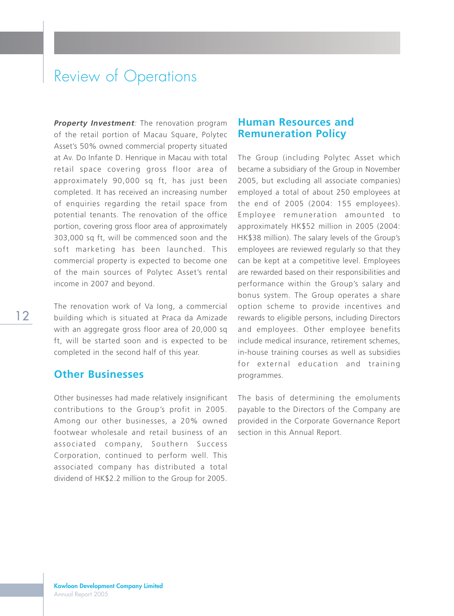**Property Investment**: The renovation program of the retail portion of Macau Square, Polytec Asset's 50% owned commercial property situated at Av. Do Infante D. Henrique in Macau with total retail space covering gross floor area of approximately 90,000 sq ft, has just been completed. It has received an increasing number of enquiries regarding the retail space from potential tenants. The renovation of the office portion, covering gross floor area of approximately 303,000 sq ft, will be commenced soon and the soft marketing has been launched. This commercial property is expected to become one of the main sources of Polytec Asset's rental income in 2007 and beyond.

The renovation work of Va Iong, a commercial building which is situated at Praca da Amizade with an aggregate gross floor area of 20,000 sq ft, will be started soon and is expected to be completed in the second half of this year.

### **Other Businesses**

Other businesses had made relatively insignificant contributions to the Group's profit in 2005. Among our other businesses, a 20% owned footwear wholesale and retail business of an associated company, Southern Success Corporation, continued to perform well. This associated company has distributed a total dividend of HK\$2.2 million to the Group for 2005.

#### **Human Resources and Remuneration Policy**

The Group (including Polytec Asset which became a subsidiary of the Group in November 2005, but excluding all associate companies) employed a total of about 250 employees at the end of 2005 (2004: 155 employees). Employee remuneration amounted to approximately HK\$52 million in 2005 (2004: HK\$38 million). The salary levels of the Group's employees are reviewed regularly so that they can be kept at a competitive level. Employees are rewarded based on their responsibilities and performance within the Group's salary and bonus system. The Group operates a share option scheme to provide incentives and rewards to eligible persons, including Directors and employees. Other employee benefits include medical insurance, retirement schemes, in-house training courses as well as subsidies for external education and training programmes.

The basis of determining the emoluments payable to the Directors of the Company are provided in the Corporate Governance Report section in this Annual Report.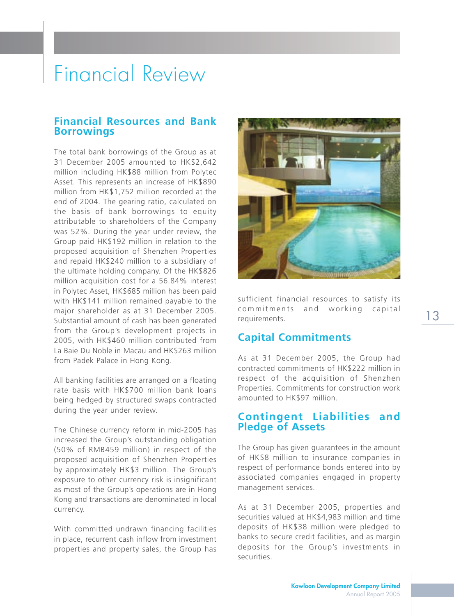# Financial Review

#### **Financial Resources and Bank Borrowings**

The total bank borrowings of the Group as at 31 December 2005 amounted to HK\$2,642 million including HK\$88 million from Polytec Asset. This represents an increase of HK\$890 million from HK\$1,752 million recorded at the end of 2004. The gearing ratio, calculated on the basis of bank borrowings to equity attributable to shareholders of the Company was 52%. During the year under review, the Group paid HK\$192 million in relation to the proposed acquisition of Shenzhen Properties and repaid HK\$240 million to a subsidiary of the ultimate holding company. Of the HK\$826 million acquisition cost for a 56.84% interest in Polytec Asset, HK\$685 million has been paid with HK\$141 million remained payable to the major shareholder as at 31 December 2005. Substantial amount of cash has been generated from the Group's development projects in 2005, with HK\$460 million contributed from La Baie Du Noble in Macau and HK\$263 million from Padek Palace in Hong Kong.

All banking facilities are arranged on a floating rate basis with HK\$700 million bank loans being hedged by structured swaps contracted during the year under review.

The Chinese currency reform in mid-2005 has increased the Group's outstanding obligation (50% of RMB459 million) in respect of the proposed acquisition of Shenzhen Properties by approximately HK\$3 million. The Group's exposure to other currency risk is insignificant as most of the Group's operations are in Hong Kong and transactions are denominated in local currency.

With committed undrawn financing facilities in place, recurrent cash inflow from investment properties and property sales, the Group has



sufficient financial resources to satisfy its commitments and working capital requirements.

#### **Capital Commitments**

As at 31 December 2005, the Group had contracted commitments of HK\$222 million in respect of the acquisition of Shenzhen Properties. Commitments for construction work amounted to HK\$97 million.

#### **Contingent Liabilities and Pledge of Assets**

The Group has given guarantees in the amount of HK\$8 million to insurance companies in respect of performance bonds entered into by associated companies engaged in property management services.

As at 31 December 2005, properties and securities valued at HK\$4,983 million and time deposits of HK\$38 million were pledged to banks to secure credit facilities, and as margin deposits for the Group's investments in securities.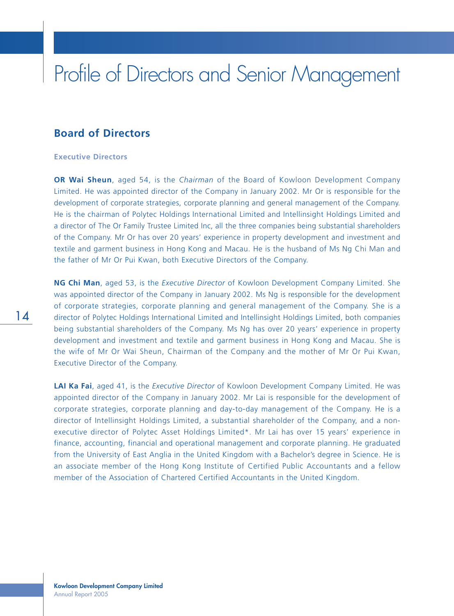# Profile of Directors and Senior Management

#### **Board of Directors**

#### **Executive Directors**

**OR Wai Sheun**, aged 54, is the *Chairman* of the Board of Kowloon Development Company Limited. He was appointed director of the Company in January 2002. Mr Or is responsible for the development of corporate strategies, corporate planning and general management of the Company. He is the chairman of Polytec Holdings International Limited and Intellinsight Holdings Limited and a director of The Or Family Trustee Limited Inc, all the three companies being substantial shareholders of the Company. Mr Or has over 20 years' experience in property development and investment and textile and garment business in Hong Kong and Macau. He is the husband of Ms Ng Chi Man and the father of Mr Or Pui Kwan, both Executive Directors of the Company.

**NG Chi Man**, aged 53, is the *Executive Director* of Kowloon Development Company Limited. She was appointed director of the Company in January 2002. Ms Ng is responsible for the development of corporate strategies, corporate planning and general management of the Company. She is a director of Polytec Holdings International Limited and Intellinsight Holdings Limited, both companies being substantial shareholders of the Company. Ms Ng has over 20 years' experience in property development and investment and textile and garment business in Hong Kong and Macau. She is the wife of Mr Or Wai Sheun, Chairman of the Company and the mother of Mr Or Pui Kwan, Executive Director of the Company.

**LAI Ka Fai**, aged 41, is the *Executive Director* of Kowloon Development Company Limited. He was appointed director of the Company in January 2002. Mr Lai is responsible for the development of corporate strategies, corporate planning and day-to-day management of the Company. He is a director of Intellinsight Holdings Limited, a substantial shareholder of the Company, and a nonexecutive director of Polytec Asset Holdings Limited\*. Mr Lai has over 15 years' experience in finance, accounting, financial and operational management and corporate planning. He graduated from the University of East Anglia in the United Kingdom with a Bachelor's degree in Science. He is an associate member of the Hong Kong Institute of Certified Public Accountants and a fellow member of the Association of Chartered Certified Accountants in the United Kingdom.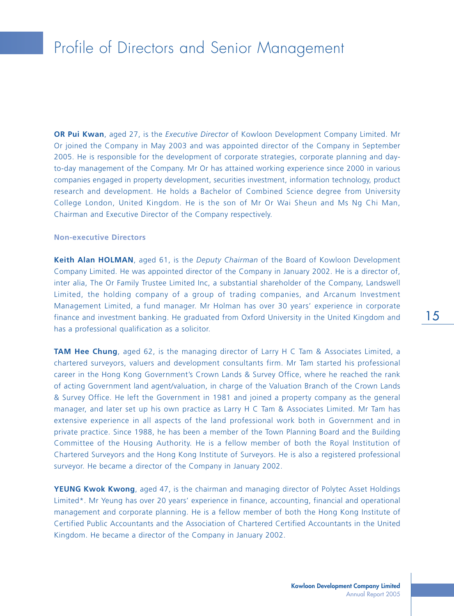# Profile of Directors and Senior Management

**OR Pui Kwan**, aged 27, is the *Executive Director* of Kowloon Development Company Limited. Mr Or joined the Company in May 2003 and was appointed director of the Company in September 2005. He is responsible for the development of corporate strategies, corporate planning and dayto-day management of the Company. Mr Or has attained working experience since 2000 in various companies engaged in property development, securities investment, information technology, product research and development. He holds a Bachelor of Combined Science degree from University College London, United Kingdom. He is the son of Mr Or Wai Sheun and Ms Ng Chi Man, Chairman and Executive Director of the Company respectively.

#### **Non-executive Directors**

**Keith Alan HOLMAN**, aged 61, is the *Deputy Chairman* of the Board of Kowloon Development Company Limited. He was appointed director of the Company in January 2002. He is a director of, inter alia, The Or Family Trustee Limited Inc, a substantial shareholder of the Company, Landswell Limited, the holding company of a group of trading companies, and Arcanum Investment Management Limited, a fund manager. Mr Holman has over 30 years' experience in corporate finance and investment banking. He graduated from Oxford University in the United Kingdom and has a professional qualification as a solicitor.

**TAM Hee Chung**, aged 62, is the managing director of Larry H C Tam & Associates Limited, a chartered surveyors, valuers and development consultants firm. Mr Tam started his professional career in the Hong Kong Government's Crown Lands & Survey Office, where he reached the rank of acting Government land agent/valuation, in charge of the Valuation Branch of the Crown Lands & Survey Office. He left the Government in 1981 and joined a property company as the general manager, and later set up his own practice as Larry H C Tam & Associates Limited. Mr Tam has extensive experience in all aspects of the land professional work both in Government and in private practice. Since 1988, he has been a member of the Town Planning Board and the Building Committee of the Housing Authority. He is a fellow member of both the Royal Institution of Chartered Surveyors and the Hong Kong Institute of Surveyors. He is also a registered professional surveyor. He became a director of the Company in January 2002.

**YEUNG Kwok Kwong**, aged 47, is the chairman and managing director of Polytec Asset Holdings Limited\*. Mr Yeung has over 20 years' experience in finance, accounting, financial and operational management and corporate planning. He is a fellow member of both the Hong Kong Institute of Certified Public Accountants and the Association of Chartered Certified Accountants in the United Kingdom. He became a director of the Company in January 2002.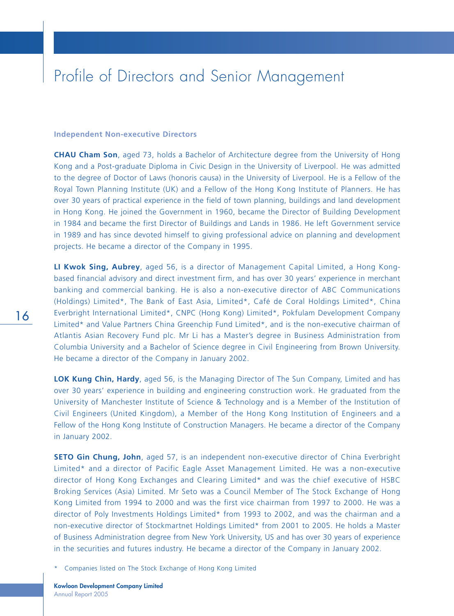## Profile of Directors and Senior Management

#### **Independent Non-executive Directors**

**CHAU Cham Son**, aged 73, holds a Bachelor of Architecture degree from the University of Hong Kong and a Post-graduate Diploma in Civic Design in the University of Liverpool. He was admitted to the degree of Doctor of Laws (honoris causa) in the University of Liverpool. He is a Fellow of the Royal Town Planning Institute (UK) and a Fellow of the Hong Kong Institute of Planners. He has over 30 years of practical experience in the field of town planning, buildings and land development in Hong Kong. He joined the Government in 1960, became the Director of Building Development in 1984 and became the first Director of Buildings and Lands in 1986. He left Government service in 1989 and has since devoted himself to giving professional advice on planning and development projects. He became a director of the Company in 1995.

**LI Kwok Sing, Aubrey**, aged 56, is a director of Management Capital Limited, a Hong Kongbased financial advisory and direct investment firm, and has over 30 years' experience in merchant banking and commercial banking. He is also a non-executive director of ABC Communications (Holdings) Limited\*, The Bank of East Asia, Limited\*, Café de Coral Holdings Limited\*, China Everbright International Limited\*, CNPC (Hong Kong) Limited\*, Pokfulam Development Company Limited\* and Value Partners China Greenchip Fund Limited\*, and is the non-executive chairman of Atlantis Asian Recovery Fund plc. Mr Li has a Master's degree in Business Administration from Columbia University and a Bachelor of Science degree in Civil Engineering from Brown University. He became a director of the Company in January 2002.

**LOK Kung Chin, Hardy**, aged 56, is the Managing Director of The Sun Company, Limited and has over 30 years' experience in building and engineering construction work. He graduated from the University of Manchester Institute of Science & Technology and is a Member of the Institution of Civil Engineers (United Kingdom), a Member of the Hong Kong Institution of Engineers and a Fellow of the Hong Kong Institute of Construction Managers. He became a director of the Company in January 2002.

**SETO Gin Chung, John**, aged 57, is an independent non-executive director of China Everbright Limited\* and a director of Pacific Eagle Asset Management Limited. He was a non-executive director of Hong Kong Exchanges and Clearing Limited\* and was the chief executive of HSBC Broking Services (Asia) Limited. Mr Seto was a Council Member of The Stock Exchange of Hong Kong Limited from 1994 to 2000 and was the first vice chairman from 1997 to 2000. He was a director of Poly Investments Holdings Limited\* from 1993 to 2002, and was the chairman and a non-executive director of Stockmartnet Holdings Limited\* from 2001 to 2005. He holds a Master of Business Administration degree from New York University, US and has over 30 years of experience in the securities and futures industry. He became a director of the Company in January 2002.

\* Companies listed on The Stock Exchange of Hong Kong Limited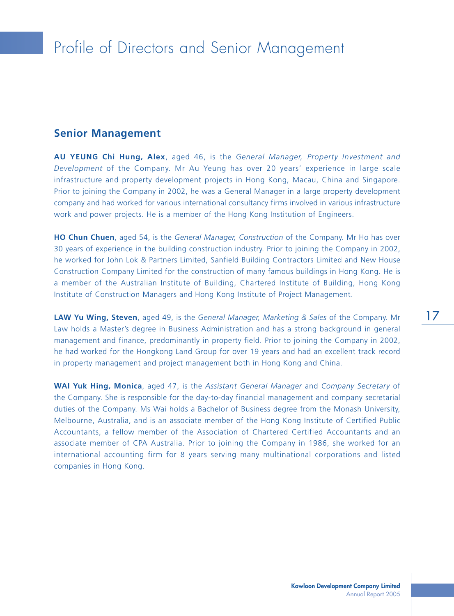#### **Senior Management**

**AU YEUNG Chi Hung, Alex**, aged 46, is the *General Manager, Property Investment and Development* of the Company. Mr Au Yeung has over 20 years' experience in large scale infrastructure and property development projects in Hong Kong, Macau, China and Singapore. Prior to joining the Company in 2002, he was a General Manager in a large property development company and had worked for various international consultancy firms involved in various infrastructure work and power projects. He is a member of the Hong Kong Institution of Engineers.

**HO Chun Chuen**, aged 54, is the *General Manager, Construction* of the Company. Mr Ho has over 30 years of experience in the building construction industry. Prior to joining the Company in 2002, he worked for John Lok & Partners Limited, Sanfield Building Contractors Limited and New House Construction Company Limited for the construction of many famous buildings in Hong Kong. He is a member of the Australian Institute of Building, Chartered Institute of Building, Hong Kong Institute of Construction Managers and Hong Kong Institute of Project Management.

**LAW Yu Wing, Steven**, aged 49, is the *General Manager, Marketing & Sales* of the Company. Mr Law holds a Master's degree in Business Administration and has a strong background in general management and finance, predominantly in property field. Prior to joining the Company in 2002, he had worked for the Hongkong Land Group for over 19 years and had an excellent track record in property management and project management both in Hong Kong and China.

**WAI Yuk Hing, Monica**, aged 47, is the *Assistant General Manager* and *Company Secretary* of the Company. She is responsible for the day-to-day financial management and company secretarial duties of the Company. Ms Wai holds a Bachelor of Business degree from the Monash University, Melbourne, Australia, and is an associate member of the Hong Kong Institute of Certified Public Accountants, a fellow member of the Association of Chartered Certified Accountants and an associate member of CPA Australia. Prior to joining the Company in 1986, she worked for an international accounting firm for 8 years serving many multinational corporations and listed companies in Hong Kong.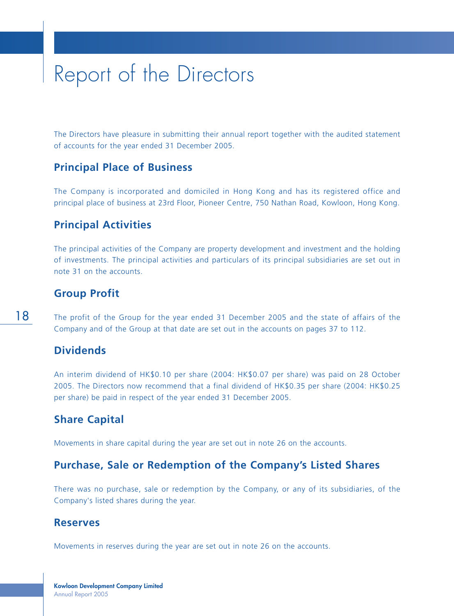The Directors have pleasure in submitting their annual report together with the audited statement of accounts for the year ended 31 December 2005.

#### **Principal Place of Business**

The Company is incorporated and domiciled in Hong Kong and has its registered office and principal place of business at 23rd Floor, Pioneer Centre, 750 Nathan Road, Kowloon, Hong Kong.

#### **Principal Activities**

The principal activities of the Company are property development and investment and the holding of investments. The principal activities and particulars of its principal subsidiaries are set out in note 31 on the accounts.

#### **Group Profit**

The profit of the Group for the year ended 31 December 2005 and the state of affairs of the Company and of the Group at that date are set out in the accounts on pages 37 to 112.

### **Dividends**

An interim dividend of HK\$0.10 per share (2004: HK\$0.07 per share) was paid on 28 October 2005. The Directors now recommend that a final dividend of HK\$0.35 per share (2004: HK\$0.25 per share) be paid in respect of the year ended 31 December 2005.

#### **Share Capital**

Movements in share capital during the year are set out in note 26 on the accounts.

### **Purchase, Sale or Redemption of the Company's Listed Shares**

There was no purchase, sale or redemption by the Company, or any of its subsidiaries, of the Company's listed shares during the year.

#### **Reserves**

Movements in reserves during the year are set out in note 26 on the accounts.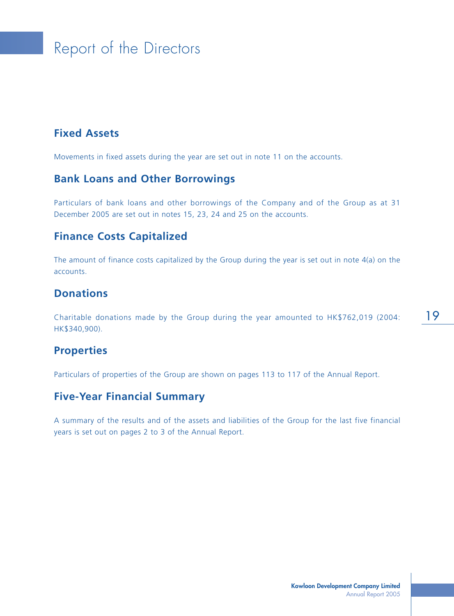## **Fixed Assets**

Movements in fixed assets during the year are set out in note 11 on the accounts.

### **Bank Loans and Other Borrowings**

Particulars of bank loans and other borrowings of the Company and of the Group as at 31 December 2005 are set out in notes 15, 23, 24 and 25 on the accounts.

#### **Finance Costs Capitalized**

The amount of finance costs capitalized by the Group during the year is set out in note 4(a) on the accounts.

#### **Donations**

Charitable donations made by the Group during the year amounted to HK\$762,019 (2004: HK\$340,900).

#### **Properties**

Particulars of properties of the Group are shown on pages 113 to 117 of the Annual Report.

#### **Five-Year Financial Summary**

A summary of the results and of the assets and liabilities of the Group for the last five financial years is set out on pages 2 to 3 of the Annual Report.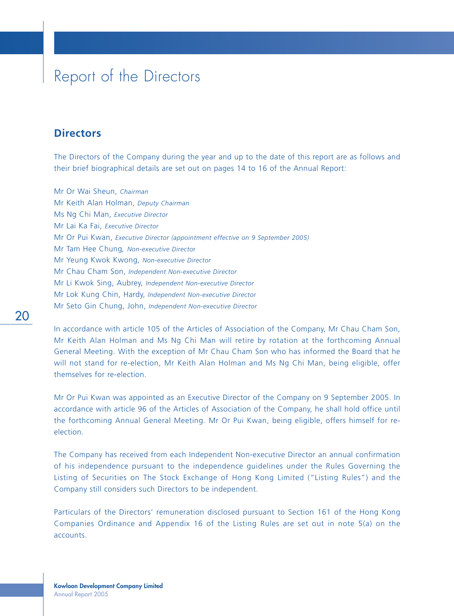#### **Directors**

The Directors of the Company during the year and up to the date of this report are as follows and their brief biographical details are set out on pages 14 to 16 of the Annual Report:

Mr Or Wai Sheun, *Chairman* Mr Keith Alan Holman, *Deputy Chairman* Ms Ng Chi Man, *Executive Director* Mr Lai Ka Fai, *Executive Director* Mr Or Pui Kwan, *Executive Director (appointment effective on 9 September 2005)* Mr Tam Hee Chung*, Non-executive Directo*r Mr Yeung Kwok Kwong, *Non-executive Director* Mr Chau Cham Son, *Independent Non-executive Director* Mr Li Kwok Sing, Aubrey, *Independent Non-executive Director* Mr Lok Kung Chin, Hardy, *Independent Non-executive Director* Mr Seto Gin Chung, John, *Independent Non-executive Director*

In accordance with article 105 of the Articles of Association of the Company, Mr Chau Cham Son, Mr Keith Alan Holman and Ms Ng Chi Man will retire by rotation at the forthcoming Annual General Meeting. With the exception of Mr Chau Cham Son who has informed the Board that he will not stand for re-election, Mr Keith Alan Holman and Ms Ng Chi Man, being eligible, offer themselves for re-election.

Mr Or Pui Kwan was appointed as an Executive Director of the Company on 9 September 2005. In accordance with article 96 of the Articles of Association of the Company, he shall hold office until the forthcoming Annual General Meeting. Mr Or Pui Kwan, being eligible, offers himself for reelection.

The Company has received from each Independent Non-executive Director an annual confirmation of his independence pursuant to the independence guidelines under the Rules Governing the Listing of Securities on The Stock Exchange of Hong Kong Limited ("Listing Rules") and the Company still considers such Directors to be independent.

Particulars of the Directors' remuneration disclosed pursuant to Section 161 of the Hong Kong Companies Ordinance and Appendix 16 of the Listing Rules are set out in note 5(a) on the accounts.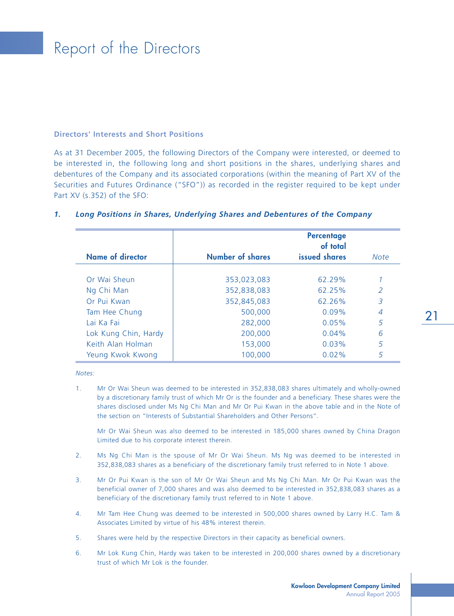#### **Directors' Interests and Short Positions**

As at 31 December 2005, the following Directors of the Company were interested, or deemed to be interested in, the following long and short positions in the shares, underlying shares and debentures of the Company and its associated corporations (within the meaning of Part XV of the Securities and Futures Ordinance ("SFO")) as recorded in the register required to be kept under Part XV (s.352) of the SFO:

|                         |                         | <b>Percentage</b><br>of total |                |
|-------------------------|-------------------------|-------------------------------|----------------|
| <b>Name of director</b> | <b>Number of shares</b> | issued shares                 | <b>Note</b>    |
|                         |                         |                               |                |
| Or Wai Sheun            | 353,023,083             | 62.29%                        |                |
| Ng Chi Man              | 352,838,083             | 62.25%                        | 2              |
| Or Pui Kwan             | 352,845,083             | 62.26%                        | 3              |
| Tam Hee Chung           | 500,000                 | $0.09\%$                      | $\overline{A}$ |
| Tai Ka Fai              | 282,000                 | 0.05%                         | 5              |
| Lok Kung Chin, Hardy    | 200,000                 | $0.04\%$                      | 6              |
| Keith Alan Holman       | 153,000                 | 0.03%                         | 5              |
| Yeung Kwok Kwong        | 100,000                 | $0.02\%$                      | 5              |

#### *1. Long Positions in Shares, Underlying Shares and Debentures of the Company*

*Notes:*

1. Mr Or Wai Sheun was deemed to be interested in 352,838,083 shares ultimately and wholly-owned by a discretionary family trust of which Mr Or is the founder and a beneficiary. These shares were the shares disclosed under Ms Ng Chi Man and Mr Or Pui Kwan in the above table and in the Note of the section on "Interests of Substantial Shareholders and Other Persons".

Mr Or Wai Sheun was also deemed to be interested in 185,000 shares owned by China Dragon Limited due to his corporate interest therein.

- 2. Ms Ng Chi Man is the spouse of Mr Or Wai Sheun. Ms Ng was deemed to be interested in 352,838,083 shares as a beneficiary of the discretionary family trust referred to in Note 1 above.
- 3. Mr Or Pui Kwan is the son of Mr Or Wai Sheun and Ms Ng Chi Man. Mr Or Pui Kwan was the beneficial owner of 7,000 shares and was also deemed to be interested in 352,838,083 shares as a beneficiary of the discretionary family trust referred to in Note 1 above.
- 4. Mr Tam Hee Chung was deemed to be interested in 500,000 shares owned by Larry H.C. Tam & Associates Limited by virtue of his 48% interest therein.
- 5. Shares were held by the respective Directors in their capacity as beneficial owners.
- 6. Mr Lok Kung Chin, Hardy was taken to be interested in 200,000 shares owned by a discretionary trust of which Mr Lok is the founder.

21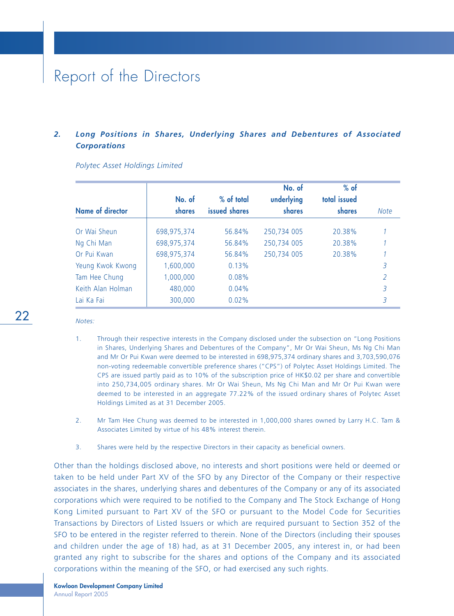#### *2. Long Positions in Shares, Underlying Shares and Debentures of Associated Corporations*

|                         |               |               | No. of        | $%$ of       |               |
|-------------------------|---------------|---------------|---------------|--------------|---------------|
|                         | No. of        | % of total    | underlying    | total issued |               |
| <b>Name of director</b> | <b>shares</b> | issued shares | <b>shares</b> | shares       | <b>Note</b>   |
| Or Wai Sheun            | 698,975,374   | 56.84%        | 250,734 005   | 20.38%       |               |
| Ng Chi Man              | 698,975,374   | 56.84%        | 250,734 005   | 20.38%       |               |
| Or Pui Kwan             | 698,975,374   | 56.84%        | 250,734 005   | 20.38%       |               |
| Yeung Kwok Kwong        | 1,600,000     | 0.13%         |               |              | 3             |
| Tam Hee Chung           | 1,000,000     | 0.08%         |               |              | $\mathcal{P}$ |
| Keith Alan Holman       | 480,000       | 0.04%         |               |              | 3             |
| Lai Ka Fai              | 300,000       | $0.02\%$      |               |              | 3             |

*Polytec Asset Holdings Limited*

*Notes:*

22

- 1. Through their respective interests in the Company disclosed under the subsection on "Long Positions in Shares, Underlying Shares and Debentures of the Company", Mr Or Wai Sheun, Ms Ng Chi Man and Mr Or Pui Kwan were deemed to be interested in 698,975,374 ordinary shares and 3,703,590,076 non-voting redeemable convertible preference shares ("CPS") of Polytec Asset Holdings Limited. The CPS are issued partly paid as to 10% of the subscription price of HK\$0.02 per share and convertible into 250,734,005 ordinary shares. Mr Or Wai Sheun, Ms Ng Chi Man and Mr Or Pui Kwan were deemed to be interested in an aggregate 77.22% of the issued ordinary shares of Polytec Asset Holdings Limited as at 31 December 2005.
- 2. Mr Tam Hee Chung was deemed to be interested in 1,000,000 shares owned by Larry H.C. Tam & Associates Limited by virtue of his 48% interest therein.
- 3. Shares were held by the respective Directors in their capacity as beneficial owners.

Other than the holdings disclosed above, no interests and short positions were held or deemed or taken to be held under Part XV of the SFO by any Director of the Company or their respective associates in the shares, underlying shares and debentures of the Company or any of its associated corporations which were required to be notified to the Company and The Stock Exchange of Hong Kong Limited pursuant to Part XV of the SFO or pursuant to the Model Code for Securities Transactions by Directors of Listed Issuers or which are required pursuant to Section 352 of the SFO to be entered in the register referred to therein. None of the Directors (including their spouses and children under the age of 18) had, as at 31 December 2005, any interest in, or had been granted any right to subscribe for the shares and options of the Company and its associated corporations within the meaning of the SFO, or had exercised any such rights.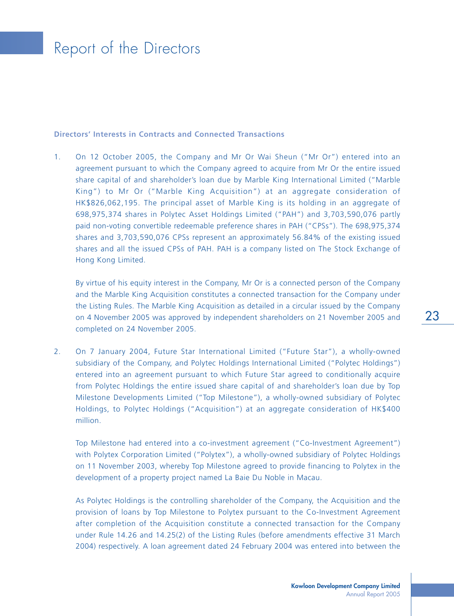#### **Directors' Interests in Contracts and Connected Transactions**

1. On 12 October 2005, the Company and Mr Or Wai Sheun ("Mr Or") entered into an agreement pursuant to which the Company agreed to acquire from Mr Or the entire issued share capital of and shareholder's loan due by Marble King International Limited ("Marble King") to Mr Or ("Marble King Acquisition") at an aggregate consideration of HK\$826,062,195. The principal asset of Marble King is its holding in an aggregate of 698,975,374 shares in Polytec Asset Holdings Limited ("PAH") and 3,703,590,076 partly paid non-voting convertible redeemable preference shares in PAH ("CPSs"). The 698,975,374 shares and 3,703,590,076 CPSs represent an approximately 56.84% of the existing issued shares and all the issued CPSs of PAH. PAH is a company listed on The Stock Exchange of Hong Kong Limited.

By virtue of his equity interest in the Company, Mr Or is a connected person of the Company and the Marble King Acquisition constitutes a connected transaction for the Company under the Listing Rules. The Marble King Acquisition as detailed in a circular issued by the Company on 4 November 2005 was approved by independent shareholders on 21 November 2005 and completed on 24 November 2005.

2. On 7 January 2004, Future Star International Limited ("Future Star"), a wholly-owned subsidiary of the Company, and Polytec Holdings International Limited ("Polytec Holdings") entered into an agreement pursuant to which Future Star agreed to conditionally acquire from Polytec Holdings the entire issued share capital of and shareholder's loan due by Top Milestone Developments Limited ("Top Milestone"), a wholly-owned subsidiary of Polytec Holdings, to Polytec Holdings ("Acquisition") at an aggregate consideration of HK\$400 million.

Top Milestone had entered into a co-investment agreement ("Co-Investment Agreement") with Polytex Corporation Limited ("Polytex"), a wholly-owned subsidiary of Polytec Holdings on 11 November 2003, whereby Top Milestone agreed to provide financing to Polytex in the development of a property project named La Baie Du Noble in Macau.

As Polytec Holdings is the controlling shareholder of the Company, the Acquisition and the provision of loans by Top Milestone to Polytex pursuant to the Co-Investment Agreement after completion of the Acquisition constitute a connected transaction for the Company under Rule 14.26 and 14.25(2) of the Listing Rules (before amendments effective 31 March 2004) respectively. A loan agreement dated 24 February 2004 was entered into between the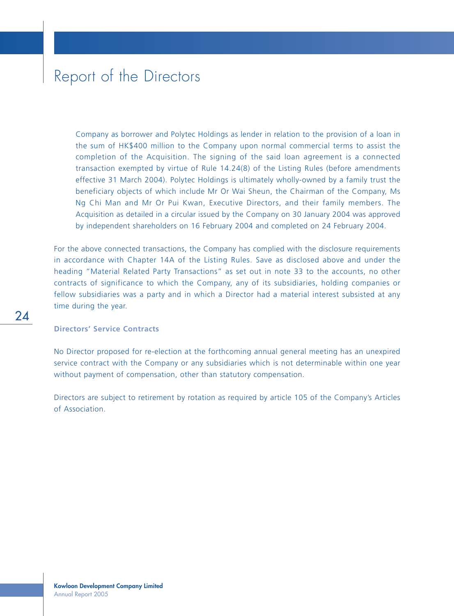Company as borrower and Polytec Holdings as lender in relation to the provision of a loan in the sum of HK\$400 million to the Company upon normal commercial terms to assist the completion of the Acquisition. The signing of the said loan agreement is a connected transaction exempted by virtue of Rule 14.24(8) of the Listing Rules (before amendments effective 31 March 2004). Polytec Holdings is ultimately wholly-owned by a family trust the beneficiary objects of which include Mr Or Wai Sheun, the Chairman of the Company, Ms Ng Chi Man and Mr Or Pui Kwan, Executive Directors, and their family members. The Acquisition as detailed in a circular issued by the Company on 30 January 2004 was approved by independent shareholders on 16 February 2004 and completed on 24 February 2004.

For the above connected transactions, the Company has complied with the disclosure requirements in accordance with Chapter 14A of the Listing Rules. Save as disclosed above and under the heading "Material Related Party Transactions" as set out in note 33 to the accounts, no other contracts of significance to which the Company, any of its subsidiaries, holding companies or fellow subsidiaries was a party and in which a Director had a material interest subsisted at any time during the year.

#### **Directors' Service Contracts**

No Director proposed for re-election at the forthcoming annual general meeting has an unexpired service contract with the Company or any subsidiaries which is not determinable within one year without payment of compensation, other than statutory compensation.

Directors are subject to retirement by rotation as required by article 105 of the Company's Articles of Association.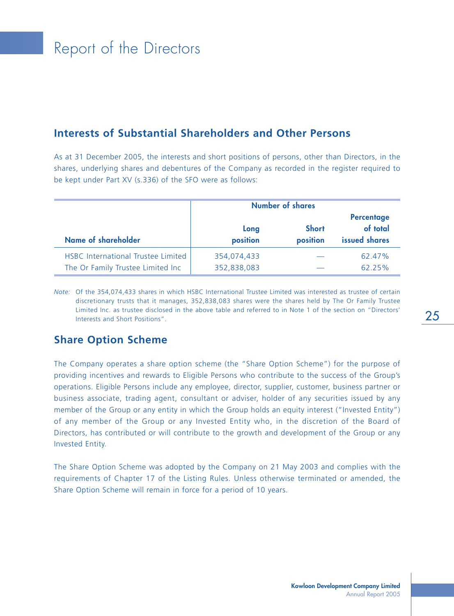#### **Interests of Substantial Shareholders and Other Persons**

As at 31 December 2005, the interests and short positions of persons, other than Directors, in the shares, underlying shares and debentures of the Company as recorded in the register required to be kept under Part XV (s.336) of the SFO were as follows:

|                                                                         | <b>Number of shares</b>    |                          |                                                |  |  |
|-------------------------------------------------------------------------|----------------------------|--------------------------|------------------------------------------------|--|--|
| Name of shareholder                                                     | Long<br>position           | <b>Short</b><br>position | <b>Percentage</b><br>of total<br>issued shares |  |  |
| HSBC International Trustee Limited<br>The Or Family Trustee Limited Inc | 354,074,433<br>352,838,083 |                          | 62.47%<br>62.25%                               |  |  |

*Note:* Of the 354,074,433 shares in which HSBC International Trustee Limited was interested as trustee of certain discretionary trusts that it manages, 352,838,083 shares were the shares held by The Or Family Trustee Limited Inc. as trustee disclosed in the above table and referred to in Note 1 of the section on "Directors' Interests and Short Positions".

#### **Share Option Scheme**

The Company operates a share option scheme (the "Share Option Scheme") for the purpose of providing incentives and rewards to Eligible Persons who contribute to the success of the Group's operations. Eligible Persons include any employee, director, supplier, customer, business partner or business associate, trading agent, consultant or adviser, holder of any securities issued by any member of the Group or any entity in which the Group holds an equity interest ("Invested Entity") of any member of the Group or any Invested Entity who, in the discretion of the Board of Directors, has contributed or will contribute to the growth and development of the Group or any Invested Entity.

The Share Option Scheme was adopted by the Company on 21 May 2003 and complies with the requirements of Chapter 17 of the Listing Rules. Unless otherwise terminated or amended, the Share Option Scheme will remain in force for a period of 10 years.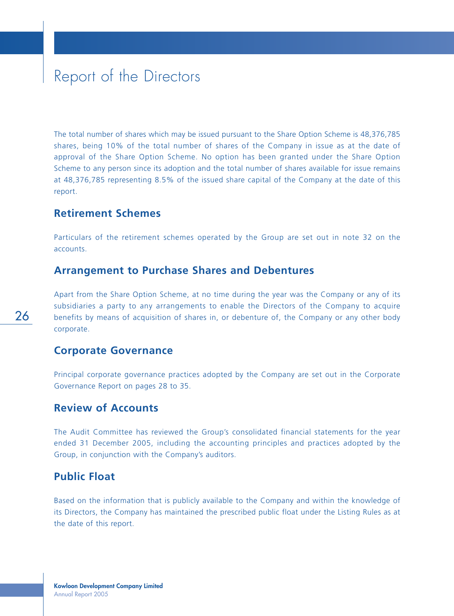The total number of shares which may be issued pursuant to the Share Option Scheme is 48,376,785 shares, being 10% of the total number of shares of the Company in issue as at the date of approval of the Share Option Scheme. No option has been granted under the Share Option Scheme to any person since its adoption and the total number of shares available for issue remains at 48,376,785 representing 8.5% of the issued share capital of the Company at the date of this report.

#### **Retirement Schemes**

Particulars of the retirement schemes operated by the Group are set out in note 32 on the accounts.

#### **Arrangement to Purchase Shares and Debentures**

Apart from the Share Option Scheme, at no time during the year was the Company or any of its subsidiaries a party to any arrangements to enable the Directors of the Company to acquire benefits by means of acquisition of shares in, or debenture of, the Company or any other body corporate.

#### **Corporate Governance**

Principal corporate governance practices adopted by the Company are set out in the Corporate Governance Report on pages 28 to 35.

#### **Review of Accounts**

The Audit Committee has reviewed the Group's consolidated financial statements for the year ended 31 December 2005, including the accounting principles and practices adopted by the Group, in conjunction with the Company's auditors.

#### **Public Float**

Based on the information that is publicly available to the Company and within the knowledge of its Directors, the Company has maintained the prescribed public float under the Listing Rules as at the date of this report.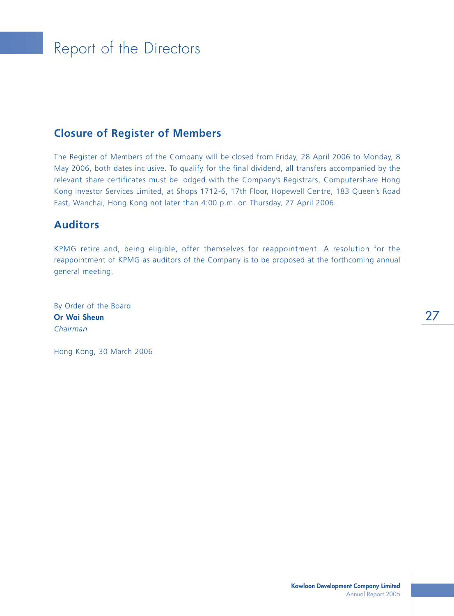### **Closure of Register of Members**

The Register of Members of the Company will be closed from Friday, 28 April 2006 to Monday, 8 May 2006, both dates inclusive. To qualify for the final dividend, all transfers accompanied by the relevant share certificates must be lodged with the Company's Registrars, Computershare Hong Kong Investor Services Limited, at Shops 1712-6, 17th Floor, Hopewell Centre, 183 Queen's Road East, Wanchai, Hong Kong not later than 4:00 p.m. on Thursday, 27 April 2006.

#### **Auditors**

KPMG retire and, being eligible, offer themselves for reappointment. A resolution for the reappointment of KPMG as auditors of the Company is to be proposed at the forthcoming annual general meeting.

By Order of the Board **Or Wai Sheun** *Chairman*

Hong Kong, 30 March 2006

27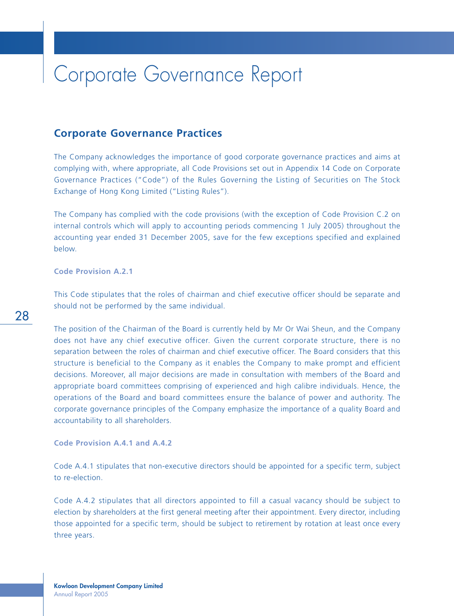#### **Corporate Governance Practices**

The Company acknowledges the importance of good corporate governance practices and aims at complying with, where appropriate, all Code Provisions set out in Appendix 14 Code on Corporate Governance Practices ("Code") of the Rules Governing the Listing of Securities on The Stock Exchange of Hong Kong Limited ("Listing Rules").

The Company has complied with the code provisions (with the exception of Code Provision C.2 on internal controls which will apply to accounting periods commencing 1 July 2005) throughout the accounting year ended 31 December 2005, save for the few exceptions specified and explained below.

**Code Provision A.2.1**

This Code stipulates that the roles of chairman and chief executive officer should be separate and should not be performed by the same individual.

The position of the Chairman of the Board is currently held by Mr Or Wai Sheun, and the Company does not have any chief executive officer. Given the current corporate structure, there is no separation between the roles of chairman and chief executive officer. The Board considers that this structure is beneficial to the Company as it enables the Company to make prompt and efficient decisions. Moreover, all major decisions are made in consultation with members of the Board and appropriate board committees comprising of experienced and high calibre individuals. Hence, the operations of the Board and board committees ensure the balance of power and authority. The corporate governance principles of the Company emphasize the importance of a quality Board and accountability to all shareholders.

**Code Provision A.4.1 and A.4.2**

Code A.4.1 stipulates that non-executive directors should be appointed for a specific term, subject to re-election.

Code A.4.2 stipulates that all directors appointed to fill a casual vacancy should be subject to election by shareholders at the first general meeting after their appointment. Every director, including those appointed for a specific term, should be subject to retirement by rotation at least once every three years.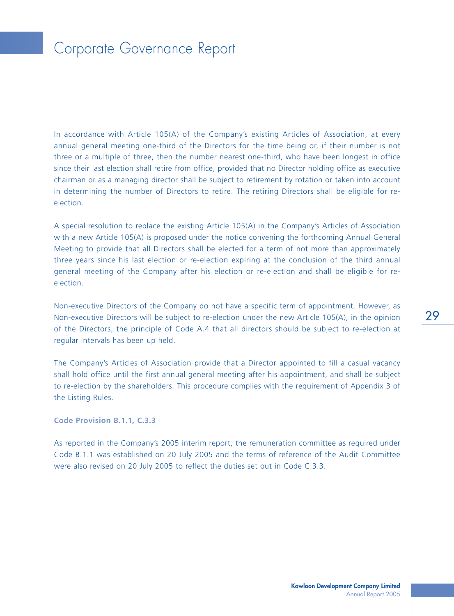In accordance with Article 105(A) of the Company's existing Articles of Association, at every annual general meeting one-third of the Directors for the time being or, if their number is not three or a multiple of three, then the number nearest one-third, who have been longest in office since their last election shall retire from office, provided that no Director holding office as executive chairman or as a managing director shall be subject to retirement by rotation or taken into account in determining the number of Directors to retire. The retiring Directors shall be eligible for reelection.

A special resolution to replace the existing Article 105(A) in the Company's Articles of Association with a new Article 105(A) is proposed under the notice convening the forthcoming Annual General Meeting to provide that all Directors shall be elected for a term of not more than approximately three years since his last election or re-election expiring at the conclusion of the third annual general meeting of the Company after his election or re-election and shall be eligible for reelection.

Non-executive Directors of the Company do not have a specific term of appointment. However, as Non-executive Directors will be subject to re-election under the new Article 105(A), in the opinion of the Directors, the principle of Code A.4 that all directors should be subject to re-election at regular intervals has been up held.

The Company's Articles of Association provide that a Director appointed to fill a casual vacancy shall hold office until the first annual general meeting after his appointment, and shall be subject to re-election by the shareholders. This procedure complies with the requirement of Appendix 3 of the Listing Rules.

**Code Provision B.1.1, C.3.3**

As reported in the Company's 2005 interim report, the remuneration committee as required under Code B.1.1 was established on 20 July 2005 and the terms of reference of the Audit Committee were also revised on 20 July 2005 to reflect the duties set out in Code C.3.3.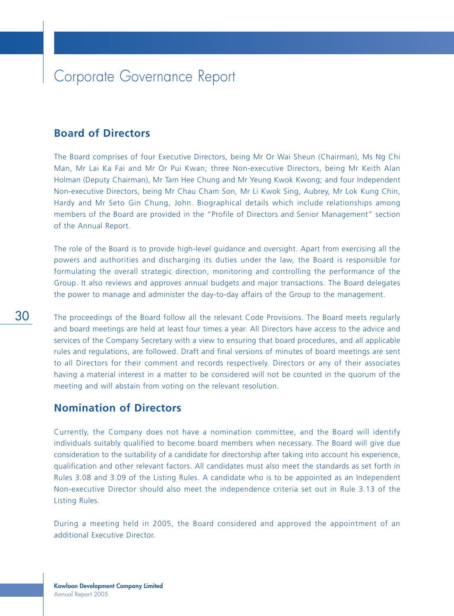#### **Board of Directors**

The Board comprises of four Executive Directors, being Mr Or Wai Sheun (Chairman), Ms Ng Chi Man, Mr Lai Ka Fai and Mr Or Pui Kwan; three Non-executive Directors, being Mr Keith Alan Holman (Deputy Chairman), Mr Tam Hee Chung and Mr Yeung Kwok Kwong; and four Independent Non-executive Directors, being Mr Chau Cham Son, Mr Li Kwok Sing, Aubrey, Mr Lok Kung Chin, Hardy and Mr Seto Gin Chung, John. Biographical details which include relationships among members of the Board are provided in the "Profile of Directors and Senior Management" section of the Annual Report.

The role of the Board is to provide high-level guidance and oversight. Apart from exercising all the powers and authorities and discharging its duties under the law, the Board is responsible for formulating the overall strategic direction, monitoring and controlling the performance of the Group. It also reviews and approves annual budgets and major transactions. The Board delegates the power to manage and administer the day-to-day affairs of the Group to the management.

The proceedings of the Board follow all the relevant Code Provisions. The Board meets regularly and board meetings are held at least four times a year. All Directors have access to the advice and services of the Company Secretary with a view to ensuring that board procedures, and all applicable rules and regulations, are followed. Draft and final versions of minutes of board meetings are sent to all Directors for their comment and records respectively. Directors or any of their associates having a material interest in a matter to be considered will not be counted in the quorum of the meeting and will abstain from voting on the relevant resolution.

#### **Nomination of Directors**

Currently, the Company does not have a nomination committee, and the Board will identify individuals suitably qualified to become board members when necessary. The Board will give due consideration to the suitability of a candidate for directorship after taking into account his experience, qualification and other relevant factors. All candidates must also meet the standards as set forth in Rules 3.08 and 3.09 of the Listing Rules. A candidate who is to be appointed as an Independent Non-executive Director should also meet the independence criteria set out in Rule 3.13 of the Listing Rules.

During a meeting held in 2005, the Board considered and approved the appointment of an additional Executive Director.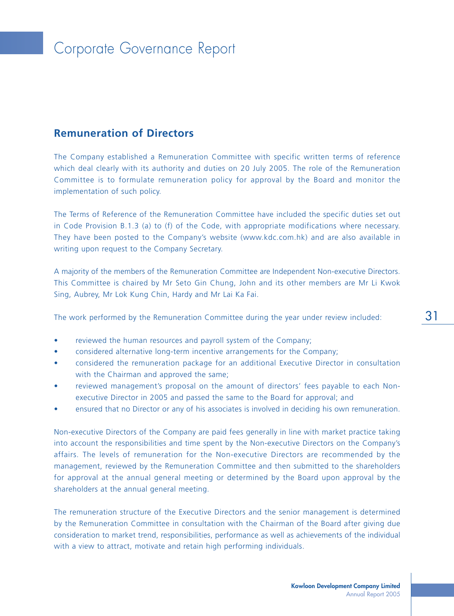### **Remuneration of Directors**

The Company established a Remuneration Committee with specific written terms of reference which deal clearly with its authority and duties on 20 July 2005. The role of the Remuneration Committee is to formulate remuneration policy for approval by the Board and monitor the implementation of such policy.

The Terms of Reference of the Remuneration Committee have included the specific duties set out in Code Provision B.1.3 (a) to (f) of the Code, with appropriate modifications where necessary. They have been posted to the Company's website (www.kdc.com.hk) and are also available in writing upon request to the Company Secretary.

A majority of the members of the Remuneration Committee are Independent Non-executive Directors. This Committee is chaired by Mr Seto Gin Chung, John and its other members are Mr Li Kwok Sing, Aubrey, Mr Lok Kung Chin, Hardy and Mr Lai Ka Fai.

The work performed by the Remuneration Committee during the year under review included:

- reviewed the human resources and payroll system of the Company;
- considered alternative long-term incentive arrangements for the Company;
- considered the remuneration package for an additional Executive Director in consultation with the Chairman and approved the same;
- reviewed management's proposal on the amount of directors' fees payable to each Nonexecutive Director in 2005 and passed the same to the Board for approval; and
- ensured that no Director or any of his associates is involved in deciding his own remuneration.

Non-executive Directors of the Company are paid fees generally in line with market practice taking into account the responsibilities and time spent by the Non-executive Directors on the Company's affairs. The levels of remuneration for the Non-executive Directors are recommended by the management, reviewed by the Remuneration Committee and then submitted to the shareholders for approval at the annual general meeting or determined by the Board upon approval by the shareholders at the annual general meeting.

The remuneration structure of the Executive Directors and the senior management is determined by the Remuneration Committee in consultation with the Chairman of the Board after giving due consideration to market trend, responsibilities, performance as well as achievements of the individual with a view to attract, motivate and retain high performing individuals.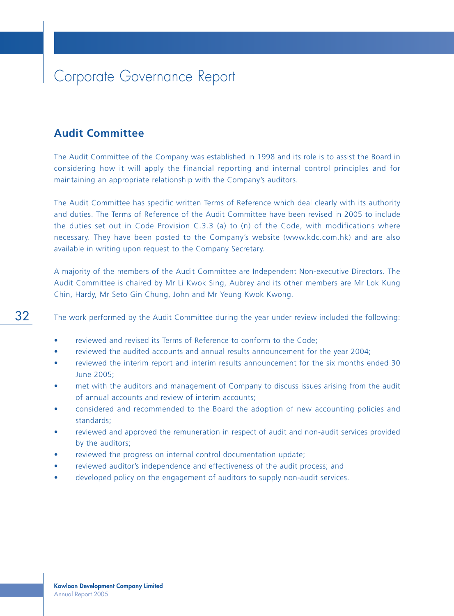#### **Audit Committee**

The Audit Committee of the Company was established in 1998 and its role is to assist the Board in considering how it will apply the financial reporting and internal control principles and for maintaining an appropriate relationship with the Company's auditors.

The Audit Committee has specific written Terms of Reference which deal clearly with its authority and duties. The Terms of Reference of the Audit Committee have been revised in 2005 to include the duties set out in Code Provision C.3.3 (a) to (n) of the Code, with modifications where necessary. They have been posted to the Company's website (www.kdc.com.hk) and are also available in writing upon request to the Company Secretary.

A majority of the members of the Audit Committee are Independent Non-executive Directors. The Audit Committee is chaired by Mr Li Kwok Sing, Aubrey and its other members are Mr Lok Kung Chin, Hardy, Mr Seto Gin Chung, John and Mr Yeung Kwok Kwong.

The work performed by the Audit Committee during the year under review included the following:

- reviewed and revised its Terms of Reference to conform to the Code;
- reviewed the audited accounts and annual results announcement for the year 2004;
- reviewed the interim report and interim results announcement for the six months ended 30 June 2005;
- met with the auditors and management of Company to discuss issues arising from the audit of annual accounts and review of interim accounts;
- considered and recommended to the Board the adoption of new accounting policies and standards;
- reviewed and approved the remuneration in respect of audit and non-audit services provided by the auditors;
- reviewed the progress on internal control documentation update;
- reviewed auditor's independence and effectiveness of the audit process; and
- developed policy on the engagement of auditors to supply non-audit services.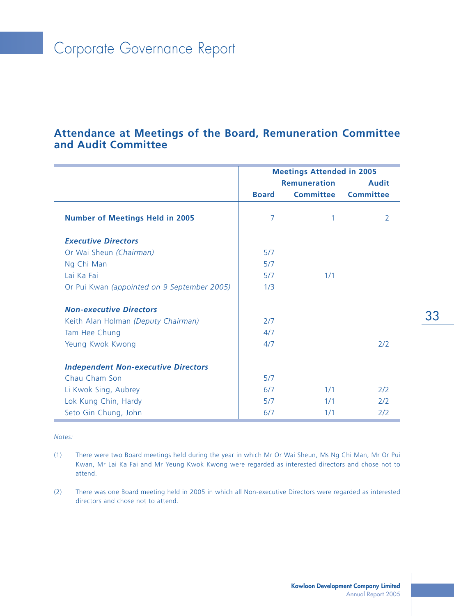### **Attendance at Meetings of the Board, Remuneration Committee and Audit Committee**

|                                             | <b>Meetings Attended in 2005</b> |                     |                  |  |
|---------------------------------------------|----------------------------------|---------------------|------------------|--|
|                                             |                                  | <b>Remuneration</b> | <b>Audit</b>     |  |
|                                             | <b>Board</b>                     | <b>Committee</b>    | <b>Committee</b> |  |
| <b>Number of Meetings Held in 2005</b>      | 7                                |                     | 2                |  |
| <b>Executive Directors</b>                  |                                  |                     |                  |  |
| Or Wai Sheun (Chairman)                     | 5/7                              |                     |                  |  |
| Ng Chi Man                                  | 5/7                              |                     |                  |  |
| Lai Ka Fai                                  | 5/7                              | 1/1                 |                  |  |
| Or Pui Kwan (appointed on 9 September 2005) | 1/3                              |                     |                  |  |
| <b>Non-executive Directors</b>              |                                  |                     |                  |  |
| Keith Alan Holman (Deputy Chairman)         | 2/7                              |                     |                  |  |
| Tam Hee Chung                               | 4/7                              |                     |                  |  |
| Yeung Kwok Kwong                            | 4/7                              |                     | 2/2              |  |
| <b>Independent Non-executive Directors</b>  |                                  |                     |                  |  |
| Chau Cham Son                               | 5/7                              |                     |                  |  |
| Li Kwok Sing, Aubrey                        | 6/7                              | 1/1                 | 2/2              |  |
| Lok Kung Chin, Hardy                        | 5/7                              | 1/1                 | 2/2              |  |
| Seto Gin Chung, John                        | 6/7                              | 1/1                 | 2/2              |  |

*Notes:*

- (1) There were two Board meetings held during the year in which Mr Or Wai Sheun, Ms Ng Chi Man, Mr Or Pui Kwan, Mr Lai Ka Fai and Mr Yeung Kwok Kwong were regarded as interested directors and chose not to attend.
- (2) There was one Board meeting held in 2005 in which all Non-executive Directors were regarded as interested directors and chose not to attend.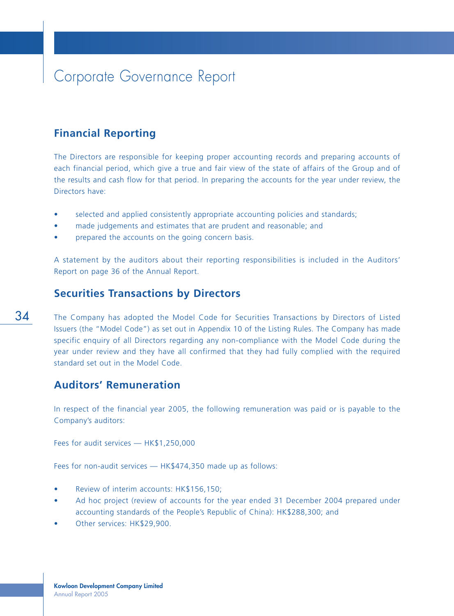## **Financial Reporting**

The Directors are responsible for keeping proper accounting records and preparing accounts of each financial period, which give a true and fair view of the state of affairs of the Group and of the results and cash flow for that period. In preparing the accounts for the year under review, the Directors have:

- selected and applied consistently appropriate accounting policies and standards;
- made judgements and estimates that are prudent and reasonable; and
- prepared the accounts on the going concern basis.

A statement by the auditors about their reporting responsibilities is included in the Auditors' Report on page 36 of the Annual Report.

#### **Securities Transactions by Directors**

The Company has adopted the Model Code for Securities Transactions by Directors of Listed Issuers (the "Model Code") as set out in Appendix 10 of the Listing Rules. The Company has made specific enquiry of all Directors regarding any non-compliance with the Model Code during the year under review and they have all confirmed that they had fully complied with the required standard set out in the Model Code.

### **Auditors' Remuneration**

In respect of the financial year 2005, the following remuneration was paid or is payable to the Company's auditors:

Fees for audit services — HK\$1,250,000

Fees for non-audit services — HK\$474,350 made up as follows:

- Review of interim accounts: HK\$156,150;
- Ad hoc project (review of accounts for the year ended 31 December 2004 prepared under accounting standards of the People's Republic of China): HK\$288,300; and
- Other services: HK\$29,900.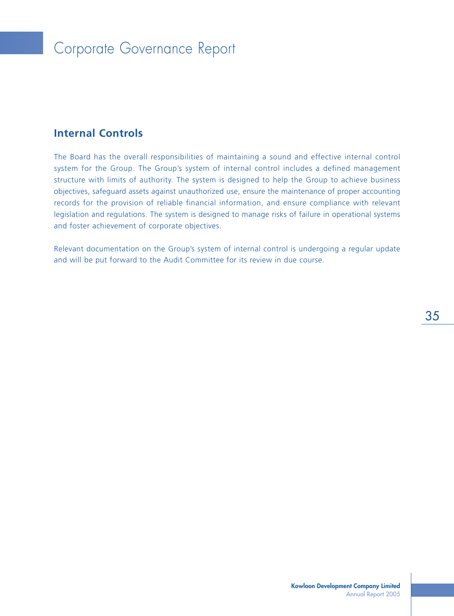## Corporate Governance Report

## **Internal Controls**

The Board has the overall responsibilities of maintaining a sound and effective internal control system for the Group. The Group's system of internal control includes a defined management structure with limits of authority. The system is designed to help the Group to achieve business objectives, safeguard assets against unauthorized use, ensure the maintenance of proper accounting records for the provision of reliable financial information, and ensure compliance with relevant legislation and regulations. The system is designed to manage risks of failure in operational systems and foster achievement of corporate objectives.

Relevant documentation on the Group's system of internal control is undergoing a regular update and will be put forward to the Audit Committee for its review in due course.

35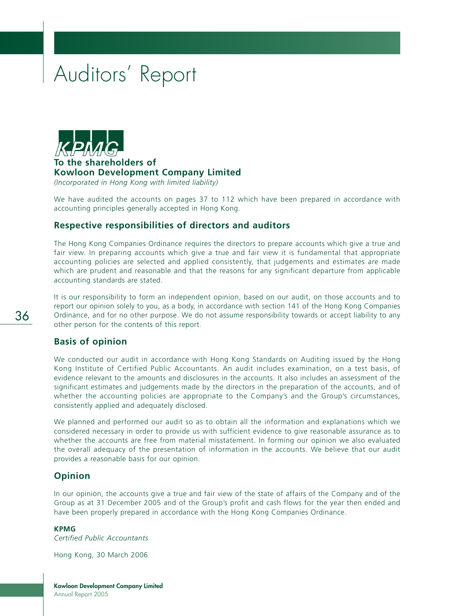## Auditors' Report



**To the shareholders of Kowloon Development Company Limited** *(Incorporated in Hong Kong with limited liability)*

We have audited the accounts on pages 37 to 112 which have been prepared in accordance with accounting principles generally accepted in Hong Kong.

## **Respective responsibilities of directors and auditors**

The Hong Kong Companies Ordinance requires the directors to prepare accounts which give a true and fair view. In preparing accounts which give a true and fair view it is fundamental that appropriate accounting policies are selected and applied consistently, that judgements and estimates are made which are prudent and reasonable and that the reasons for any significant departure from applicable accounting standards are stated.

It is our responsibility to form an independent opinion, based on our audit, on those accounts and to report our opinion solely to you, as a body, in accordance with section 141 of the Hong Kong Companies Ordinance, and for no other purpose. We do not assume responsibility towards or accept liability to any other person for the contents of this report.

## **Basis of opinion**

We conducted our audit in accordance with Hong Kong Standards on Auditing issued by the Hong Kong Institute of Certified Public Accountants. An audit includes examination, on a test basis, of evidence relevant to the amounts and disclosures in the accounts. It also includes an assessment of the significant estimates and judgements made by the directors in the preparation of the accounts, and of whether the accounting policies are appropriate to the Company's and the Group's circumstances, consistently applied and adequately disclosed.

We planned and performed our audit so as to obtain all the information and explanations which we considered necessary in order to provide us with sufficient evidence to give reasonable assurance as to whether the accounts are free from material misstatement. In forming our opinion we also evaluated the overall adequacy of the presentation of information in the accounts. We believe that our audit provides a reasonable basis for our opinion.

## **Opinion**

In our opinion, the accounts give a true and fair view of the state of affairs of the Company and of the Group as at 31 December 2005 and of the Group's profit and cash flows for the year then ended and have been properly prepared in accordance with the Hong Kong Companies Ordinance.

#### **KPMG**

*Certified Public Accountants*

Hong Kong, 30 March 2006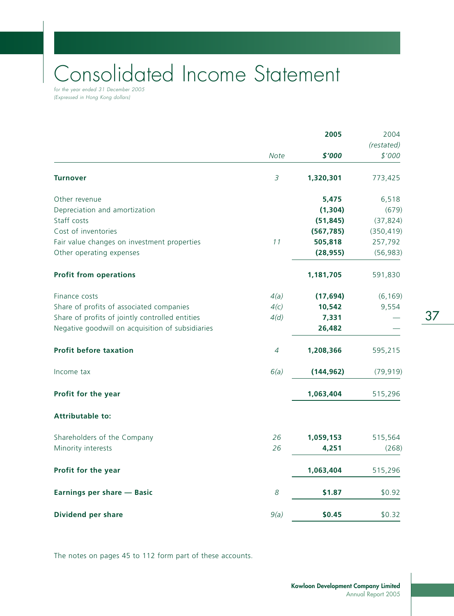# Consolidated Income Statement

for the year ended 31 December 2005 (Expressed in Hong Kong dollars)

|                                                  |             | 2005       | 2004       |  |
|--------------------------------------------------|-------------|------------|------------|--|
|                                                  |             |            | (restated) |  |
|                                                  | <b>Note</b> | \$'000     | \$'000     |  |
| <b>Turnover</b>                                  | 3           | 1,320,301  | 773,425    |  |
| Other revenue                                    |             | 5,475      | 6,518      |  |
| Depreciation and amortization                    |             | (1, 304)   | (679)      |  |
| Staff costs                                      |             | (51, 845)  | (37, 824)  |  |
| Cost of inventories                              |             | (567, 785) | (350, 419) |  |
| Fair value changes on investment properties      | 11          | 505,818    | 257,792    |  |
| Other operating expenses                         |             | (28, 955)  | (56, 983)  |  |
| <b>Profit from operations</b>                    |             | 1,181,705  | 591,830    |  |
| Finance costs                                    | 4(a)        | (17, 694)  | (6, 169)   |  |
| Share of profits of associated companies         | 4(c)        | 10,542     | 9,554      |  |
| Share of profits of jointly controlled entities  | 4(d)        | 7,331      |            |  |
| Negative goodwill on acquisition of subsidiaries |             | 26,482     |            |  |
| <b>Profit before taxation</b>                    | 4           | 1,208,366  | 595,215    |  |
| Income tax                                       | 6(a)        | (144, 962) | (79, 919)  |  |
| Profit for the year                              |             | 1,063,404  | 515,296    |  |
| <b>Attributable to:</b>                          |             |            |            |  |
| Shareholders of the Company                      | 26          | 1,059,153  | 515,564    |  |
| Minority interests                               | 26          | 4,251      | (268)      |  |
| Profit for the year                              |             | 1,063,404  | 515,296    |  |
| Earnings per share - Basic                       | 8           | \$1.87     | \$0.92     |  |
| <b>Dividend per share</b>                        | 9(a)        | \$0.45     | \$0.32     |  |
|                                                  |             |            |            |  |

The notes on pages 45 to 112 form part of these accounts.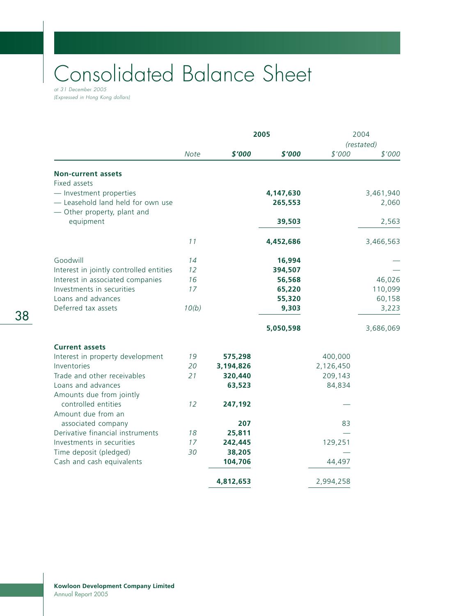## Consolidated Balance Sheet at 31 December 2005

(Expressed in Hong Kong dollars)

|                                          |             |           | 2005      |           | 2004<br>(restated) |
|------------------------------------------|-------------|-----------|-----------|-----------|--------------------|
|                                          | <b>Note</b> | \$'000    | \$'000    | \$'000    | \$'000             |
| <b>Non-current assets</b>                |             |           |           |           |                    |
| Fixed assets                             |             |           |           |           |                    |
| - Investment properties                  |             |           | 4,147,630 |           | 3,461,940          |
| - Leasehold land held for own use        |             |           | 265,553   |           | 2,060              |
| - Other property, plant and<br>equipment |             |           | 39,503    |           | 2,563              |
|                                          |             |           |           |           |                    |
|                                          | 11          |           | 4,452,686 |           | 3,466,563          |
| Goodwill                                 | 14          |           | 16,994    |           |                    |
| Interest in jointly controlled entities  | 12          |           | 394,507   |           |                    |
| Interest in associated companies         | 16          |           | 56,568    |           | 46,026             |
| Investments in securities                | 17          |           | 65,220    |           | 110,099            |
| Loans and advances                       |             |           | 55,320    |           | 60,158             |
| Deferred tax assets                      | 10(b)       |           | 9,303     |           | 3,223              |
|                                          |             |           | 5,050,598 |           | 3,686,069          |
| <b>Current assets</b>                    |             |           |           |           |                    |
| Interest in property development         | 19          | 575,298   |           | 400,000   |                    |
| Inventories                              | 20          | 3,194,826 |           | 2,126,450 |                    |
| Trade and other receivables              | 21          | 320,440   |           | 209,143   |                    |
| Loans and advances                       |             | 63,523    |           | 84,834    |                    |
| Amounts due from jointly                 |             |           |           |           |                    |
| controlled entities                      | 12          | 247,192   |           |           |                    |
| Amount due from an                       |             |           |           |           |                    |
| associated company                       |             | 207       |           | 83        |                    |
| Derivative financial instruments         | 18          | 25,811    |           |           |                    |
| Investments in securities                | 17          | 242,445   |           | 129,251   |                    |
| Time deposit (pledged)                   | 30          | 38,205    |           |           |                    |
| Cash and cash equivalents                |             | 104,706   |           | 44,497    |                    |
|                                          |             | 4,812,653 |           | 2,994,258 |                    |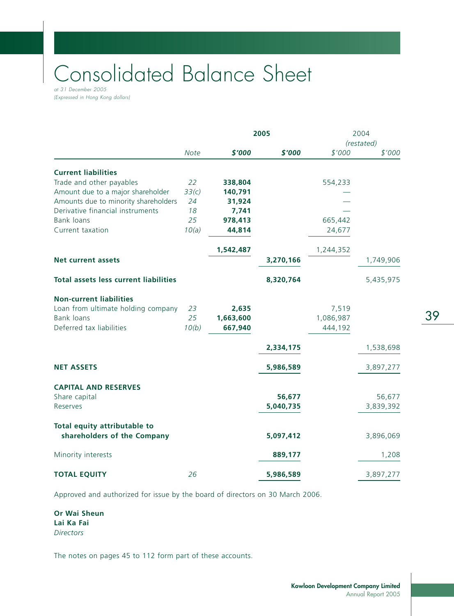# Consolidated Balance Sheet

at 31 December 2005 (Expressed in Hong Kong dollars)

|                                              | 2005        |           |           |           | 2004<br>(restated) |  |
|----------------------------------------------|-------------|-----------|-----------|-----------|--------------------|--|
|                                              | <b>Note</b> | \$'000    | \$'000    | \$'000    | \$'000             |  |
| <b>Current liabilities</b>                   |             |           |           |           |                    |  |
| Trade and other payables                     | 22          | 338,804   |           | 554,233   |                    |  |
| Amount due to a major shareholder            | 33(c)       | 140,791   |           |           |                    |  |
| Amounts due to minority shareholders         | 24          | 31,924    |           |           |                    |  |
| Derivative financial instruments             | 18          | 7,741     |           |           |                    |  |
| <b>Bank loans</b>                            | 25          | 978,413   |           | 665,442   |                    |  |
| Current taxation                             | 10(a)       | 44,814    |           | 24,677    |                    |  |
|                                              |             | 1,542,487 |           | 1,244,352 |                    |  |
| <b>Net current assets</b>                    |             |           | 3,270,166 |           | 1,749,906          |  |
| <b>Total assets less current liabilities</b> |             |           | 8,320,764 |           | 5,435,975          |  |
| <b>Non-current liabilities</b>               |             |           |           |           |                    |  |
| Loan from ultimate holding company           | 23          | 2,635     |           | 7,519     |                    |  |
| <b>Bank loans</b>                            | 25          | 1,663,600 |           | 1,086,987 |                    |  |
| Deferred tax liabilities                     | 10(b)       | 667,940   |           | 444,192   |                    |  |
|                                              |             |           | 2,334,175 |           | 1,538,698          |  |
| <b>NET ASSETS</b>                            |             |           | 5,986,589 |           | 3,897,277          |  |
| <b>CAPITAL AND RESERVES</b>                  |             |           |           |           |                    |  |
| Share capital                                |             |           | 56,677    |           | 56,677             |  |
| Reserves                                     |             |           | 5,040,735 |           | 3,839,392          |  |
| Total equity attributable to                 |             |           |           |           |                    |  |
| shareholders of the Company                  |             |           | 5,097,412 |           | 3,896,069          |  |
| Minority interests                           |             |           | 889,177   |           | 1,208              |  |
| <b>TOTAL EQUITY</b>                          | 26          |           | 5,986,589 |           | 3,897,277          |  |

Approved and authorized for issue by the board of directors on 30 March 2006.

**Or Wai Sheun Lai Ka Fai** *Directors*

The notes on pages 45 to 112 form part of these accounts.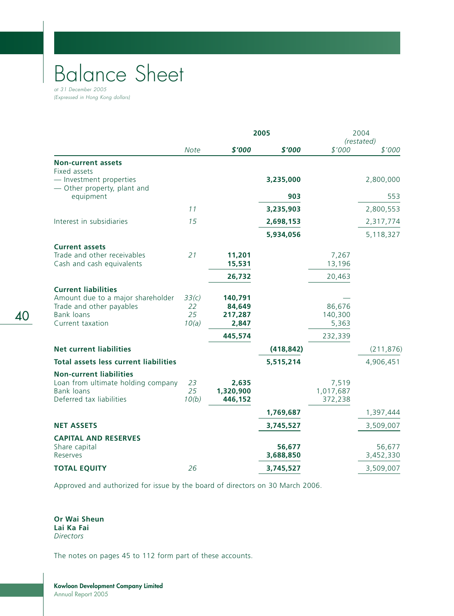## Balance Sheet at 31 December 2005

(Expressed in Hong Kong dollars)

|                                                               |             | 2005                 |                     |                      | 2004<br>(restated)  |
|---------------------------------------------------------------|-------------|----------------------|---------------------|----------------------|---------------------|
|                                                               | <b>Note</b> | \$'000               | \$'000              | \$'000               | \$'000              |
| <b>Non-current assets</b><br>Fixed assets                     |             |                      |                     |                      |                     |
| - Investment properties<br>- Other property, plant and        |             |                      | 3,235,000           |                      | 2,800,000           |
| equipment                                                     |             |                      | 903                 |                      | 553                 |
|                                                               | 11          |                      | 3,235,903           |                      | 2,800,553           |
| Interest in subsidiaries                                      | 15          |                      | 2,698,153           |                      | 2,317,774           |
|                                                               |             |                      | 5,934,056           |                      | 5,118,327           |
| <b>Current assets</b>                                         |             |                      |                     |                      |                     |
| Trade and other receivables<br>Cash and cash equivalents      | 21          | 11,201<br>15,531     |                     | 7,267<br>13,196      |                     |
|                                                               |             | 26,732               |                     | 20,463               |                     |
| <b>Current liabilities</b>                                    |             |                      |                     |                      |                     |
| Amount due to a major shareholder<br>Trade and other payables | 33(c)<br>22 | 140,791<br>84,649    |                     | 86,676               |                     |
| <b>Bank loans</b><br>Current taxation                         | 25<br>10(a) | 217,287<br>2,847     |                     | 140,300<br>5,363     |                     |
|                                                               |             | 445,574              |                     | 232,339              |                     |
| <b>Net current liabilities</b>                                |             |                      | (418, 842)          |                      | (211, 876)          |
| <b>Total assets less current liabilities</b>                  |             |                      | 5,515,214           |                      | 4,906,451           |
| <b>Non-current liabilities</b>                                |             |                      |                     |                      |                     |
| Loan from ultimate holding company                            | 23<br>25    | 2,635                |                     | 7,519                |                     |
| <b>Bank loans</b><br>Deferred tax liabilities                 | 10(b)       | 1,320,900<br>446,152 |                     | 1,017,687<br>372,238 |                     |
|                                                               |             |                      | 1,769,687           |                      | 1,397,444           |
| <b>NET ASSETS</b>                                             |             |                      | 3,745,527           |                      | 3,509,007           |
| <b>CAPITAL AND RESERVES</b>                                   |             |                      |                     |                      |                     |
| Share capital<br>Reserves                                     |             |                      | 56,677<br>3,688,850 |                      | 56,677<br>3,452,330 |
| <b>TOTAL EQUITY</b>                                           | 26          |                      | 3,745,527           |                      | 3,509,007           |

Approved and authorized for issue by the board of directors on 30 March 2006.

**Or Wai Sheun Lai Ka Fai** *Directors*

The notes on pages 45 to 112 form part of these accounts.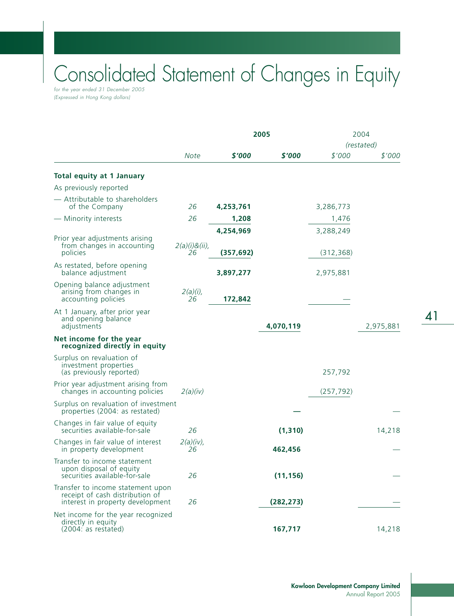## Consolidated Statement of Changes in Equity for the year ended 31 December 2005

(Expressed in Hong Kong dollars)

|                                                                                                          |                        |            | 2005       | 2004<br>(restated) |           |
|----------------------------------------------------------------------------------------------------------|------------------------|------------|------------|--------------------|-----------|
|                                                                                                          | <b>Note</b>            | \$'000     | \$'000     | \$'000             | \$'000    |
| <b>Total equity at 1 January</b>                                                                         |                        |            |            |                    |           |
| As previously reported<br>- Attributable to shareholders                                                 |                        |            |            |                    |           |
| of the Company                                                                                           | 26                     | 4,253,761  |            | 3,286,773          |           |
| - Minority interests                                                                                     | 26                     | 1,208      |            | 1,476              |           |
| Prior year adjustments arising                                                                           |                        | 4,254,969  |            | 3,288,249          |           |
| from changes in accounting<br>policies                                                                   | $2(a)(i)8(ii)$ ,<br>26 | (357, 692) |            | (312, 368)         |           |
| As restated, before opening<br>balance adjustment                                                        |                        | 3,897,277  |            | 2,975,881          |           |
| Opening balance adjustment<br>arising from changes in<br>accounting policies                             | $2(a)(i)$ ,<br>26      | 172,842    |            |                    |           |
| At 1 January, after prior year<br>and opening balance<br>adjustments                                     |                        |            | 4,070,119  |                    | 2,975,881 |
| Net income for the year<br>recognized directly in equity                                                 |                        |            |            |                    |           |
| Surplus on revaluation of<br>investment properties<br>(as previously reported)                           |                        |            |            | 257,792            |           |
| Prior year adjustment arising from<br>changes in accounting policies                                     | 2(a)(iv)               |            |            | (257, 792)         |           |
| Surplus on revaluation of investment<br>properties (2004: as restated)                                   |                        |            |            |                    |           |
| Changes in fair value of equity<br>securities available-for-sale                                         | 26                     |            | (1, 310)   |                    | 14,218    |
| Changes in fair value of interest<br>in property development                                             | $2(a)(iv)$ ,<br>26     |            | 462,456    |                    |           |
| Transfer to income statement<br>upon disposal of equity<br>securities available-for-sale                 | 26                     |            | (11, 156)  |                    |           |
| Transfer to income statement upon<br>receipt of cash distribution of<br>interest in property development | 26                     |            | (282, 273) |                    |           |
| Net income for the year recognized<br>directly in equity<br>(2004: as restated)                          |                        |            | 167,717    |                    | 14,218    |

41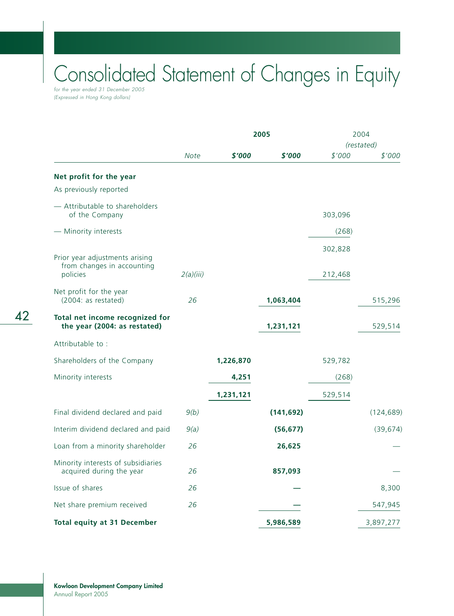## Consolidated Statement of Changes in Equity for the year ended 31 December 2005

(Expressed in Hong Kong dollars)

|                                                                 |             | 2005      |            |         | 2004<br>(restated) |
|-----------------------------------------------------------------|-------------|-----------|------------|---------|--------------------|
|                                                                 | <b>Note</b> | \$'000    | \$'000     | \$'000  | \$'000             |
| Net profit for the year                                         |             |           |            |         |                    |
| As previously reported                                          |             |           |            |         |                    |
| - Attributable to shareholders<br>of the Company                |             |           |            | 303,096 |                    |
| - Minority interests                                            |             |           |            | (268)   |                    |
| Prior year adjustments arising<br>from changes in accounting    |             |           |            | 302,828 |                    |
| policies                                                        | 2(a)(iii)   |           |            | 212,468 |                    |
| Net profit for the year<br>(2004: as restated)                  | 26          |           | 1,063,404  |         | 515,296            |
| Total net income recognized for<br>the year (2004: as restated) |             |           | 1,231,121  |         | 529,514            |
| Attributable to:                                                |             |           |            |         |                    |
| Shareholders of the Company                                     |             | 1,226,870 |            | 529,782 |                    |
| Minority interests                                              |             | 4,251     |            | (268)   |                    |
|                                                                 |             | 1,231,121 |            | 529,514 |                    |
| Final dividend declared and paid                                | 9(b)        |           | (141, 692) |         | (124, 689)         |
| Interim dividend declared and paid                              | 9(a)        |           | (56, 677)  |         | (39, 674)          |
| Loan from a minority shareholder                                | 26          |           | 26,625     |         |                    |
| Minority interests of subsidiaries<br>acquired during the year  | 26          |           | 857,093    |         |                    |
| Issue of shares                                                 | 26          |           |            |         | 8,300              |
| Net share premium received                                      | 26          |           |            |         | 547,945            |
| <b>Total equity at 31 December</b>                              |             |           | 5,986,589  |         | 3,897,277          |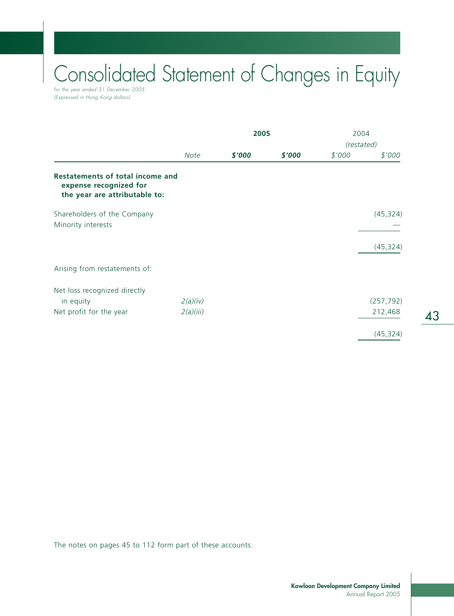# Consolidated Statement of Changes in Equity

for the year ended 31 December 2005 (Expressed in Hong Kong dollars)

|                                                                                                    |             | 2005   |        | 2004       |            |
|----------------------------------------------------------------------------------------------------|-------------|--------|--------|------------|------------|
|                                                                                                    |             |        |        | (restated) |            |
|                                                                                                    | <b>Note</b> | \$'000 | \$'000 | \$'000     | \$'000     |
| <b>Restatements of total income and</b><br>expense recognized for<br>the year are attributable to: |             |        |        |            |            |
| Shareholders of the Company<br>Minority interests                                                  |             |        |        |            | (45, 324)  |
|                                                                                                    |             |        |        |            | (45, 324)  |
| Arising from restatements of:                                                                      |             |        |        |            |            |
| Net loss recognized directly                                                                       |             |        |        |            |            |
| in equity                                                                                          | 2(a)(iv)    |        |        |            | (257, 792) |
| Net profit for the year                                                                            | 2(a)(iii)   |        |        |            | 212,468    |
|                                                                                                    |             |        |        |            | (45, 324)  |

The notes on pages 45 to 112 form part of these accounts.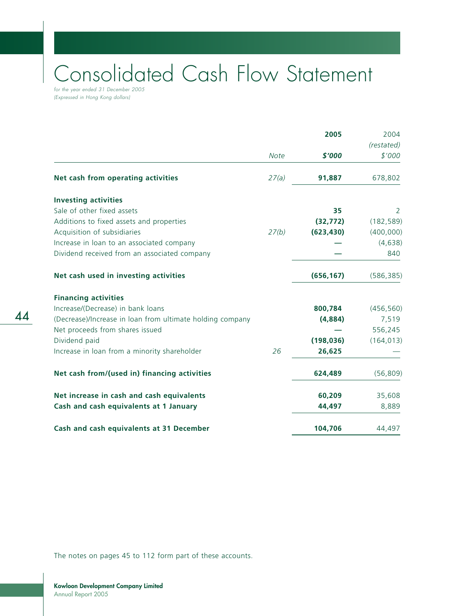# Consolidated Cash Flow Statement

for the year ended 31 December 2005 (Expressed in Hong Kong dollars)

|                                                           |             | 2005       | 2004                 |
|-----------------------------------------------------------|-------------|------------|----------------------|
|                                                           | <b>Note</b> | \$'000     | (restated)<br>\$'000 |
| Net cash from operating activities                        | 27(a)       | 91,887     | 678,802              |
| <b>Investing activities</b>                               |             |            |                      |
| Sale of other fixed assets                                |             | 35         | 2                    |
| Additions to fixed assets and properties                  |             | (32, 772)  | (182, 589)           |
| Acquisition of subsidiaries                               | 27(b)       | (623, 430) | (400,000)            |
| Increase in loan to an associated company                 |             |            | (4,638)              |
| Dividend received from an associated company              |             |            | 840                  |
| Net cash used in investing activities                     |             | (656, 167) | (586, 385)           |
| <b>Financing activities</b>                               |             |            |                      |
| Increase/(Decrease) in bank loans                         |             | 800,784    | (456, 560)           |
| (Decrease)/Increase in loan from ultimate holding company |             | (4,884)    | 7,519                |
| Net proceeds from shares issued                           |             |            | 556,245              |
| Dividend paid                                             |             | (198, 036) | (164, 013)           |
| Increase in loan from a minority shareholder              | 26          | 26,625     |                      |
| Net cash from/(used in) financing activities              |             | 624,489    | (56, 809)            |
| Net increase in cash and cash equivalents                 |             | 60,209     | 35,608               |
| Cash and cash equivalents at 1 January                    |             | 44,497     | 8,889                |
| Cash and cash equivalents at 31 December                  |             | 104,706    | 44,497               |

The notes on pages 45 to 112 form part of these accounts.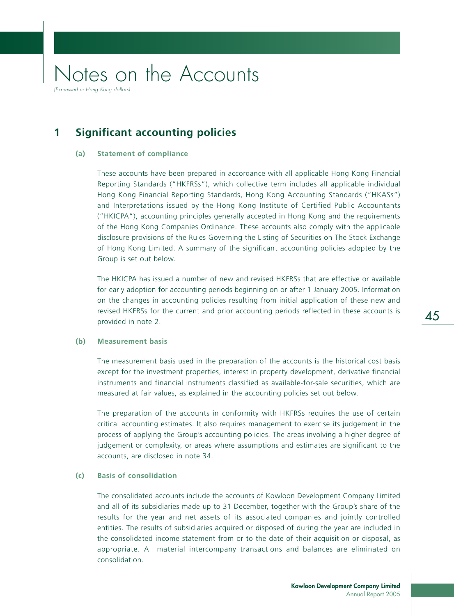## **1 Significant accounting policies**

### **(a) Statement of compliance**

These accounts have been prepared in accordance with all applicable Hong Kong Financial Reporting Standards ("HKFRSs"), which collective term includes all applicable individual Hong Kong Financial Reporting Standards, Hong Kong Accounting Standards ("HKASs") and Interpretations issued by the Hong Kong Institute of Certified Public Accountants ("HKICPA"), accounting principles generally accepted in Hong Kong and the requirements of the Hong Kong Companies Ordinance. These accounts also comply with the applicable disclosure provisions of the Rules Governing the Listing of Securities on The Stock Exchange of Hong Kong Limited. A summary of the significant accounting policies adopted by the Group is set out below.

The HKICPA has issued a number of new and revised HKFRSs that are effective or available for early adoption for accounting periods beginning on or after 1 January 2005. Information on the changes in accounting policies resulting from initial application of these new and revised HKFRSs for the current and prior accounting periods reflected in these accounts is provided in note 2.

### **(b) Measurement basis**

The measurement basis used in the preparation of the accounts is the historical cost basis except for the investment properties, interest in property development, derivative financial instruments and financial instruments classified as available-for-sale securities, which are measured at fair values, as explained in the accounting policies set out below.

The preparation of the accounts in conformity with HKFRSs requires the use of certain critical accounting estimates. It also requires management to exercise its judgement in the process of applying the Group's accounting policies. The areas involving a higher degree of judgement or complexity, or areas where assumptions and estimates are significant to the accounts, are disclosed in note 34.

## **(c) Basis of consolidation**

The consolidated accounts include the accounts of Kowloon Development Company Limited and all of its subsidiaries made up to 31 December, together with the Group's share of the results for the year and net assets of its associated companies and jointly controlled entities. The results of subsidiaries acquired or disposed of during the year are included in the consolidated income statement from or to the date of their acquisition or disposal, as appropriate. All material intercompany transactions and balances are eliminated on consolidation.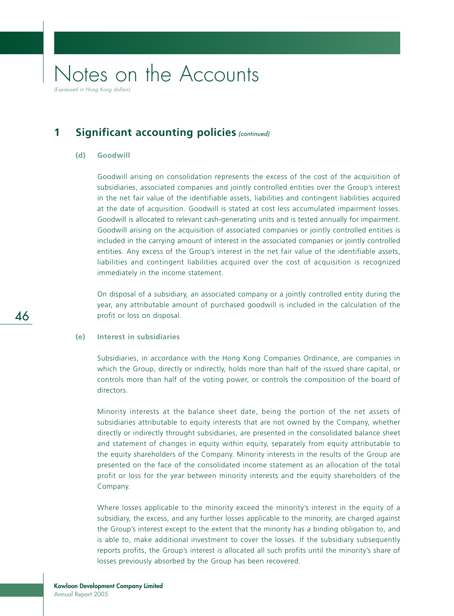(Expressed in Hong Kong dollars)

## **1** Significant accounting policies (continued)

## **(d) Goodwill**

Goodwill arising on consolidation represents the excess of the cost of the acquisition of subsidiaries, associated companies and jointly controlled entities over the Group's interest in the net fair value of the identifiable assets, liabilities and contingent liabilities acquired at the date of acquisition. Goodwill is stated at cost less accumulated impairment losses. Goodwill is allocated to relevant cash-generating units and is tested annually for impairment. Goodwill arising on the acquisition of associated companies or jointly controlled entities is included in the carrying amount of interest in the associated companies or jointly controlled entities. Any excess of the Group's interest in the net fair value of the identifiable assets, liabilities and contingent liabilities acquired over the cost of acquisition is recognized immediately in the income statement.

On disposal of a subsidiary, an associated company or a jointly controlled entity during the year, any attributable amount of purchased goodwill is included in the calculation of the profit or loss on disposal.

## **(e) Interest in subsidiaries**

Subsidiaries, in accordance with the Hong Kong Companies Ordinance, are companies in which the Group, directly or indirectly, holds more than half of the issued share capital, or controls more than half of the voting power, or controls the composition of the board of directors.

Minority interests at the balance sheet date, being the portion of the net assets of subsidiaries attributable to equity interests that are not owned by the Company, whether directly or indirectly throught subsidiaries, are presented in the consolidated balance sheet and statement of changes in equity within equity, separately from equity attributable to the equity shareholders of the Company. Minority interests in the results of the Group are presented on the face of the consolidated income statement as an allocation of the total profit or loss for the year between minority interests and the equity shareholders of the Company.

Where losses applicable to the minority exceed the minority's interest in the equity of a subsidiary, the excess, and any further losses applicable to the minority, are charged against the Group's interest except to the extent that the minority has a binding obligation to, and is able to, make additional investment to cover the losses. If the subsidiary subsequently reports profits, the Group's interest is allocated all such profits until the minority's share of losses previously absorbed by the Group has been recovered.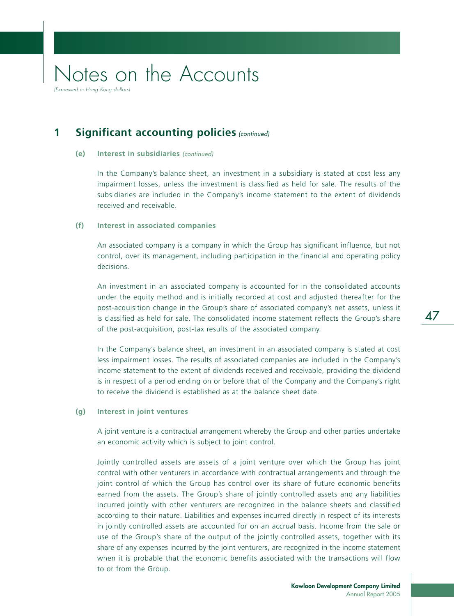**1** Significant accounting policies (continued)

### **(e) Interest in subsidiaries** (continued)

In the Company's balance sheet, an investment in a subsidiary is stated at cost less any impairment losses, unless the investment is classified as held for sale. The results of the subsidiaries are included in the Company's income statement to the extent of dividends received and receivable.

### **(f) Interest in associated companies**

An associated company is a company in which the Group has significant influence, but not control, over its management, including participation in the financial and operating policy decisions.

An investment in an associated company is accounted for in the consolidated accounts under the equity method and is initially recorded at cost and adjusted thereafter for the post-acquisition change in the Group's share of associated company's net assets, unless it is classified as held for sale. The consolidated income statement reflects the Group's share of the post-acquisition, post-tax results of the associated company.

In the Company's balance sheet, an investment in an associated company is stated at cost less impairment losses. The results of associated companies are included in the Company's income statement to the extent of dividends received and receivable, providing the dividend is in respect of a period ending on or before that of the Company and the Company's right to receive the dividend is established as at the balance sheet date.

### **(g) Interest in joint ventures**

A joint venture is a contractual arrangement whereby the Group and other parties undertake an economic activity which is subject to joint control.

Jointly controlled assets are assets of a joint venture over which the Group has joint control with other venturers in accordance with contractual arrangements and through the joint control of which the Group has control over its share of future economic benefits earned from the assets. The Group's share of jointly controlled assets and any liabilities incurred jointly with other venturers are recognized in the balance sheets and classified according to their nature. Liabilities and expenses incurred directly in respect of its interests in jointly controlled assets are accounted for on an accrual basis. Income from the sale or use of the Group's share of the output of the jointly controlled assets, together with its share of any expenses incurred by the joint venturers, are recognized in the income statement when it is probable that the economic benefits associated with the transactions will flow to or from the Group.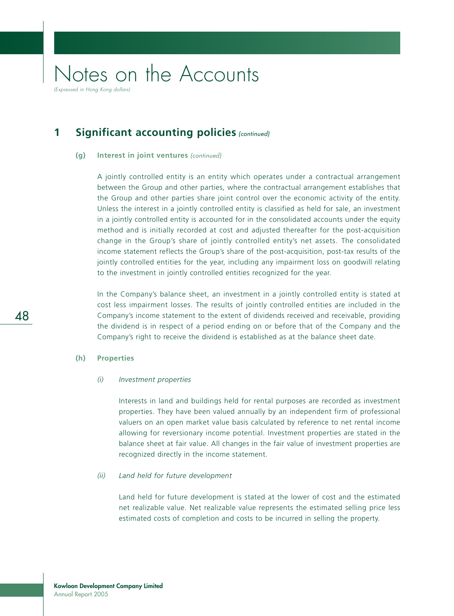**1** Significant accounting policies (continued)

#### **(g) Interest in joint ventures** (continued)

A jointly controlled entity is an entity which operates under a contractual arrangement between the Group and other parties, where the contractual arrangement establishes that the Group and other parties share joint control over the economic activity of the entity. Unless the interest in a jointly controlled entity is classified as held for sale, an investment in a jointly controlled entity is accounted for in the consolidated accounts under the equity method and is initially recorded at cost and adjusted thereafter for the post-acquisition change in the Group's share of jointly controlled entity's net assets. The consolidated income statement reflects the Group's share of the post-acquisition, post-tax results of the jointly controlled entities for the year, including any impairment loss on goodwill relating to the investment in jointly controlled entities recognized for the year.

In the Company's balance sheet, an investment in a jointly controlled entity is stated at cost less impairment losses. The results of jointly controlled entities are included in the Company's income statement to the extent of dividends received and receivable, providing the dividend is in respect of a period ending on or before that of the Company and the Company's right to receive the dividend is established as at the balance sheet date.

### **(h) Properties**

#### *(i) Investment properties*

Interests in land and buildings held for rental purposes are recorded as investment properties. They have been valued annually by an independent firm of professional valuers on an open market value basis calculated by reference to net rental income allowing for reversionary income potential. Investment properties are stated in the balance sheet at fair value. All changes in the fair value of investment properties are recognized directly in the income statement.

### *(ii) Land held for future development*

Land held for future development is stated at the lower of cost and the estimated net realizable value. Net realizable value represents the estimated selling price less estimated costs of completion and costs to be incurred in selling the property.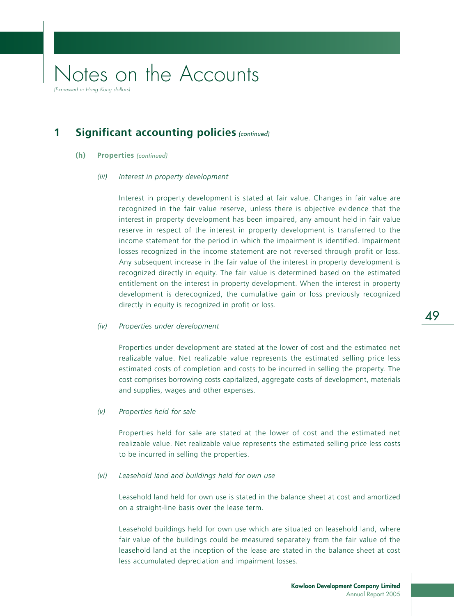## **1** Significant accounting policies (continued)

- **(h) Properties** (continued)
	- *(iii) Interest in property development*

Interest in property development is stated at fair value. Changes in fair value are recognized in the fair value reserve, unless there is objective evidence that the interest in property development has been impaired, any amount held in fair value reserve in respect of the interest in property development is transferred to the income statement for the period in which the impairment is identified. Impairment losses recognized in the income statement are not reversed through profit or loss. Any subsequent increase in the fair value of the interest in property development is recognized directly in equity. The fair value is determined based on the estimated entitlement on the interest in property development. When the interest in property development is derecognized, the cumulative gain or loss previously recognized directly in equity is recognized in profit or loss.

#### *(iv) Properties under development*

Properties under development are stated at the lower of cost and the estimated net realizable value. Net realizable value represents the estimated selling price less estimated costs of completion and costs to be incurred in selling the property. The cost comprises borrowing costs capitalized, aggregate costs of development, materials and supplies, wages and other expenses.

*(v) Properties held for sale*

Properties held for sale are stated at the lower of cost and the estimated net realizable value. Net realizable value represents the estimated selling price less costs to be incurred in selling the properties.

#### *(vi) Leasehold land and buildings held for own use*

Leasehold land held for own use is stated in the balance sheet at cost and amortized on a straight-line basis over the lease term.

Leasehold buildings held for own use which are situated on leasehold land, where fair value of the buildings could be measured separately from the fair value of the leasehold land at the inception of the lease are stated in the balance sheet at cost less accumulated depreciation and impairment losses.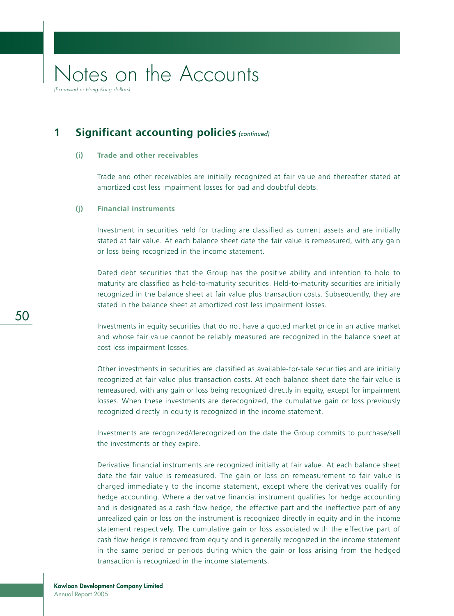(Expressed in Hong Kong dollars

## **1** Significant accounting policies (continued)

### **(i) Trade and other receivables**

Trade and other receivables are initially recognized at fair value and thereafter stated at amortized cost less impairment losses for bad and doubtful debts.

## **(j) Financial instruments**

Investment in securities held for trading are classified as current assets and are initially stated at fair value. At each balance sheet date the fair value is remeasured, with any gain or loss being recognized in the income statement.

Dated debt securities that the Group has the positive ability and intention to hold to maturity are classified as held-to-maturity securities. Held-to-maturity securities are initially recognized in the balance sheet at fair value plus transaction costs. Subsequently, they are stated in the balance sheet at amortized cost less impairment losses.

Investments in equity securities that do not have a quoted market price in an active market and whose fair value cannot be reliably measured are recognized in the balance sheet at cost less impairment losses.

Other investments in securities are classified as available-for-sale securities and are initially recognized at fair value plus transaction costs. At each balance sheet date the fair value is remeasured, with any gain or loss being recognized directly in equity, except for impairment losses. When these investments are derecognized, the cumulative gain or loss previously recognized directly in equity is recognized in the income statement.

Investments are recognized/derecognized on the date the Group commits to purchase/sell the investments or they expire.

Derivative financial instruments are recognized initially at fair value. At each balance sheet date the fair value is remeasured. The gain or loss on remeasurement to fair value is charged immediately to the income statement, except where the derivatives qualify for hedge accounting. Where a derivative financial instrument qualifies for hedge accounting and is designated as a cash flow hedge, the effective part and the ineffective part of any unrealized gain or loss on the instrument is recognized directly in equity and in the income statement respectively. The cumulative gain or loss associated with the effective part of cash flow hedge is removed from equity and is generally recognized in the income statement in the same period or periods during which the gain or loss arising from the hedged transaction is recognized in the income statements.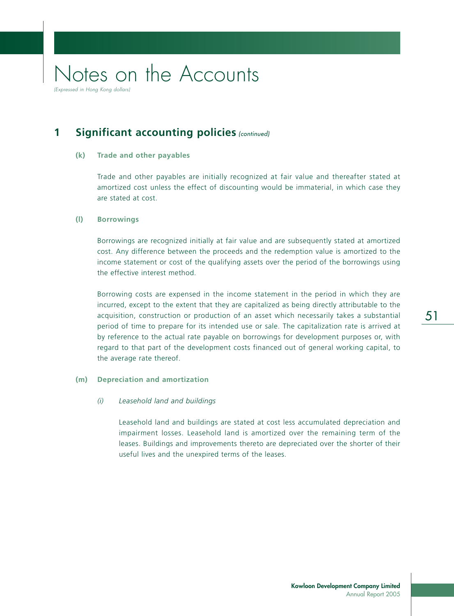## **1** Significant accounting policies (continued)

### **(k) Trade and other payables**

Trade and other payables are initially recognized at fair value and thereafter stated at amortized cost unless the effect of discounting would be immaterial, in which case they are stated at cost.

### **(l) Borrowings**

Borrowings are recognized initially at fair value and are subsequently stated at amortized cost. Any difference between the proceeds and the redemption value is amortized to the income statement or cost of the qualifying assets over the period of the borrowings using the effective interest method.

Borrowing costs are expensed in the income statement in the period in which they are incurred, except to the extent that they are capitalized as being directly attributable to the acquisition, construction or production of an asset which necessarily takes a substantial period of time to prepare for its intended use or sale. The capitalization rate is arrived at by reference to the actual rate payable on borrowings for development purposes or, with regard to that part of the development costs financed out of general working capital, to the average rate thereof.

### **(m) Depreciation and amortization**

### *(i) Leasehold land and buildings*

Leasehold land and buildings are stated at cost less accumulated depreciation and impairment losses. Leasehold land is amortized over the remaining term of the leases. Buildings and improvements thereto are depreciated over the shorter of their useful lives and the unexpired terms of the leases.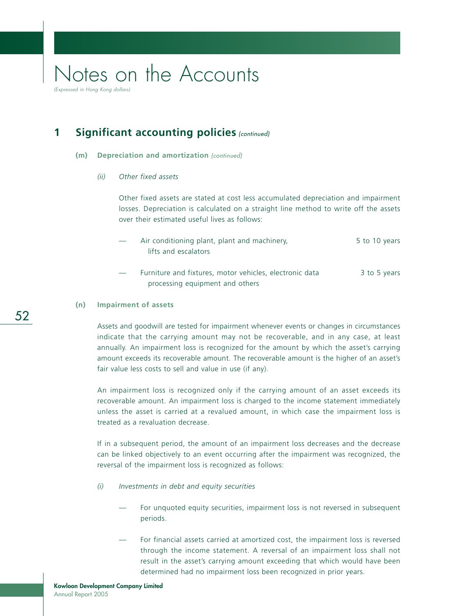(Expressed in Hong Kong dollars)

## **1** Significant accounting policies (continued)

#### **(m) Depreciation and amortization** (continued)

#### *(ii) Other fixed assets*

Other fixed assets are stated at cost less accumulated depreciation and impairment losses. Depreciation is calculated on a straight line method to write off the assets over their estimated useful lives as follows:

- Air conditioning plant, plant and machinery, 5 to 10 years lifts and escalators
- Furniture and fixtures, motor vehicles, electronic data 3 to 5 years processing equipment and others

#### **(n) Impairment of assets**

Assets and goodwill are tested for impairment whenever events or changes in circumstances indicate that the carrying amount may not be recoverable, and in any case, at least annually. An impairment loss is recognized for the amount by which the asset's carrying amount exceeds its recoverable amount. The recoverable amount is the higher of an asset's fair value less costs to sell and value in use (if any).

An impairment loss is recognized only if the carrying amount of an asset exceeds its recoverable amount. An impairment loss is charged to the income statement immediately unless the asset is carried at a revalued amount, in which case the impairment loss is treated as a revaluation decrease.

If in a subsequent period, the amount of an impairment loss decreases and the decrease can be linked objectively to an event occurring after the impairment was recognized, the reversal of the impairment loss is recognized as follows:

- *(i) Investments in debt and equity securities*
	- For unquoted equity securities, impairment loss is not reversed in subsequent periods.
	- For financial assets carried at amortized cost, the impairment loss is reversed through the income statement. A reversal of an impairment loss shall not result in the asset's carrying amount exceeding that which would have been determined had no impairment loss been recognized in prior years.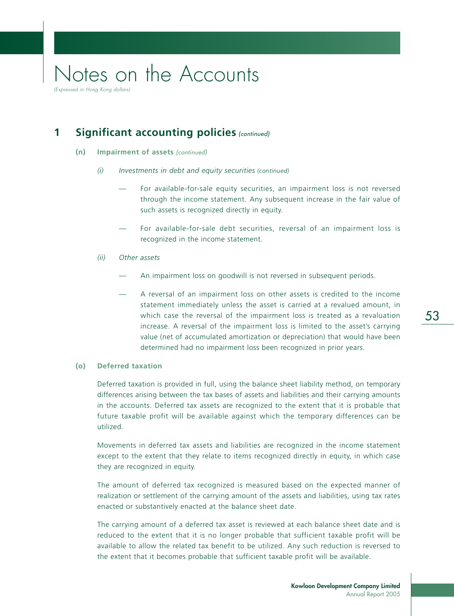## 53

## Notes on the Accounts (Expressed in Hong Kong dollars)

**1** Significant accounting policies (continued)

- **(n) Impairment of assets** (continued)
	- *(i) Investments in debt and equity securities (continued)*
		- For available-for-sale equity securities, an impairment loss is not reversed through the income statement. Any subsequent increase in the fair value of such assets is recognized directly in equity.
		- For available-for-sale debt securities, reversal of an impairment loss is recognized in the income statement.
	- *(ii) Other assets*
		- An impairment loss on goodwill is not reversed in subsequent periods.
		- A reversal of an impairment loss on other assets is credited to the income statement immediately unless the asset is carried at a revalued amount, in which case the reversal of the impairment loss is treated as a revaluation increase. A reversal of the impairment loss is limited to the asset's carrying value (net of accumulated amortization or depreciation) that would have been determined had no impairment loss been recognized in prior years.

### **(o) Deferred taxation**

Deferred taxation is provided in full, using the balance sheet liability method, on temporary differences arising between the tax bases of assets and liabilities and their carrying amounts in the accounts. Deferred tax assets are recognized to the extent that it is probable that future taxable profit will be available against which the temporary differences can be utilized.

Movements in deferred tax assets and liabilities are recognized in the income statement except to the extent that they relate to items recognized directly in equity, in which case they are recognized in equity.

The amount of deferred tax recognized is measured based on the expected manner of realization or settlement of the carrying amount of the assets and liabilities, using tax rates enacted or substantively enacted at the balance sheet date.

The carrying amount of a deferred tax asset is reviewed at each balance sheet date and is reduced to the extent that it is no longer probable that sufficient taxable profit will be available to allow the related tax benefit to be utilized. Any such reduction is reversed to the extent that it becomes probable that sufficient taxable profit will be available.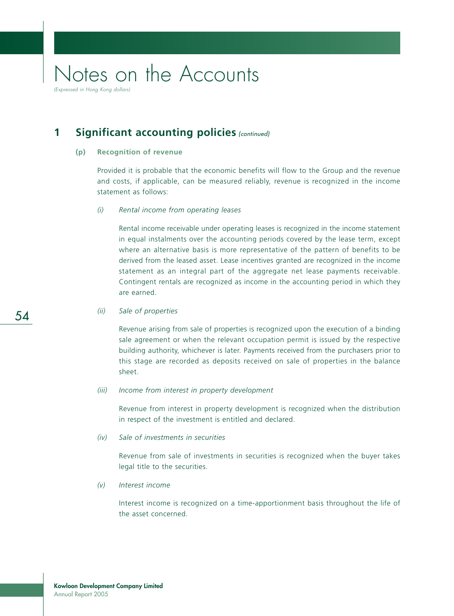(Expressed in Hong Kong dollar

## **1** Significant accounting policies (continued)

#### **(p) Recognition of revenue**

Provided it is probable that the economic benefits will flow to the Group and the revenue and costs, if applicable, can be measured reliably, revenue is recognized in the income statement as follows:

## *(i) Rental income from operating leases*

Rental income receivable under operating leases is recognized in the income statement in equal instalments over the accounting periods covered by the lease term, except where an alternative basis is more representative of the pattern of benefits to be derived from the leased asset. Lease incentives granted are recognized in the income statement as an integral part of the aggregate net lease payments receivable. Contingent rentals are recognized as income in the accounting period in which they are earned.

### *(ii) Sale of properties*

Revenue arising from sale of properties is recognized upon the execution of a binding sale agreement or when the relevant occupation permit is issued by the respective building authority, whichever is later. Payments received from the purchasers prior to this stage are recorded as deposits received on sale of properties in the balance sheet.

#### *(iii) Income from interest in property development*

Revenue from interest in property development is recognized when the distribution in respect of the investment is entitled and declared.

*(iv) Sale of investments in securities*

Revenue from sale of investments in securities is recognized when the buyer takes legal title to the securities.

#### *(v) Interest income*

Interest income is recognized on a time-apportionment basis throughout the life of the asset concerned.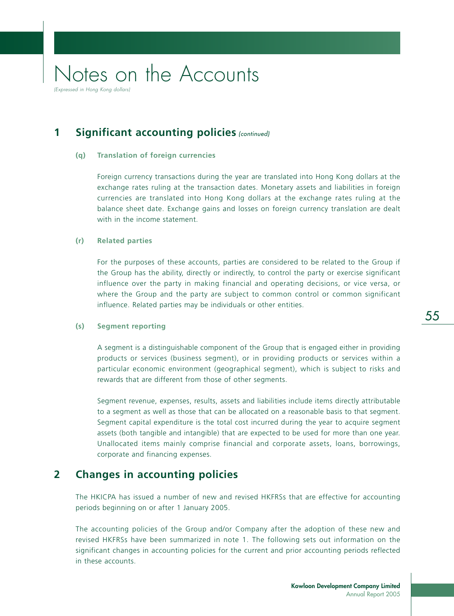(Expressed in Hong Kong dollars)

## **1** Significant accounting policies (continued)

### **(q) Translation of foreign currencies**

Foreign currency transactions during the year are translated into Hong Kong dollars at the exchange rates ruling at the transaction dates. Monetary assets and liabilities in foreign currencies are translated into Hong Kong dollars at the exchange rates ruling at the balance sheet date. Exchange gains and losses on foreign currency translation are dealt with in the income statement.

### **(r) Related parties**

For the purposes of these accounts, parties are considered to be related to the Group if the Group has the ability, directly or indirectly, to control the party or exercise significant influence over the party in making financial and operating decisions, or vice versa, or where the Group and the party are subject to common control or common significant influence. Related parties may be individuals or other entities.

#### **(s) Segment reporting**

A segment is a distinguishable component of the Group that is engaged either in providing products or services (business segment), or in providing products or services within a particular economic environment (geographical segment), which is subject to risks and rewards that are different from those of other segments.

Segment revenue, expenses, results, assets and liabilities include items directly attributable to a segment as well as those that can be allocated on a reasonable basis to that segment. Segment capital expenditure is the total cost incurred during the year to acquire segment assets (both tangible and intangible) that are expected to be used for more than one year. Unallocated items mainly comprise financial and corporate assets, loans, borrowings, corporate and financing expenses.

## **2 Changes in accounting policies**

The HKICPA has issued a number of new and revised HKFRSs that are effective for accounting periods beginning on or after 1 January 2005.

The accounting policies of the Group and/or Company after the adoption of these new and revised HKFRSs have been summarized in note 1. The following sets out information on the significant changes in accounting policies for the current and prior accounting periods reflected in these accounts.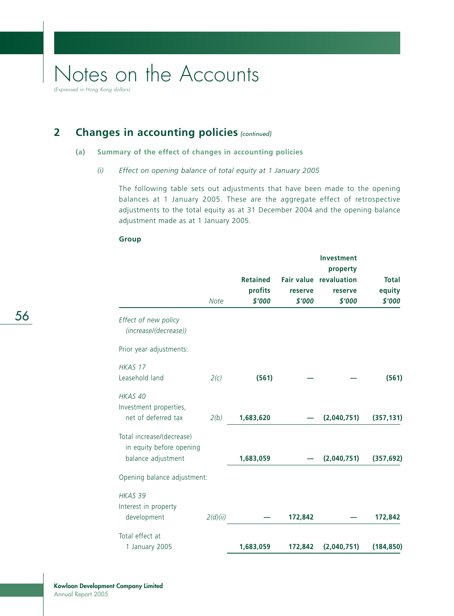(Expressed in Hong Kong dollars)

## **2** Changes in accounting policies (continued)

## **(a) Summary of the effect of changes in accounting policies**

## *(i) Effect on opening balance of total equity at 1 January 2005*

The following table sets out adjustments that have been made to the opening balances at 1 January 2005. These are the aggregate effect of retrospective adjustments to the total equity as at 31 December 2004 and the opening balance adjustment made as at 1 January 2005.

|                                                                             | <b>Note</b> | <b>Retained</b><br>profits<br>\$'000 | reserve<br>\$'000 | Investment<br>property<br>Fair value revaluation<br>reserve<br>\$'000 | <b>Total</b><br>equity<br>\$'000 |
|-----------------------------------------------------------------------------|-------------|--------------------------------------|-------------------|-----------------------------------------------------------------------|----------------------------------|
| Effect of new policy<br>(increase/(decrease))                               |             |                                      |                   |                                                                       |                                  |
| Prior year adjustments:                                                     |             |                                      |                   |                                                                       |                                  |
| HKAS 17<br>Leasehold land                                                   | 2(c)        | (561)                                |                   |                                                                       | (561)                            |
| HKAS 40<br>Investment properties,<br>net of deferred tax                    | 2(b)        | 1,683,620                            |                   | (2,040,751)                                                           | (357, 131)                       |
| Total increase/(decrease)<br>in equity before opening<br>balance adjustment |             | 1,683,059                            |                   | (2,040,751)                                                           | (357, 692)                       |
| Opening balance adjustment:                                                 |             |                                      |                   |                                                                       |                                  |
| HKAS 39<br>Interest in property<br>development                              | 2(d)(ii)    |                                      | 172,842           |                                                                       | 172,842                          |
| Total effect at<br>1 January 2005                                           |             | 1,683,059                            | 172,842           | (2,040,751)                                                           | (184, 850)                       |

### **Group**

56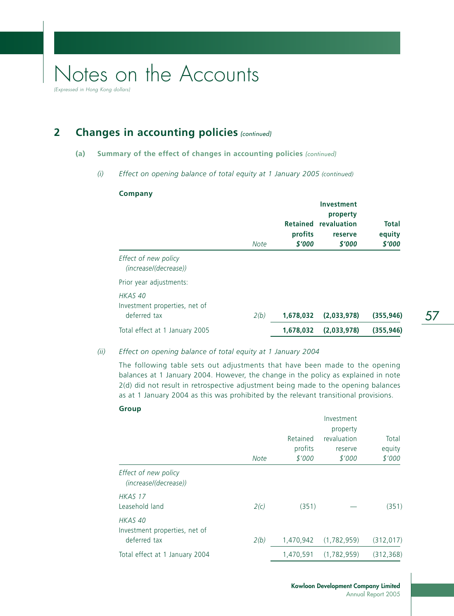(Expressed in Hong Kong dollars)

## **2** Changes in accounting policies (continued)

## **(a) Summary of the effect of changes in accounting policies** (continued)

## *(i) Effect on opening balance of total equity at 1 January 2005 (continued)*

### **Company**

|                                                                     | <b>Note</b> | profits<br>\$'000 | <b>Investment</b><br>property<br>Retained revaluation<br>reserve<br>\$'000 | <b>Total</b><br>equity<br>\$'000 |
|---------------------------------------------------------------------|-------------|-------------------|----------------------------------------------------------------------------|----------------------------------|
| Effect of new policy<br>(increase/(decrease))                       |             |                   |                                                                            |                                  |
| Prior year adjustments:                                             |             |                   |                                                                            |                                  |
| HKAS <sub>40</sub><br>Investment properties, net of<br>deferred tax | 2(b)        | 1,678,032         | (2.033.978)                                                                | (355.946)                        |
| Total effect at 1 January 2005                                      |             | 1,678,032         | (2,033,978)                                                                | (355, 946)                       |

## *(ii) Effect on opening balance of total equity at 1 January 2004*

The following table sets out adjustments that have been made to the opening balances at 1 January 2004. However, the change in the policy as explained in note 2(d) did not result in retrospective adjustment being made to the opening balances as at 1 January 2004 as this was prohibited by the relevant transitional provisions.

#### **Group**

|                                                          | <b>Note</b> | Retained<br>profits<br>\$'000 | Investment<br>property<br>revaluation<br>reserve<br>\$'000 | Total<br>equity<br>\$'000 |
|----------------------------------------------------------|-------------|-------------------------------|------------------------------------------------------------|---------------------------|
| Effect of new policy<br>(increase/(decrease))            |             |                               |                                                            |                           |
| HKAS 17<br>Leasehold land                                | 2(c)        | (351)                         |                                                            | (351)                     |
| HKAS 40<br>Investment properties, net of<br>deferred tax | 2(b)        | 1,470,942                     | (1,782,959)                                                | (312, 017)                |
| Total effect at 1 January 2004                           |             | 1.470.591                     | (1,782,959)                                                | (312, 368)                |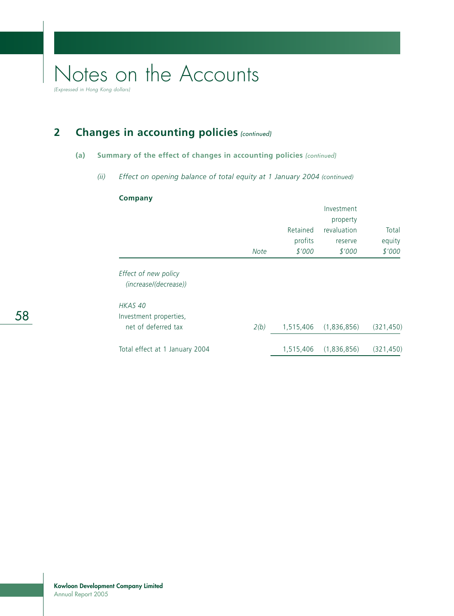(Expressed in Hong Kong dollars)

## **2** Changes in accounting policies (continued)

## **(a) Summary of the effect of changes in accounting policies** (continued)

*(ii) Effect on opening balance of total equity at 1 January 2004 (continued)*

## **Company**

|                                               |             |           | Investment  |            |
|-----------------------------------------------|-------------|-----------|-------------|------------|
|                                               |             |           | property    |            |
|                                               |             | Retained  | revaluation | Total      |
|                                               |             | profits   | reserve     | equity     |
|                                               | <b>Note</b> | \$'000    | \$'000      | \$'000     |
| Effect of new policy<br>(increase/(decrease)) |             |           |             |            |
| HKAS 40                                       |             |           |             |            |
| Investment properties,                        |             |           |             |            |
| net of deferred tax                           | 2(b)        | 1,515,406 | (1,836,856) | (321, 450) |
| Total effect at 1 January 2004                |             | 1,515,406 | (1,836,856) | (321, 450) |
|                                               |             |           |             |            |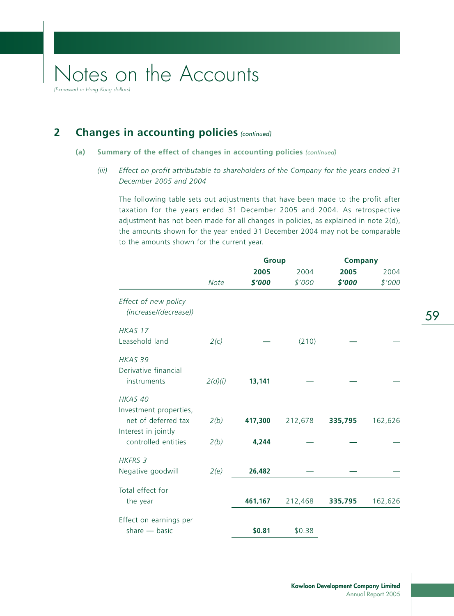## **2** Changes in accounting policies (continued)

## **(a) Summary of the effect of changes in accounting policies** (continued)

*(iii) Effect on profit attributable to shareholders of the Company for the years ended 31 December 2005 and 2004*

The following table sets out adjustments that have been made to the profit after taxation for the years ended 31 December 2005 and 2004. As retrospective adjustment has not been made for all changes in policies, as explained in note 2(d), the amounts shown for the year ended 31 December 2004 may not be comparable to the amounts shown for the current year.

|                                               |             | <b>Group</b> |         | <b>Company</b> |         |
|-----------------------------------------------|-------------|--------------|---------|----------------|---------|
|                                               |             | 2005         | 2004    | 2005           | 2004    |
|                                               | <b>Note</b> | \$'000       | \$'000  | \$'000         | \$'000  |
| Effect of new policy<br>(increase/(decrease)) |             |              |         |                |         |
| HKAS 17                                       |             |              |         |                |         |
| Leasehold land                                | 2(c)        |              | (210)   |                |         |
| HKAS 39                                       |             |              |         |                |         |
| Derivative financial                          |             |              |         |                |         |
| instruments                                   | 2(d)(i)     | 13,141       |         |                |         |
| HKAS 40                                       |             |              |         |                |         |
| Investment properties,                        |             |              |         |                |         |
| net of deferred tax                           | 2(b)        | 417,300      | 212,678 | 335,795        | 162,626 |
| Interest in jointly                           |             |              |         |                |         |
| controlled entities                           | 2(b)        | 4,244        |         |                |         |
| <b>HKFRS 3</b>                                |             |              |         |                |         |
| Negative goodwill                             | 2(e)        | 26,482       |         |                |         |
| Total effect for                              |             |              |         |                |         |
| the year                                      |             | 461,167      | 212,468 | 335,795        | 162,626 |
| Effect on earnings per                        |             |              |         |                |         |
| share $-$ basic                               |             | \$0.81       | \$0.38  |                |         |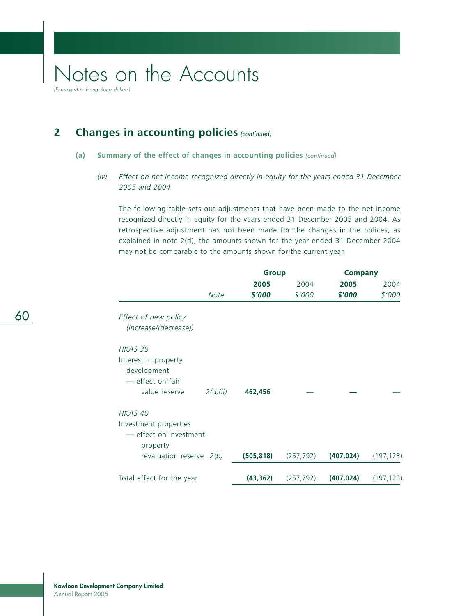(Expressed in Hong Kong dollars)

## **2** Changes in accounting policies (continued)

## **(a) Summary of the effect of changes in accounting policies** (continued)

*(iv) Effect on net income recognized directly in equity for the years ended 31 December 2005 and 2004*

The following table sets out adjustments that have been made to the net income recognized directly in equity for the years ended 31 December 2005 and 2004. As retrospective adjustment has not been made for the changes in the polices, as explained in note 2(d), the amounts shown for the year ended 31 December 2004 may not be comparable to the amounts shown for the current year.

|                                                                        |             | <b>Group</b> |            | <b>Company</b> |            |
|------------------------------------------------------------------------|-------------|--------------|------------|----------------|------------|
|                                                                        | 2005        | 2004         | 2005       | 2004           |            |
|                                                                        | <b>Note</b> | \$'000       | \$'000     | \$'000         | \$'000     |
| Effect of new policy<br>(increase/(decrease))                          |             |              |            |                |            |
| HKAS 39                                                                |             |              |            |                |            |
| Interest in property<br>development<br>— effect on fair                |             |              |            |                |            |
| value reserve                                                          | 2(d)(ii)    | 462,456      |            |                |            |
| HKAS 40<br>Investment properties<br>- effect on investment<br>property |             |              |            |                |            |
| revaluation reserve $2(b)$                                             |             | (505, 818)   | (257, 792) | (407, 024)     | (197, 123) |
| Total effect for the year                                              |             | (43, 362)    | (257, 792) | (407, 024)     | (197, 123) |

60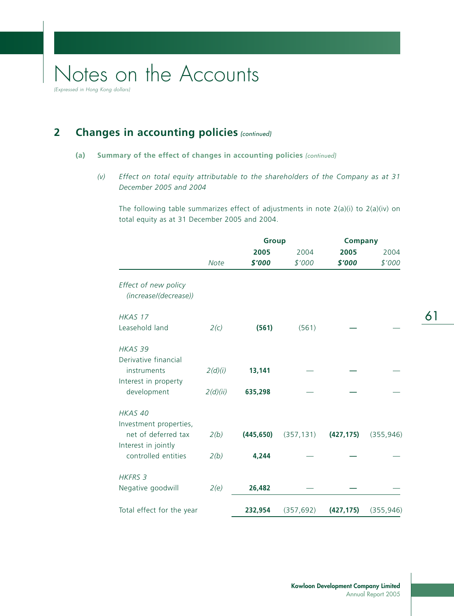(Expressed in Hong Kong dollars)

## **2** Changes in accounting policies (continued)

## **(a) Summary of the effect of changes in accounting policies** (continued)

*(v) Effect on total equity attributable to the shareholders of the Company as at 31 December 2005 and 2004*

The following table summarizes effect of adjustments in note 2(a)(i) to 2(a)(iv) on total equity as at 31 December 2005 and 2004.

|                                               |          | <b>Group</b> |            | <b>Company</b> |            |
|-----------------------------------------------|----------|--------------|------------|----------------|------------|
|                                               |          | 2005         | 2004       | 2005           | 2004       |
|                                               | Note     | \$'000       | \$'000     | \$'000         | \$'000     |
| Effect of new policy<br>(increase/(decrease)) |          |              |            |                |            |
| HKAS 17                                       |          |              |            |                |            |
| Leasehold land                                | 2(c)     | (561)        | (561)      |                |            |
| HKAS 39                                       |          |              |            |                |            |
| Derivative financial<br>instruments           | 2(d)(i)  | 13,141       |            |                |            |
| Interest in property                          |          |              |            |                |            |
| development                                   | 2(d)(ii) | 635,298      |            |                |            |
| HKAS 40                                       |          |              |            |                |            |
| Investment properties,                        |          |              |            |                |            |
| net of deferred tax<br>Interest in jointly    | 2(b)     | (445, 650)   | (357, 131) | (427, 175)     | (355, 946) |
| controlled entities                           | 2(b)     | 4,244        |            |                |            |
| <b>HKFRS 3</b>                                |          |              |            |                |            |
| Negative goodwill                             | 2(e)     | 26,482       |            |                |            |
| Total effect for the year                     |          | 232,954      | (357, 692) | (427, 175)     | (355, 946) |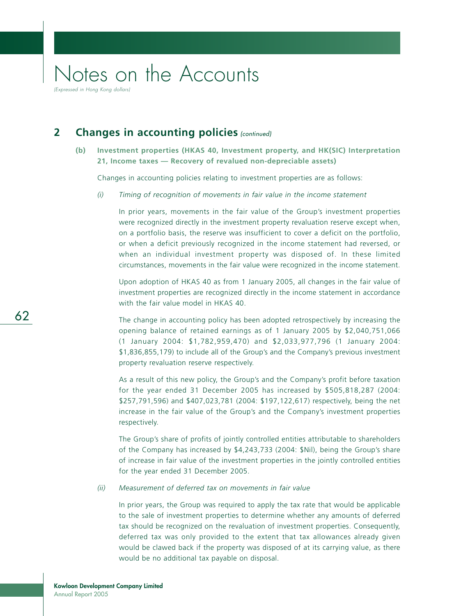(Expressed in Hong Kong dollars)

## **2** Changes in accounting policies (continued)

## **(b) Investment properties (HKAS 40, Investment property, and HK(SIC) Interpretation 21, Income taxes — Recovery of revalued non-depreciable assets)**

Changes in accounting policies relating to investment properties are as follows:

*(i) Timing of recognition of movements in fair value in the income statement*

In prior years, movements in the fair value of the Group's investment properties were recognized directly in the investment property revaluation reserve except when, on a portfolio basis, the reserve was insufficient to cover a deficit on the portfolio, or when a deficit previously recognized in the income statement had reversed, or when an individual investment property was disposed of. In these limited circumstances, movements in the fair value were recognized in the income statement.

Upon adoption of HKAS 40 as from 1 January 2005, all changes in the fair value of investment properties are recognized directly in the income statement in accordance with the fair value model in HKAS 40.

The change in accounting policy has been adopted retrospectively by increasing the opening balance of retained earnings as of 1 January 2005 by \$2,040,751,066 (1 January 2004: \$1,782,959,470) and \$2,033,977,796 (1 January 2004: \$1,836,855,179) to include all of the Group's and the Company's previous investment property revaluation reserve respectively.

As a result of this new policy, the Group's and the Company's profit before taxation for the year ended 31 December 2005 has increased by \$505,818,287 (2004: \$257,791,596) and \$407,023,781 (2004: \$197,122,617) respectively, being the net increase in the fair value of the Group's and the Company's investment properties respectively.

The Group's share of profits of jointly controlled entities attributable to shareholders of the Company has increased by \$4,243,733 (2004: \$Nil), being the Group's share of increase in fair value of the investment properties in the jointly controlled entities for the year ended 31 December 2005.

#### *(ii) Measurement of deferred tax on movements in fair value*

In prior years, the Group was required to apply the tax rate that would be applicable to the sale of investment properties to determine whether any amounts of deferred tax should be recognized on the revaluation of investment properties. Consequently, deferred tax was only provided to the extent that tax allowances already given would be clawed back if the property was disposed of at its carrying value, as there would be no additional tax payable on disposal.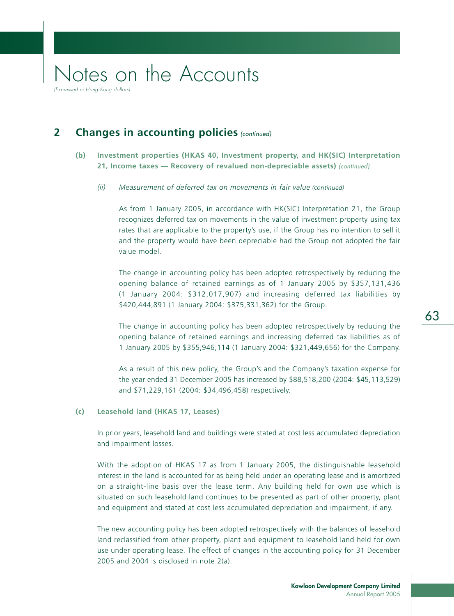#### **Kowloon Development Company Limited** Annual Report 2005

## Notes on the Accounts

(Expressed in Hong Kong dollars)

## **2** Changes in accounting policies (continued)

## **(b) Investment properties (HKAS 40, Investment property, and HK(SIC) Interpretation 21, Income taxes — Recovery of revalued non-depreciable assets)** (continued)

#### *(ii) Measurement of deferred tax on movements in fair value (continued)*

As from 1 January 2005, in accordance with HK(SIC) Interpretation 21, the Group recognizes deferred tax on movements in the value of investment property using tax rates that are applicable to the property's use, if the Group has no intention to sell it and the property would have been depreciable had the Group not adopted the fair value model.

The change in accounting policy has been adopted retrospectively by reducing the opening balance of retained earnings as of 1 January 2005 by \$357,131,436 (1 January 2004: \$312,017,907) and increasing deferred tax liabilities by \$420,444,891 (1 January 2004: \$375,331,362) for the Group.

The change in accounting policy has been adopted retrospectively by reducing the opening balance of retained earnings and increasing deferred tax liabilities as of 1 January 2005 by \$355,946,114 (1 January 2004: \$321,449,656) for the Company.

As a result of this new policy, the Group's and the Company's taxation expense for the year ended 31 December 2005 has increased by \$88,518,200 (2004: \$45,113,529) and \$71,229,161 (2004: \$34,496,458) respectively.

#### **(c) Leasehold land (HKAS 17, Leases)**

In prior years, leasehold land and buildings were stated at cost less accumulated depreciation and impairment losses.

With the adoption of HKAS 17 as from 1 January 2005, the distinguishable leasehold interest in the land is accounted for as being held under an operating lease and is amortized on a straight-line basis over the lease term. Any building held for own use which is situated on such leasehold land continues to be presented as part of other property, plant and equipment and stated at cost less accumulated depreciation and impairment, if any.

The new accounting policy has been adopted retrospectively with the balances of leasehold land reclassified from other property, plant and equipment to leasehold land held for own use under operating lease. The effect of changes in the accounting policy for 31 December 2005 and 2004 is disclosed in note 2(a).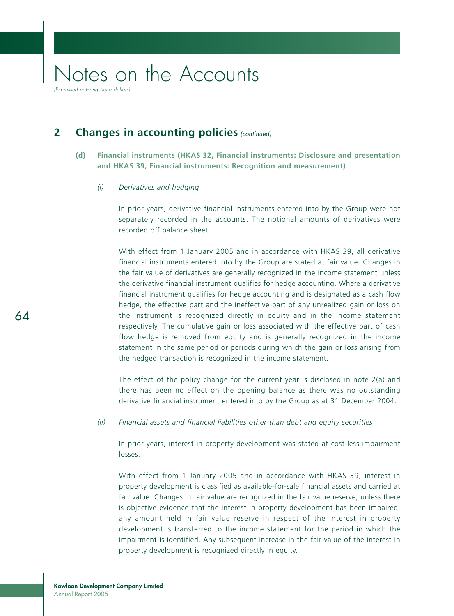**2** Changes in accounting policies (continued)

- **(d) Financial instruments (HKAS 32, Financial instruments: Disclosure and presentation and HKAS 39, Financial instruments: Recognition and measurement)**
	- *(i) Derivatives and hedging*

In prior years, derivative financial instruments entered into by the Group were not separately recorded in the accounts. The notional amounts of derivatives were recorded off balance sheet.

With effect from 1 January 2005 and in accordance with HKAS 39, all derivative financial instruments entered into by the Group are stated at fair value. Changes in the fair value of derivatives are generally recognized in the income statement unless the derivative financial instrument qualifies for hedge accounting. Where a derivative financial instrument qualifies for hedge accounting and is designated as a cash flow hedge, the effective part and the ineffective part of any unrealized gain or loss on the instrument is recognized directly in equity and in the income statement respectively. The cumulative gain or loss associated with the effective part of cash flow hedge is removed from equity and is generally recognized in the income statement in the same period or periods during which the gain or loss arising from the hedged transaction is recognized in the income statement.

The effect of the policy change for the current year is disclosed in note  $2(a)$  and there has been no effect on the opening balance as there was no outstanding derivative financial instrument entered into by the Group as at 31 December 2004.

*(ii) Financial assets and financial liabilities other than debt and equity securities*

In prior years, interest in property development was stated at cost less impairment losses.

With effect from 1 January 2005 and in accordance with HKAS 39, interest in property development is classified as available-for-sale financial assets and carried at fair value. Changes in fair value are recognized in the fair value reserve, unless there is objective evidence that the interest in property development has been impaired, any amount held in fair value reserve in respect of the interest in property development is transferred to the income statement for the period in which the impairment is identified. Any subsequent increase in the fair value of the interest in property development is recognized directly in equity.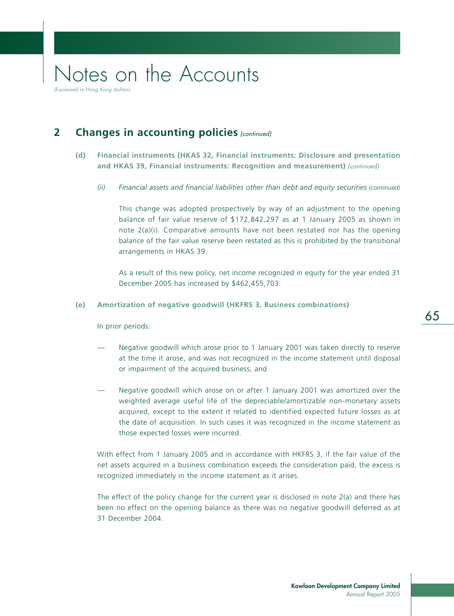### **Kowloon Development Company Limited** Annual Report 2005

## Notes on the Accounts

(Expressed in Hong Kong dollars)

## **2** Changes in accounting policies (continued)

## **(d) Financial instruments (HKAS 32, Financial instruments: Disclosure and presentation and HKAS 39, Financial instruments: Recognition and measurement)** (continued)

*(ii) Financial assets and financial liabilities other than debt and equity securities (continued)*

This change was adopted prospectively by way of an adjustment to the opening balance of fair value reserve of \$172,842,297 as at 1 January 2005 as shown in note  $2(a)(i)$ . Comparative amounts have not been restated nor has the opening balance of the fair value reserve been restated as this is prohibited by the transitional arrangements in HKAS 39.

As a result of this new policy, net income recognized in equity for the year ended 31 December 2005 has increased by \$462,455,703.

### **(e) Amortization of negative goodwill (HKFRS 3, Business combinations)**

In prior periods:

- Negative goodwill which arose prior to 1 January 2001 was taken directly to reserve at the time it arose, and was not recognized in the income statement until disposal or impairment of the acquired business; and
- Negative goodwill which arose on or after 1 January 2001 was amortized over the weighted average useful life of the depreciable/amortizable non-monetary assets acquired, except to the extent it related to identified expected future losses as at the date of acquisition. In such cases it was recognized in the income statement as those expected losses were incurred.

With effect from 1 January 2005 and in accordance with HKFRS 3, if the fair value of the net assets acquired in a business combination exceeds the consideration paid, the excess is recognized immediately in the income statement as it arises.

The effect of the policy change for the current year is disclosed in note  $2(a)$  and there has been no effect on the opening balance as there was no negative goodwill deferred as at 31 December 2004.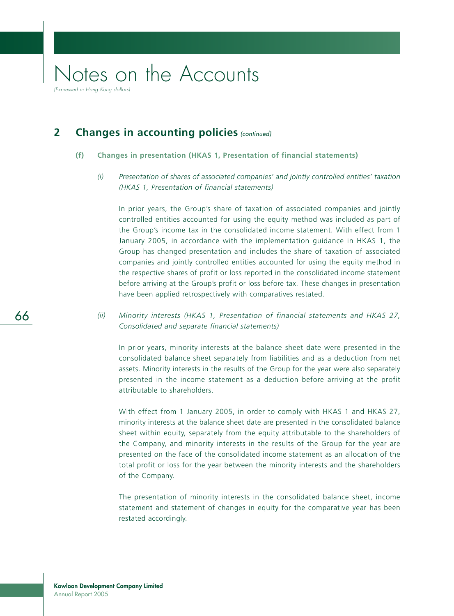(Expressed in Hong Kong dollars)

## **2** Changes in accounting policies (continued)

### **(f) Changes in presentation (HKAS 1, Presentation of financial statements)**

## *(i) Presentation of shares of associated companies' and jointly controlled entities' taxation (HKAS 1, Presentation of financial statements)*

In prior years, the Group's share of taxation of associated companies and jointly controlled entities accounted for using the equity method was included as part of the Group's income tax in the consolidated income statement. With effect from 1 January 2005, in accordance with the implementation guidance in HKAS 1, the Group has changed presentation and includes the share of taxation of associated companies and jointly controlled entities accounted for using the equity method in the respective shares of profit or loss reported in the consolidated income statement before arriving at the Group's profit or loss before tax. These changes in presentation have been applied retrospectively with comparatives restated.

## *(ii) Minority interests (HKAS 1, Presentation of financial statements and HKAS 27, Consolidated and separate financial statements)*

In prior years, minority interests at the balance sheet date were presented in the consolidated balance sheet separately from liabilities and as a deduction from net assets. Minority interests in the results of the Group for the year were also separately presented in the income statement as a deduction before arriving at the profit attributable to shareholders.

With effect from 1 January 2005, in order to comply with HKAS 1 and HKAS 27, minority interests at the balance sheet date are presented in the consolidated balance sheet within equity, separately from the equity attributable to the shareholders of the Company, and minority interests in the results of the Group for the year are presented on the face of the consolidated income statement as an allocation of the total profit or loss for the year between the minority interests and the shareholders of the Company.

The presentation of minority interests in the consolidated balance sheet, income statement and statement of changes in equity for the comparative year has been restated accordingly.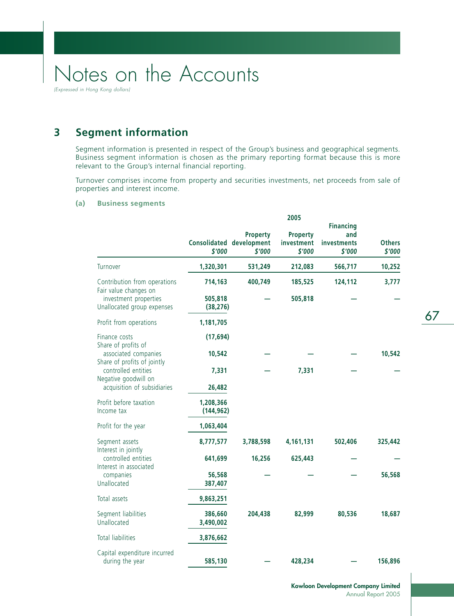(Expressed in Hong Kong dollars)

## **3 Segment information**

Segment information is presented in respect of the Group's business and geographical segments. Business segment information is chosen as the primary reporting format because this is more relevant to the Group's internal financial reporting.

Turnover comprises income from property and securities investments, net proceeds from sale of properties and interest income.

### **(a) Business segments**

|                                                                      |                         |                                                       | 2005                                    |                                                  |                         |
|----------------------------------------------------------------------|-------------------------|-------------------------------------------------------|-----------------------------------------|--------------------------------------------------|-------------------------|
|                                                                      | \$'000                  | <b>Property</b><br>Consolidated development<br>\$'000 | <b>Property</b><br>investment<br>\$'000 | <b>Financing</b><br>and<br>investments<br>\$'000 | <b>Others</b><br>\$'000 |
| Turnover                                                             | 1,320,301               | 531,249                                               | 212,083                                 | 566,717                                          | 10,252                  |
| Contribution from operations<br>Fair value changes on                | 714,163                 | 400,749                                               | 185,525                                 | 124,112                                          | 3,777                   |
| investment properties<br>Unallocated group expenses                  | 505,818<br>(38, 276)    |                                                       | 505,818                                 |                                                  |                         |
| Profit from operations                                               | 1,181,705               |                                                       |                                         |                                                  |                         |
| Finance costs<br>Share of profits of                                 | (17, 694)               |                                                       |                                         |                                                  |                         |
| associated companies<br>Share of profits of jointly                  | 10,542                  |                                                       |                                         |                                                  | 10,542                  |
| controlled entities<br>Negative goodwill on                          | 7,331                   |                                                       | 7,331                                   |                                                  |                         |
| acquisition of subsidiaries                                          | 26,482                  |                                                       |                                         |                                                  |                         |
| Profit before taxation<br>Income tax                                 | 1,208,366<br>(144, 962) |                                                       |                                         |                                                  |                         |
| Profit for the year                                                  | 1,063,404               |                                                       |                                         |                                                  |                         |
| Segment assets                                                       | 8,777,577               | 3,788,598                                             | 4,161,131                               | 502,406                                          | 325,442                 |
| Interest in jointly<br>controlled entities<br>Interest in associated | 641,699                 | 16,256                                                | 625,443                                 |                                                  |                         |
| companies<br>Unallocated                                             | 56,568<br>387,407       |                                                       |                                         |                                                  | 56,568                  |
| Total assets                                                         | 9,863,251               |                                                       |                                         |                                                  |                         |
| Segment liabilities<br>Unallocated                                   | 386,660<br>3,490,002    | 204,438                                               | 82,999                                  | 80,536                                           | 18,687                  |
| <b>Total liabilities</b>                                             | 3,876,662               |                                                       |                                         |                                                  |                         |
| Capital expenditure incurred<br>during the year                      | 585,130                 |                                                       | 428,234                                 |                                                  | 156,896                 |

67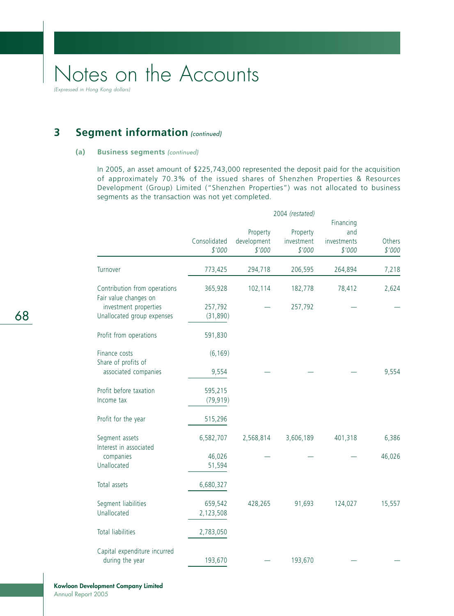(Expressed in Hong Kong dollars)

## **3** Segment information (continued)

#### **(a) Business segments** (continued)

In 2005, an asset amount of \$225,743,000 represented the deposit paid for the acquisition of approximately 70.3% of the issued shares of Shenzhen Properties & Resources Development (Group) Limited ("Shenzhen Properties") was not allocated to business segments as the transaction was not yet completed.

|                                          | 2004 (restated)        |                                   |                                  |                                           |                  |
|------------------------------------------|------------------------|-----------------------------------|----------------------------------|-------------------------------------------|------------------|
|                                          | Consolidated<br>\$'000 | Property<br>development<br>\$'000 | Property<br>investment<br>\$'000 | Financing<br>and<br>investments<br>\$'000 | Others<br>\$'000 |
| Turnover                                 | 773,425                | 294,718                           | 206,595                          | 264,894                                   | 7,218            |
| Contribution from operations             | 365,928                | 102,114                           | 182,778                          | 78,412                                    | 2,624            |
| Fair value changes on                    |                        |                                   |                                  |                                           |                  |
| investment properties                    | 257,792                |                                   | 257,792                          |                                           |                  |
| Unallocated group expenses               | (31, 890)              |                                   |                                  |                                           |                  |
| Profit from operations                   | 591,830                |                                   |                                  |                                           |                  |
| Finance costs<br>Share of profits of     | (6, 169)               |                                   |                                  |                                           |                  |
| associated companies                     | 9,554                  |                                   |                                  |                                           | 9,554            |
| Profit before taxation                   | 595,215                |                                   |                                  |                                           |                  |
| Income tax                               | (79, 919)              |                                   |                                  |                                           |                  |
| Profit for the year                      | 515,296                |                                   |                                  |                                           |                  |
| Segment assets<br>Interest in associated | 6,582,707              | 2,568,814                         | 3,606,189                        | 401,318                                   | 6,386            |
| companies                                | 46,026                 |                                   |                                  |                                           | 46,026           |
| Unallocated                              | 51,594                 |                                   |                                  |                                           |                  |
| Total assets                             | 6,680,327              |                                   |                                  |                                           |                  |
| Segment liabilities                      | 659,542                | 428,265                           | 91,693                           | 124,027                                   | 15,557           |
| Unallocated                              | 2,123,508              |                                   |                                  |                                           |                  |
| <b>Total liabilities</b>                 | 2,783,050              |                                   |                                  |                                           |                  |
| Capital expenditure incurred             |                        |                                   |                                  |                                           |                  |
| during the year                          | 193,670                |                                   | 193,670                          |                                           |                  |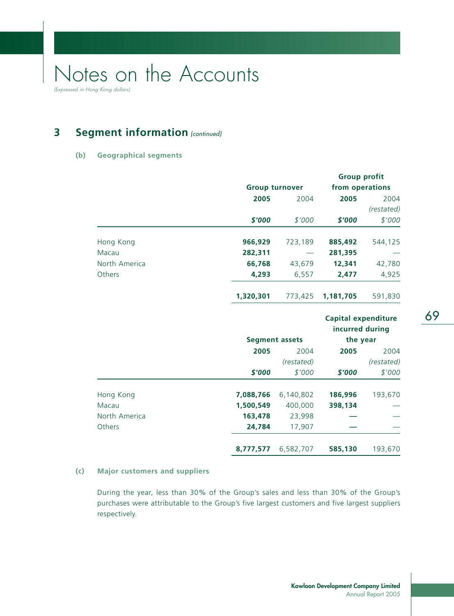**3** Segment information (continued)

## **(b) Geographical segments**

|               |           |                       | <b>Group profit</b>                           |            |
|---------------|-----------|-----------------------|-----------------------------------------------|------------|
|               |           | <b>Group turnover</b> | from operations                               |            |
|               | 2005      | 2004                  | 2005                                          | 2004       |
|               |           |                       |                                               | (restated) |
|               | \$'000    | \$'000                | \$'000                                        | \$'000     |
| Hong Kong     | 966,929   | 723,189               | 885,492                                       | 544,125    |
| Macau         | 282,311   |                       | 281,395                                       |            |
| North America | 66,768    | 43,679                | 12,341                                        | 42,780     |
| Others        | 4,293     | 6,557                 | 2,477                                         | 4,925      |
|               | 1,320,301 | 773,425               | 1,181,705                                     | 591,830    |
|               |           |                       | <b>Capital expenditure</b><br>incurred during |            |
|               |           | <b>Segment assets</b> | the year                                      |            |
|               | 2005      | 2004                  | 2005                                          | 2004       |
|               |           | (restated)            |                                               | (restated) |
|               | \$'000    | \$'000                | \$'000                                        | \$'000     |
| Hong Kong     | 7,088,766 | 6,140,802             | 186,996                                       | 193,670    |
| Macau         | 1,500,549 | 400,000               | 398,134                                       |            |
| North America | 163,478   | 23,998                |                                               |            |
| Others        | 24,784    | 17,907                |                                               |            |
|               | 8,777,577 | 6,582,707             | 585,130                                       | 193,670    |

## **(c) Major customers and suppliers**

During the year, less than 30% of the Group's sales and less than 30% of the Group's purchases were attributable to the Group's five largest customers and five largest suppliers respectively.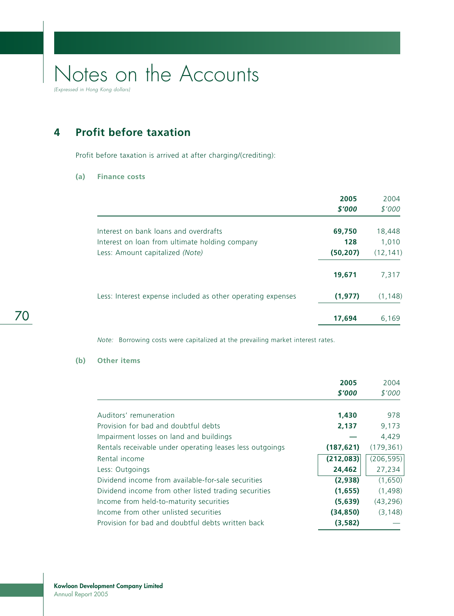**4 Profit before taxation**

Profit before taxation is arrived at after charging/(crediting):

#### **(a) Finance costs**

|                                                             | 2005<br>\$'000 | 2004<br>\$'000 |
|-------------------------------------------------------------|----------------|----------------|
| Interest on bank loans and overdrafts                       | 69,750         | 18,448         |
| Interest on loan from ultimate holding company              | 128            | 1.010          |
| Less: Amount capitalized (Note)                             | (50, 207)      | (12, 141)      |
|                                                             | 19,671         | 7,317          |
| Less: Interest expense included as other operating expenses | (1, 977)       | (1, 148)       |
|                                                             | 17,694         | 6,169          |

*Note:* Borrowing costs were capitalized at the prevailing market interest rates.

## **(b) Other items**

|                                                          | 2005       | 2004       |
|----------------------------------------------------------|------------|------------|
|                                                          | \$'000     | \$'000     |
|                                                          |            |            |
| Auditors' remuneration                                   | 1,430      | 978        |
| Provision for bad and doubtful debts                     | 2,137      | 9,173      |
| Impairment losses on land and buildings                  |            | 4,429      |
| Rentals receivable under operating leases less outgoings | (187, 621) | (179, 361) |
| Rental income                                            | (212, 083) | (206, 595) |
| Less: Outgoings                                          | 24,462     | 27,234     |
| Dividend income from available-for-sale securities       | (2,938)    | (1,650)    |
| Dividend income from other listed trading securities     | (1,655)    | (1,498)    |
| Income from held-to-maturity securities                  | (5,639)    | (43, 296)  |
| Income from other unlisted securities                    | (34, 850)  | (3, 148)   |
| Provision for bad and doubtful debts written back        | (3,582)    |            |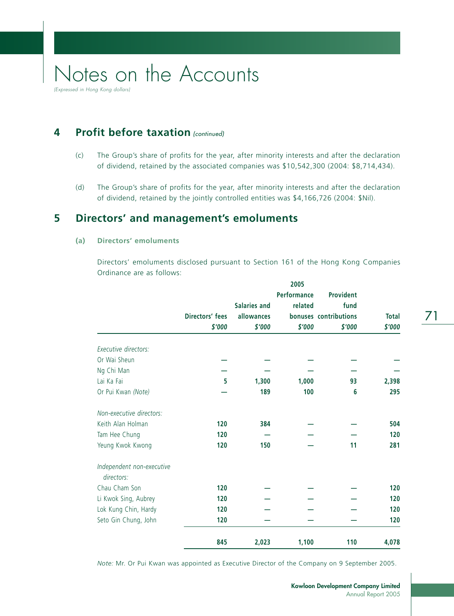**4** Profit before taxation (continued)

- (c) The Group's share of profits for the year, after minority interests and after the declaration of dividend, retained by the associated companies was \$10,542,300 (2004: \$8,714,434).
- (d) The Group's share of profits for the year, after minority interests and after the declaration of dividend, retained by the jointly controlled entities was \$4,166,726 (2004: \$Nil).

### **5 Directors' and management's emoluments**

#### **(a) Directors' emoluments**

Directors' emoluments disclosed pursuant to Section 161 of the Hong Kong Companies Ordinance are as follows:

|                                         |                 |                     | 2005               |                       |              |
|-----------------------------------------|-----------------|---------------------|--------------------|-----------------------|--------------|
|                                         |                 |                     | <b>Performance</b> | <b>Provident</b>      |              |
|                                         |                 | <b>Salaries and</b> | related            | fund                  |              |
|                                         | Directors' fees | allowances          |                    | bonuses contributions | <b>Total</b> |
|                                         | \$'000          | \$'000              | \$'000             | \$'000                | \$'000       |
| Executive directors:                    |                 |                     |                    |                       |              |
| Or Wai Sheun                            |                 |                     |                    |                       |              |
| Ng Chi Man                              |                 |                     |                    |                       |              |
| Lai Ka Fai                              | 5               | 1,300               | 1,000              | 93                    | 2,398        |
| Or Pui Kwan (Note)                      |                 | 189                 | 100                | 6                     | 295          |
| Non-executive directors:                |                 |                     |                    |                       |              |
| Keith Alan Holman                       | 120             | 384                 |                    |                       | 504          |
| Tam Hee Chung                           | 120             |                     |                    |                       | 120          |
| Yeung Kwok Kwong                        | 120             | 150                 |                    | 11                    | 281          |
| Independent non-executive<br>directors: |                 |                     |                    |                       |              |
| Chau Cham Son                           | 120             |                     |                    |                       | 120          |
| Li Kwok Sing, Aubrey                    | 120             |                     |                    |                       | 120          |
| Lok Kung Chin, Hardy                    | 120             |                     |                    |                       | 120          |
| Seto Gin Chung, John                    | 120             |                     |                    |                       | 120          |
|                                         | 845             | 2,023               | 1,100              | 110                   | 4,078        |

*Note:* Mr. Or Pui Kwan was appointed as Executive Director of the Company on 9 September 2005.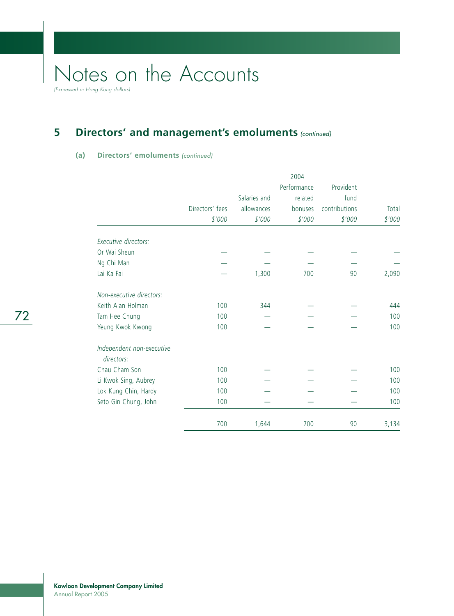## **5** Directors' and management's emoluments (continued)

### **(a) Directors' emoluments** (continued)

|                                         |                 |              | Performance | Provident     |        |
|-----------------------------------------|-----------------|--------------|-------------|---------------|--------|
|                                         |                 | Salaries and | related     | fund          |        |
|                                         | Directors' fees | allowances   | bonuses     | contributions | Total  |
|                                         | \$'000          | \$'000       | \$'000      | \$'000        | \$'000 |
| Executive directors:                    |                 |              |             |               |        |
| Or Wai Sheun                            |                 |              |             |               |        |
| Ng Chi Man                              |                 |              |             |               |        |
| Lai Ka Fai                              |                 | 1,300        | 700         | 90            | 2,090  |
| Non-executive directors:                |                 |              |             |               |        |
| Keith Alan Holman                       | 100             | 344          |             |               | 444    |
| Tam Hee Chung                           | 100             |              |             |               | 100    |
| Yeung Kwok Kwong                        | 100             |              |             |               | 100    |
| Independent non-executive<br>directors: |                 |              |             |               |        |
| Chau Cham Son                           | 100             |              |             |               | 100    |
| Li Kwok Sing, Aubrey                    | 100             |              |             |               | 100    |
| Lok Kung Chin, Hardy                    | 100             |              |             |               | 100    |
| Seto Gin Chung, John                    | 100             |              |             |               | 100    |
|                                         | 700             | 1,644        | 700         | 90            | 3,134  |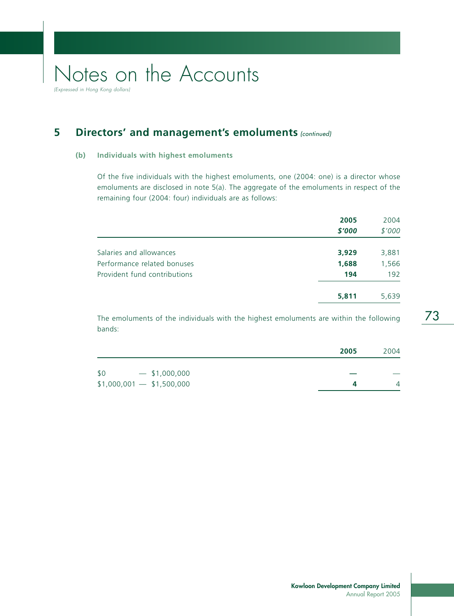(Expressed in Hong Kong dollars)

## **5** Directors' and management's emoluments (continued)

#### **(b) Individuals with highest emoluments**

Of the five individuals with the highest emoluments, one (2004: one) is a director whose emoluments are disclosed in note 5(a). The aggregate of the emoluments in respect of the remaining four (2004: four) individuals are as follows:

|                              | 2005   | 2004   |
|------------------------------|--------|--------|
|                              | \$'000 | \$'000 |
| Salaries and allowances      | 3,929  | 3,881  |
| Performance related bonuses  | 1,688  | 1,566  |
| Provident fund contributions | 194    | 192    |
|                              | 5,811  | 5,639  |
|                              |        |        |

The emoluments of the individuals with the highest emoluments are within the following bands:

|                            | 2005 | 2004 |
|----------------------------|------|------|
| \$0<br>$-$ \$1,000,000     |      |      |
| $$1,000,001$ - \$1,500,000 |      |      |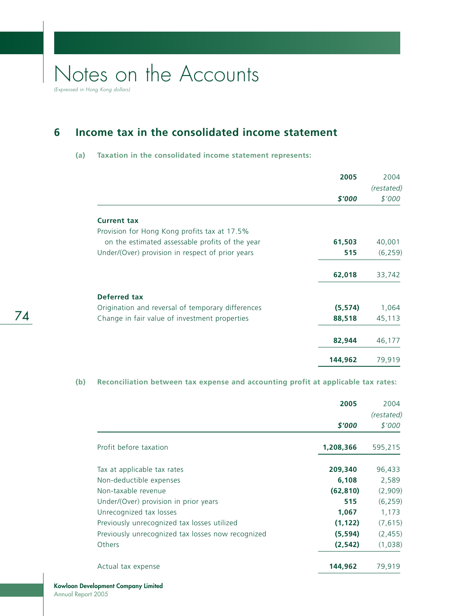(Expressed in Hong Kong dollars)

74

## **6 Income tax in the consolidated income statement**

#### **(a) Taxation in the consolidated income statement represents:**

|                                                   | 2005     | 2004       |
|---------------------------------------------------|----------|------------|
|                                                   |          | (restated) |
|                                                   | \$'000   | \$'000     |
| <b>Current tax</b>                                |          |            |
| Provision for Hong Kong profits tax at 17.5%      |          |            |
| on the estimated assessable profits of the year   | 61,503   | 40,001     |
| Under/(Over) provision in respect of prior years  | 515      | (6, 259)   |
|                                                   | 62,018   | 33,742     |
| Deferred tax                                      |          |            |
| Origination and reversal of temporary differences | (5, 574) | 1,064      |
| Change in fair value of investment properties     | 88,518   | 45,113     |
|                                                   | 82,944   | 46,177     |
|                                                   | 144,962  | 79,919     |

### **(b) Reconciliation between tax expense and accounting profit at applicable tax rates:**

|                                                   | 2005      | 2004                 |
|---------------------------------------------------|-----------|----------------------|
|                                                   | \$'000    | (restated)<br>\$'000 |
|                                                   |           |                      |
| Profit before taxation                            | 1,208,366 | 595,215              |
| Tax at applicable tax rates                       | 209,340   | 96,433               |
| Non-deductible expenses                           | 6,108     | 2,589                |
| Non-taxable revenue                               | (62, 810) | (2,909)              |
| Under/(Over) provision in prior years             | 515       | (6, 259)             |
| Unrecognized tax losses                           | 1,067     | 1,173                |
| Previously unrecognized tax losses utilized       | (1, 122)  | (7,615)              |
| Previously unrecognized tax losses now recognized | (5, 594)  | (2, 455)             |
| Others                                            | (2, 542)  | (1,038)              |
| Actual tax expense                                | 144,962   | 79,919               |

**Kowloon Development Company Limited** Annual Report 2005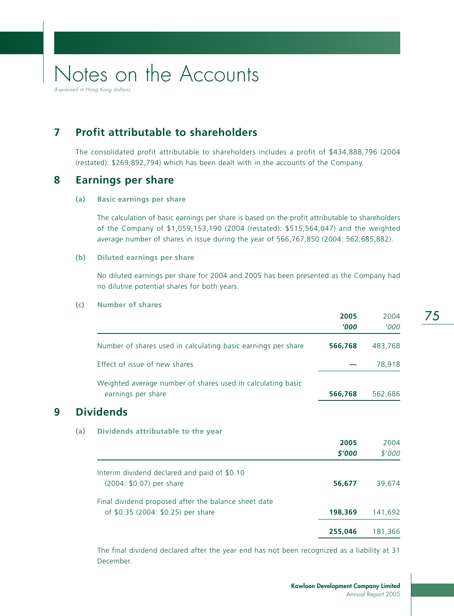(Expressed in Hong Kong dollars)

## **7 Profit attributable to shareholders**

The consolidated profit attributable to shareholders includes a profit of \$434,888,796 (2004 (restated): \$269,892,794) which has been dealt with in the accounts of the Company.

### **8 Earnings per share**

#### **(a) Basic earnings per share**

The calculation of basic earnings per share is based on the profit attributable to shareholders of the Company of \$1,059,153,190 (2004 (restated): \$515,564,047) and the weighted average number of shares in issue during the year of 566,767,850 (2004: 562,685,882).

#### **(b) Diluted earnings per share**

No diluted earnings per share for 2004 and 2005 has been presented as the Company had no dilutive potential shares for both years.

#### **(c) Number of shares**

|   |     |                                                                                   | 2005<br>1000 | 2004<br>'000 |
|---|-----|-----------------------------------------------------------------------------------|--------------|--------------|
|   |     | Number of shares used in calculating basic earnings per share                     | 566,768      | 483,768      |
|   |     | Effect of issue of new shares                                                     |              | 78,918       |
|   |     | Weighted average number of shares used in calculating basic<br>earnings per share | 566,768      | 562,686      |
| 9 |     | <b>Dividends</b>                                                                  |              |              |
|   | (a) | Dividends attributable to the year                                                |              |              |
|   |     |                                                                                   | 2005         | 2004         |
|   |     |                                                                                   | \$'000       | \$'000       |
|   |     | Interim dividend declared and paid of \$0.10                                      |              |              |
|   |     | (2004: \$0.07) per share                                                          | 56,677       | 39,674       |
|   |     | Final dividend proposed after the balance sheet date                              |              |              |
|   |     | of \$0.35 (2004: \$0.25) per share                                                | 198,369      | 141,692      |
|   |     |                                                                                   | 255,046      | 181,366      |
|   |     |                                                                                   |              |              |

The final dividend declared after the year end has not been recognized as a liability at 31 December.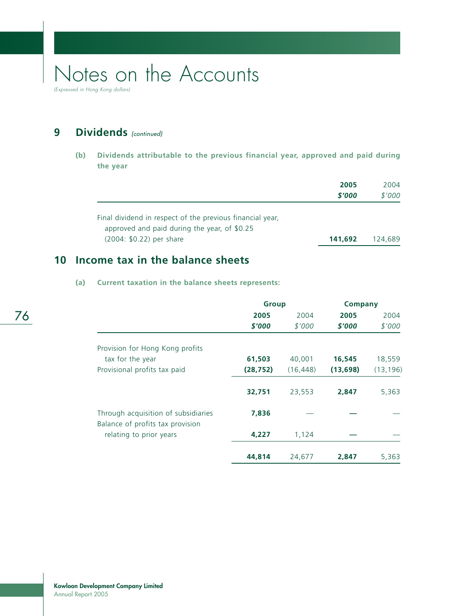(Expressed in Hong Kong dollars)

## **9** Dividends (continued)

**(b) Dividends attributable to the previous financial year, approved and paid during the year**

|                                                                                                           | 2005<br>\$'000 | 2004<br>\$'000 |
|-----------------------------------------------------------------------------------------------------------|----------------|----------------|
| Final dividend in respect of the previous financial year,<br>approved and paid during the year, of \$0.25 |                |                |
| (2004: \$0.22) per share                                                                                  | 141,692        | 124.689        |

### **10 Income tax in the balance sheets**

### **(a) Current taxation in the balance sheets represents:**

|                                                                         | <b>Group</b> |           | <b>Company</b> |           |
|-------------------------------------------------------------------------|--------------|-----------|----------------|-----------|
|                                                                         | 2005         | 2004      | 2005           | 2004      |
|                                                                         | \$'000       | \$'000    | \$'000         | \$'000    |
| Provision for Hong Kong profits                                         |              |           |                |           |
| tax for the year                                                        | 61,503       | 40,001    | 16,545         | 18,559    |
| Provisional profits tax paid                                            | (28, 752)    | (16, 448) | (13, 698)      | (13, 196) |
|                                                                         | 32,751       | 23,553    | 2,847          | 5,363     |
| Through acquisition of subsidiaries<br>Balance of profits tax provision | 7,836        |           |                |           |
| relating to prior years                                                 | 4,227        | 1,124     |                |           |
|                                                                         | 44,814       | 24,677    | 2,847          | 5.363     |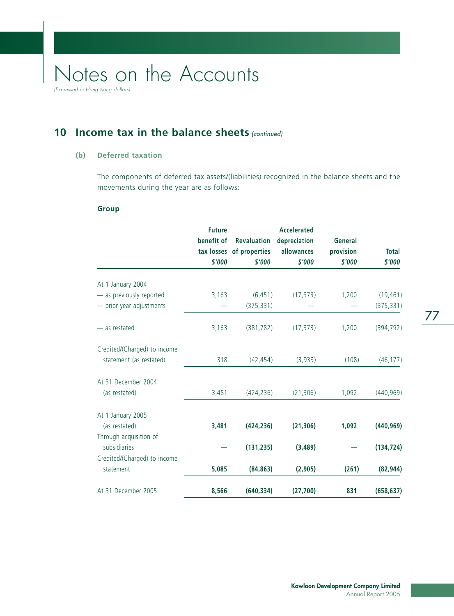**10 Income tax in the balance sheets (continued)** 

### **(b) Deferred taxation**

The components of deferred tax assets/(liabilities) recognized in the balance sheets and the movements during the year are as follows:

#### **Group**

|                              | <b>Future</b><br>benefit of<br>\$'000 | <b>Revaluation</b><br>tax losses of properties<br>\$'000 | <b>Accelerated</b><br>depreciation<br>allowances<br>\$'000 | General<br>provision<br>\$'000 | <b>Total</b><br>\$'000 |
|------------------------------|---------------------------------------|----------------------------------------------------------|------------------------------------------------------------|--------------------------------|------------------------|
| At 1 January 2004            |                                       |                                                          |                                                            |                                |                        |
| - as previously reported     | 3,163                                 | (6, 451)                                                 | (17, 373)                                                  | 1,200                          | (19, 461)              |
| - prior year adjustments     |                                       | (375, 331)                                               |                                                            |                                | (375, 331)             |
| - as restated                | 3,163                                 | (381, 782)                                               | (17, 373)                                                  | 1,200                          | (394, 792)             |
| Credited/(Charged) to income |                                       |                                                          |                                                            |                                |                        |
| statement (as restated)      | 318                                   | (42, 454)                                                | (3,933)                                                    | (108)                          | (46, 177)              |
| At 31 December 2004          |                                       |                                                          |                                                            |                                |                        |
| (as restated)                | 3,481                                 | (424, 236)                                               | (21, 306)                                                  | 1,092                          | (440, 969)             |
| At 1 January 2005            |                                       |                                                          |                                                            |                                |                        |
| (as restated)                | 3,481                                 | (424, 236)                                               | (21, 306)                                                  | 1,092                          | (440, 969)             |
| Through acquisition of       |                                       |                                                          |                                                            |                                |                        |
| subsidiaries                 |                                       | (131, 235)                                               | (3, 489)                                                   |                                | (134, 724)             |
| Credited/(Charged) to income |                                       |                                                          |                                                            |                                |                        |
| statement                    | 5,085                                 | (84, 863)                                                | (2,905)                                                    | (261)                          | (82, 944)              |
| At 31 December 2005          | 8,566                                 | (640, 334)                                               | (27,700)                                                   | 831                            | (658, 637)             |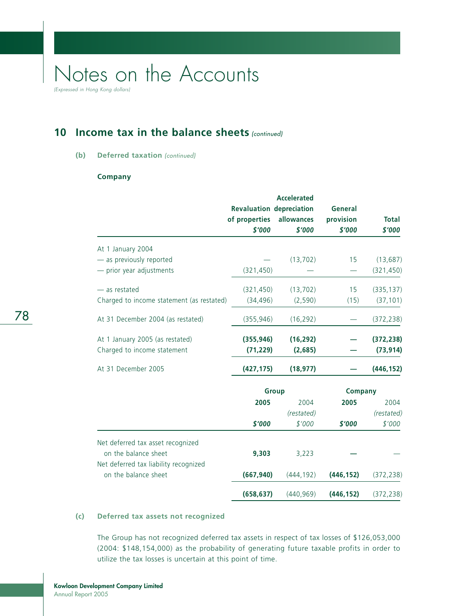(Expressed in Hong Kong dollars)

## **10 Income tax in the balance sheets** (continued)

#### **(b)** Deferred taxation (continued)

#### **Company**

|                                                               | <b>Revaluation depreciation</b><br>of properties<br>\$'000 | <b>Accelerated</b><br>allowances<br>\$'000 | General<br>provision<br>\$'000 | <b>Total</b><br>\$'000 |
|---------------------------------------------------------------|------------------------------------------------------------|--------------------------------------------|--------------------------------|------------------------|
| At 1 January 2004                                             |                                                            |                                            |                                |                        |
| - as previously reported                                      |                                                            | (13, 702)                                  | 15                             | (13, 687)              |
| $-$ prior year adjustments                                    | (321, 450)                                                 |                                            |                                | (321, 450)             |
| - as restated                                                 | (321, 450)                                                 | (13, 702)                                  | 15                             | (335, 137)             |
| Charged to income statement (as restated)                     | (34, 496)                                                  | (2, 590)                                   | (15)                           | (37, 101)              |
| At 31 December 2004 (as restated)                             | (355, 946)                                                 | (16, 292)                                  |                                | (372, 238)             |
| At 1 January 2005 (as restated)                               | (355, 946)                                                 | (16, 292)                                  |                                | (372, 238)             |
| Charged to income statement                                   | (71, 229)                                                  | (2,685)                                    |                                | (73, 914)              |
| At 31 December 2005                                           | (427, 175)                                                 | (18, 977)                                  |                                | (446, 152)             |
|                                                               |                                                            | Group                                      | Company                        |                        |
|                                                               | 2005                                                       | 2004                                       | 2005                           | 2004                   |
|                                                               |                                                            | (restated)                                 |                                | (restated)             |
|                                                               | \$'000                                                     | \$'000                                     | \$'000                         | \$'000                 |
| Net deferred tax asset recognized                             |                                                            |                                            |                                |                        |
| on the balance sheet<br>Net deferred tax liability recognized | 9,303                                                      | 3,223                                      |                                |                        |
| on the balance sheet                                          | (667, 940)                                                 | (444, 192)                                 | (446, 152)                     | (372, 238)             |
|                                                               | (658, 637)                                                 | (440, 969)                                 | (446, 152)                     | (372, 238)             |

### **(c) Deferred tax assets not recognized**

The Group has not recognized deferred tax assets in respect of tax losses of \$126,053,000 (2004: \$148,154,000) as the probability of generating future taxable profits in order to utilize the tax losses is uncertain at this point of time.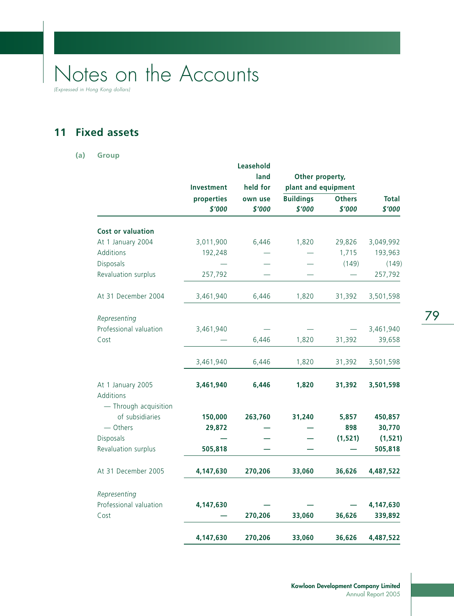(Expressed in Hong Kong dollars)

## **11 Fixed assets**

#### **(a) Group**

|                                |            | Leasehold |                     |               |              |
|--------------------------------|------------|-----------|---------------------|---------------|--------------|
|                                |            | land      | Other property,     |               |              |
|                                | Investment | held for  | plant and equipment |               |              |
|                                | properties | own use   | <b>Buildings</b>    | <b>Others</b> | <b>Total</b> |
|                                | \$'000     | \$'000    | \$'000              | \$'000        | \$'000       |
| <b>Cost or valuation</b>       |            |           |                     |               |              |
| At 1 January 2004              | 3,011,900  | 6,446     | 1,820               | 29,826        | 3,049,992    |
| Additions                      | 192,248    |           |                     | 1,715         | 193,963      |
| Disposals                      |            |           |                     | (149)         | (149)        |
| Revaluation surplus            | 257,792    |           |                     |               | 257,792      |
| At 31 December 2004            | 3,461,940  | 6,446     | 1,820               | 31,392        | 3,501,598    |
| Representing                   |            |           |                     |               |              |
| Professional valuation         | 3,461,940  |           |                     |               | 3,461,940    |
| Cost                           |            | 6,446     | 1,820               | 31,392        | 39,658       |
|                                | 3,461,940  | 6,446     | 1,820               | 31,392        | 3,501,598    |
| At 1 January 2005<br>Additions | 3,461,940  | 6,446     | 1,820               | 31,392        | 3,501,598    |
| - Through acquisition          |            |           |                     |               |              |
| of subsidiaries                | 150,000    | 263,760   | 31,240              | 5,857         | 450,857      |
| - Others                       | 29,872     |           |                     | 898           | 30,770       |
| Disposals                      |            |           |                     | (1, 521)      | (1, 521)     |
| Revaluation surplus            | 505,818    |           |                     |               | 505,818      |
| At 31 December 2005            | 4,147,630  | 270,206   | 33,060              | 36,626        | 4,487,522    |
| Representing                   |            |           |                     |               |              |
| Professional valuation         | 4,147,630  |           |                     |               | 4,147,630    |
| Cost                           |            | 270,206   | 33,060              | 36,626        | 339,892      |
|                                | 4,147,630  | 270,206   | 33,060              | 36,626        | 4,487,522    |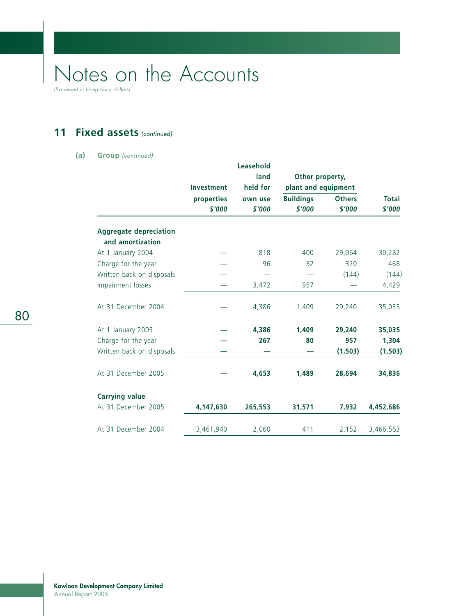(Expressed in Hong Kong dollars)

## 11 Fixed assets (continued)

#### **(a) Group** (continued)

|                                                   |            | Leasehold |                     |               |              |
|---------------------------------------------------|------------|-----------|---------------------|---------------|--------------|
|                                                   |            | land      | Other property,     |               |              |
|                                                   | Investment | held for  | plant and equipment |               |              |
|                                                   | properties | own use   | <b>Buildings</b>    | <b>Others</b> | <b>Total</b> |
|                                                   | \$'000     | \$'000    | \$'000              | \$'000        | \$'000       |
| <b>Aggregate depreciation</b><br>and amortization |            |           |                     |               |              |
|                                                   |            |           |                     |               |              |
| At 1 January 2004                                 |            | 818       | 400                 | 29,064        | 30,282       |
| Charge for the year                               |            | 96        | 52                  | 320           | 468          |
| Written back on disposals                         |            |           |                     | (144)         | (144)        |
| Impairment losses                                 |            | 3,472     | 957                 |               | 4,429        |
| At 31 December 2004                               |            | 4,386     | 1,409               | 29,240        | 35,035       |
| At 1 January 2005                                 |            | 4,386     | 1,409               | 29,240        | 35,035       |
| Charge for the year                               |            | 267       | 80                  | 957           | 1,304        |
| Written back on disposals                         |            |           |                     | (1, 503)      | (1, 503)     |
| At 31 December 2005                               |            | 4,653     | 1,489               | 28,694        | 34,836       |
| <b>Carrying value</b>                             |            |           |                     |               |              |
| At 31 December 2005                               | 4,147,630  | 265,553   | 31,571              | 7,932         | 4,452,686    |
| At 31 December 2004                               | 3,461,940  | 2,060     | 411                 | 2,152         | 3,466,563    |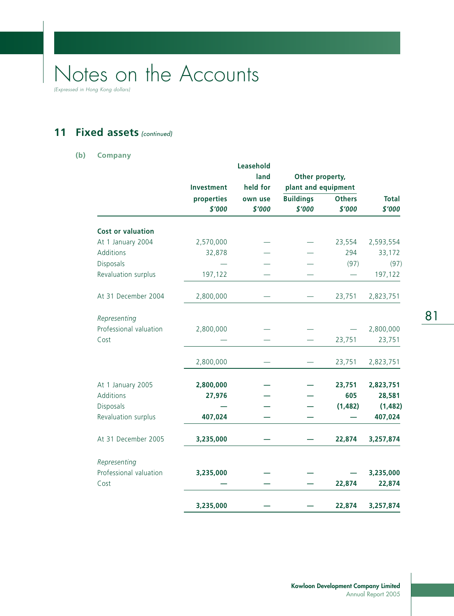(Expressed in Hong Kong dollars)

## 11 Fixed assets (continued)

#### **(b) Company**

|                          |            | Leasehold |                     |               |              |
|--------------------------|------------|-----------|---------------------|---------------|--------------|
|                          | Investment | land      | Other property,     |               |              |
|                          |            | held for  | plant and equipment |               |              |
|                          | properties | own use   | <b>Buildings</b>    | <b>Others</b> | <b>Total</b> |
|                          | \$'000     | \$'000    | \$'000              | \$'000        | \$'000       |
| <b>Cost or valuation</b> |            |           |                     |               |              |
| At 1 January 2004        | 2,570,000  |           |                     | 23,554        | 2,593,554    |
| Additions                | 32,878     |           |                     | 294           | 33,172       |
| Disposals                |            |           |                     | (97)          | (97)         |
| Revaluation surplus      | 197,122    |           |                     |               | 197,122      |
| At 31 December 2004      | 2,800,000  |           |                     | 23,751        | 2,823,751    |
| Representing             |            |           |                     |               |              |
| Professional valuation   | 2,800,000  |           |                     |               | 2,800,000    |
| Cost                     |            |           |                     | 23,751        | 23,751       |
|                          | 2,800,000  |           |                     | 23,751        | 2,823,751    |
| At 1 January 2005        | 2,800,000  |           |                     | 23,751        | 2,823,751    |
| Additions                | 27,976     |           |                     | 605           | 28,581       |
| Disposals                |            |           |                     | (1, 482)      | (1, 482)     |
| Revaluation surplus      | 407,024    |           |                     |               | 407,024      |
| At 31 December 2005      | 3,235,000  |           |                     | 22,874        | 3,257,874    |
| Representing             |            |           |                     |               |              |
| Professional valuation   | 3,235,000  |           |                     |               | 3,235,000    |
| Cost                     |            |           |                     | 22,874        | 22,874       |
|                          | 3,235,000  |           |                     | 22,874        | 3,257,874    |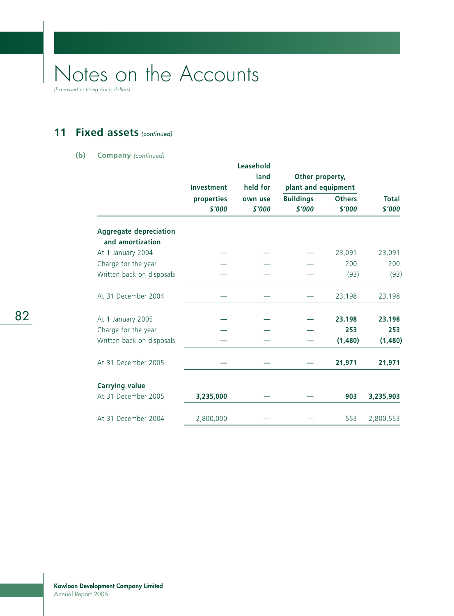(Expressed in Hong Kong dollars)

## 11 Fixed assets (continued)

#### **(b) Company** (continued)

|                               |            | Leasehold        |                  |                     |              |
|-------------------------------|------------|------------------|------------------|---------------------|--------------|
|                               |            | land<br>held for | Other property,  |                     |              |
|                               | Investment |                  |                  | plant and equipment |              |
|                               | properties | own use          | <b>Buildings</b> | <b>Others</b>       | <b>Total</b> |
|                               | \$'000     | \$'000           | \$'000           | \$'000              | \$'000       |
| <b>Aggregate depreciation</b> |            |                  |                  |                     |              |
| and amortization              |            |                  |                  |                     |              |
| At 1 January 2004             |            |                  |                  | 23,091              | 23,091       |
| Charge for the year           |            |                  |                  | 200                 | 200          |
| Written back on disposals     |            |                  |                  | (93)                | (93)         |
| At 31 December 2004           |            |                  |                  | 23,198              | 23,198       |
| At 1 January 2005             |            |                  |                  | 23,198              | 23,198       |
| Charge for the year           |            |                  |                  | 253                 | 253          |
| Written back on disposals     |            |                  |                  | (1,480)             | (1,480)      |
| At 31 December 2005           |            |                  |                  | 21,971              | 21,971       |
| <b>Carrying value</b>         |            |                  |                  |                     |              |
| At 31 December 2005           | 3,235,000  |                  |                  | 903                 | 3,235,903    |
| At 31 December 2004           | 2,800,000  |                  |                  | 553                 | 2,800,553    |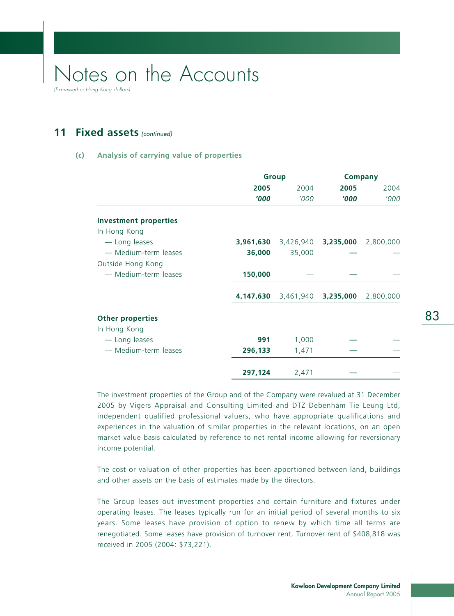(Expressed in Hong Kong dollars)

### **11 Fixed assets** (continued)

#### **(c) Analysis of carrying value of properties**

|                              |           | <b>Group</b>                  | <b>Company</b> |           |
|------------------------------|-----------|-------------------------------|----------------|-----------|
|                              | 2005      | 2004                          | 2005           | 2004      |
|                              | '000      | '000                          | 1000           | '000      |
| <b>Investment properties</b> |           |                               |                |           |
| In Hong Kong                 |           |                               |                |           |
| - Long leases                | 3,961,630 | 3,426,940 <b>3,235,000</b>    |                | 2,800,000 |
| - Medium-term leases         | 36,000    | 35,000                        |                |           |
| Outside Hong Kong            |           |                               |                |           |
| - Medium-term leases         | 150,000   |                               |                |           |
|                              |           | 4,147,630 3,461,940 3,235,000 |                | 2,800,000 |
| <b>Other properties</b>      |           |                               |                |           |
| In Hong Kong                 |           |                               |                |           |
| - Long leases                | 991       | 1,000                         |                |           |
| - Medium-term leases         | 296,133   | 1,471                         |                |           |
|                              | 297,124   | 2,471                         |                |           |

The investment properties of the Group and of the Company were revalued at 31 December 2005 by Vigers Appraisal and Consulting Limited and DTZ Debenham Tie Leung Ltd, independent qualified professional valuers, who have appropriate qualifications and experiences in the valuation of similar properties in the relevant locations, on an open market value basis calculated by reference to net rental income allowing for reversionary income potential.

The cost or valuation of other properties has been apportioned between land, buildings and other assets on the basis of estimates made by the directors.

The Group leases out investment properties and certain furniture and fixtures under operating leases. The leases typically run for an initial period of several months to six years. Some leases have provision of option to renew by which time all terms are renegotiated. Some leases have provision of turnover rent. Turnover rent of \$408,818 was received in 2005 (2004: \$73,221).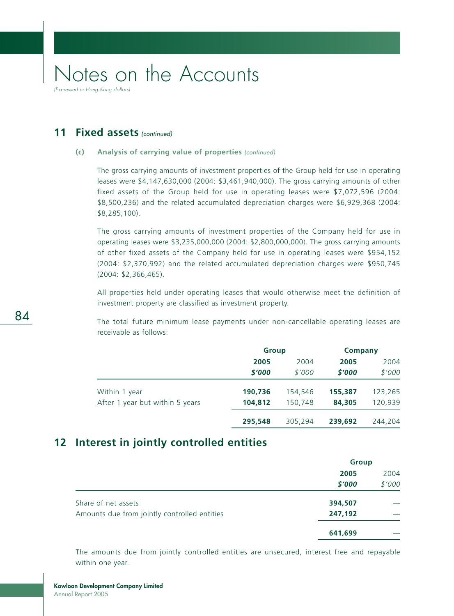**11 Fixed assets** (continued)

#### **(c) Analysis of carrying value of properties** (continued)

The gross carrying amounts of investment properties of the Group held for use in operating leases were \$4,147,630,000 (2004: \$3,461,940,000). The gross carrying amounts of other fixed assets of the Group held for use in operating leases were \$7,072,596 (2004: \$8,500,236) and the related accumulated depreciation charges were \$6,929,368 (2004: \$8,285,100).

The gross carrying amounts of investment properties of the Company held for use in operating leases were \$3,235,000,000 (2004: \$2,800,000,000). The gross carrying amounts of other fixed assets of the Company held for use in operating leases were \$954,152 (2004: \$2,370,992) and the related accumulated depreciation charges were \$950,745 (2004: \$2,366,465).

All properties held under operating leases that would otherwise meet the definition of investment property are classified as investment property.

The total future minimum lease payments under non-cancellable operating leases are receivable as follows:

|                                 |         | <b>Group</b> |         | Company |
|---------------------------------|---------|--------------|---------|---------|
|                                 | 2005    | 2004         | 2005    | 2004    |
|                                 | \$'000  | \$'000       | \$'000  | \$'000  |
| Within 1 year                   | 190,736 | 154,546      | 155,387 | 123,265 |
| After 1 year but within 5 years | 104,812 | 150,748      | 84,305  | 120,939 |
|                                 | 295,548 | 305.294      | 239,692 | 244,204 |

### **12 Interest in jointly controlled entities**

|                                              | <b>Group</b> |        |
|----------------------------------------------|--------------|--------|
|                                              | 2005         | 2004   |
|                                              | \$'000       | \$'000 |
| Share of net assets                          | 394,507      |        |
| Amounts due from jointly controlled entities | 247,192      |        |
|                                              | 641,699      |        |

The amounts due from jointly controlled entities are unsecured, interest free and repayable within one year.

84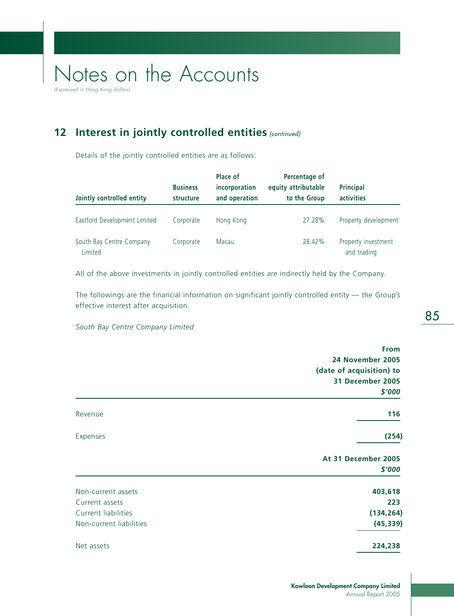(Expressed in Hong Kong dollars)

## **12 Interest in jointly controlled entities (continued)**

Details of the jointly controlled entities are as follows:

| Jointly controlled entity           | <b>Business</b><br>structure | Place of<br>incorporation<br>and operation | Percentage of<br>equity attributable<br>to the Group | <b>Principal</b><br>activities     |
|-------------------------------------|------------------------------|--------------------------------------------|------------------------------------------------------|------------------------------------|
| Eastford Development Limited        | Corporate                    | Hong Kong                                  | 27.28%                                               | Property development               |
| South Bay Centre Company<br>Limited | Corporate                    | Macau                                      | 28.42%                                               | Property investment<br>and trading |

All of the above investments in jointly controlled entities are indirectly held by the Company.

The followings are the financial information on significant jointly controlled entity — the Group's effective interest after acquisition.

*South Bay Centre Company Limited*

|                         | <b>From</b>              |
|-------------------------|--------------------------|
|                         | 24 November 2005         |
|                         | (date of acquisition) to |
|                         | 31 December 2005         |
|                         | \$'000                   |
| Revenue                 | 116                      |
| Expenses                | (254)                    |
|                         | At 31 December 2005      |
|                         | \$'000                   |
| Non-current assets      | 403,618                  |
| Current assets          | 223                      |
| Current liabilities     | (134, 264)               |
| Non-current liabilities | (45, 339)                |
| Net assets              | 224,238                  |

85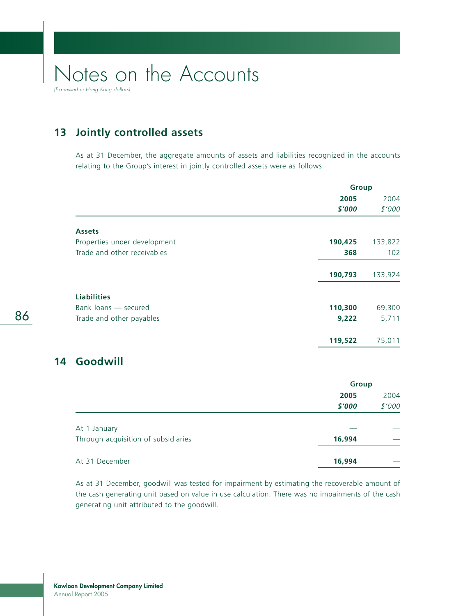(Expressed in Hong Kong dollars)

## **13 Jointly controlled assets**

As at 31 December, the aggregate amounts of assets and liabilities recognized in the accounts relating to the Group's interest in jointly controlled assets were as follows:

|                              | Group        |         |
|------------------------------|--------------|---------|
|                              | 2005         | 2004    |
|                              | \$'000       | \$'000  |
| <b>Assets</b>                |              |         |
| Properties under development | 190,425      | 133,822 |
| Trade and other receivables  | 368          | 102     |
|                              | 190,793      | 133,924 |
| <b>Liabilities</b>           |              |         |
| Bank loans - secured         | 110,300      | 69,300  |
| Trade and other payables     | 9,222        | 5,711   |
|                              | 119,522      | 75,011  |
| Goodwill                     |              |         |
|                              | <b>Group</b> |         |
|                              | <b>DOOF</b>  | 2001    |

|                                     | 2005   | 2004   |
|-------------------------------------|--------|--------|
|                                     | \$'000 | \$'000 |
|                                     |        |        |
| At 1 January                        |        |        |
| Through acquisition of subsidiaries | 16,994 |        |
|                                     |        |        |
| At 31 December                      | 16,994 |        |

As at 31 December, goodwill was tested for impairment by estimating the recoverable amount of the cash generating unit based on value in use calculation. There was no impairments of the cash generating unit attributed to the goodwill.

**14 Goodwill**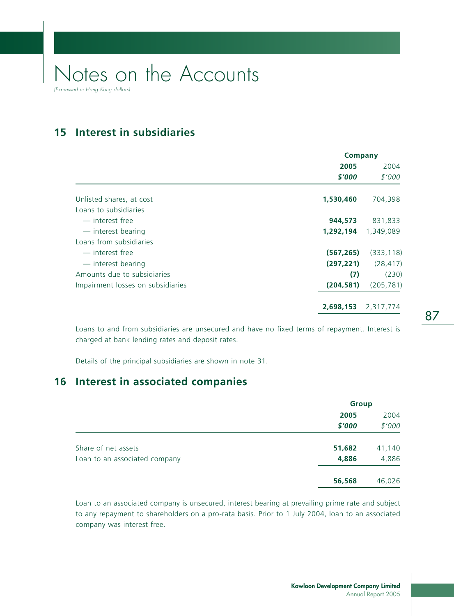**15 Interest in subsidiaries**

|                                   | <b>Company</b> |            |  |
|-----------------------------------|----------------|------------|--|
|                                   | 2005           | 2004       |  |
|                                   | \$'000         | \$'000     |  |
|                                   |                |            |  |
| Unlisted shares, at cost          | 1,530,460      | 704,398    |  |
| Loans to subsidiaries             |                |            |  |
| — interest free                   | 944,573        | 831,833    |  |
| - interest bearing                | 1,292,194      | 1,349,089  |  |
| Loans from subsidiaries           |                |            |  |
| — interest free                   | (567, 265)     | (333, 118) |  |
| - interest bearing                | (297, 221)     | (28, 417)  |  |
| Amounts due to subsidiaries       | (7)            | (230)      |  |
| Impairment losses on subsidiaries | (204, 581)     | (205, 781) |  |
|                                   | 2,698,153      | 2,317,774  |  |

Loans to and from subsidiaries are unsecured and have no fixed terms of repayment. Interest is charged at bank lending rates and deposit rates.

Details of the principal subsidiaries are shown in note 31.

### **16 Interest in associated companies**

|                               | <b>Group</b> |        |
|-------------------------------|--------------|--------|
|                               | 2005         | 2004   |
|                               | \$'000       | \$'000 |
| Share of net assets           | 51,682       | 41,140 |
| Loan to an associated company | 4,886        | 4,886  |
|                               | 56,568       | 46,026 |

Loan to an associated company is unsecured, interest bearing at prevailing prime rate and subject to any repayment to shareholders on a pro-rata basis. Prior to 1 July 2004, loan to an associated company was interest free.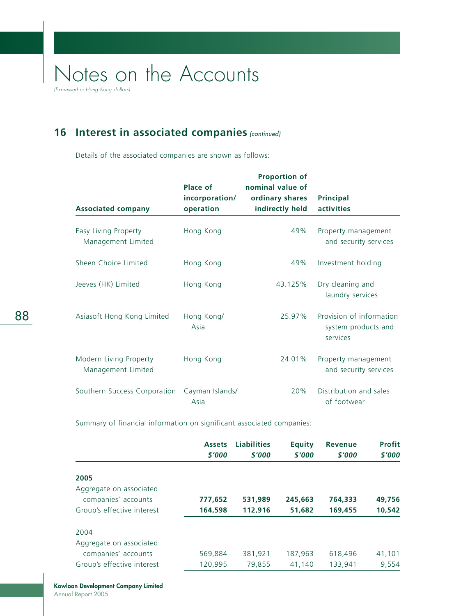(Expressed in Hong Kong dollars)

## **16 Interest in associated companies (continued)**

Details of the associated companies are shown as follows:

|                                              |                         | <b>Proportion of</b> |                                                             |
|----------------------------------------------|-------------------------|----------------------|-------------------------------------------------------------|
|                                              | Place of                | nominal value of     |                                                             |
|                                              | incorporation/          | ordinary shares      | <b>Principal</b>                                            |
| <b>Associated company</b>                    | operation               | indirectly held      | activities                                                  |
| Easy Living Property<br>Management Limited   | Hong Kong               | 49%                  | Property management<br>and security services                |
| Sheen Choice Limited                         | Hong Kong               | 49%                  | Investment holding                                          |
| Jeeves (HK) Limited                          | Hong Kong               | 43.125%              | Dry cleaning and<br>laundry services                        |
| Asiasoft Hong Kong Limited                   | Hong Kong/<br>Asia      | 25.97%               | Provision of information<br>system products and<br>services |
| Modern Living Property<br>Management Limited | Hong Kong               | 24.01%               | Property management<br>and security services                |
| Southern Success Corporation                 | Cayman Islands/<br>Asia | 20%                  | Distribution and sales<br>of footwear                       |

Summary of financial information on significant associated companies:

|                            | <b>Assets</b><br>\$'000 | <b>Liabilities</b><br>\$'000 | <b>Equity</b><br>\$'000 | <b>Revenue</b><br>\$'000 | <b>Profit</b><br>\$'000 |
|----------------------------|-------------------------|------------------------------|-------------------------|--------------------------|-------------------------|
| 2005                       |                         |                              |                         |                          |                         |
| Aggregate on associated    |                         |                              |                         |                          |                         |
| companies' accounts        | 777,652                 | 531,989                      | 245,663                 | 764,333                  | 49,756                  |
| Group's effective interest | 164,598                 | 112,916                      | 51,682                  | 169,455                  | 10,542                  |
| 2004                       |                         |                              |                         |                          |                         |
| Aggregate on associated    |                         |                              |                         |                          |                         |
| companies' accounts        | 569,884                 | 381,921                      | 187,963                 | 618,496                  | 41.101                  |
| Group's effective interest | 120,995                 | 79,855                       | 41,140                  | 133,941                  | 9,554                   |

**Kowloon Development Company Limited** Annual Report 2005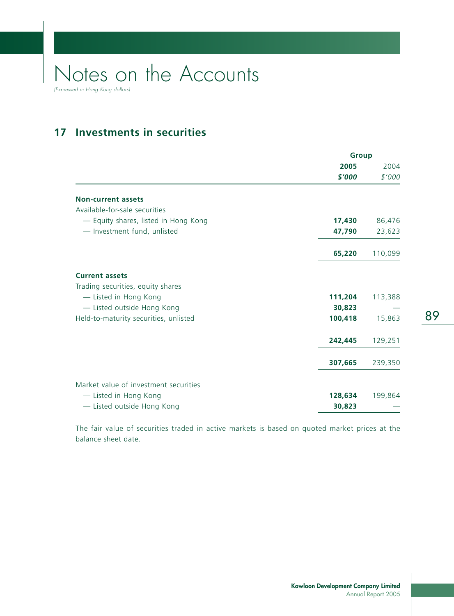## **17 Investments in securities**

|                                       | <b>Group</b> |         |
|---------------------------------------|--------------|---------|
|                                       | 2005         | 2004    |
|                                       | \$'000       | \$'000  |
| <b>Non-current assets</b>             |              |         |
| Available-for-sale securities         |              |         |
| - Equity shares, listed in Hong Kong  | 17,430       | 86,476  |
| - Investment fund, unlisted           | 47,790       | 23,623  |
|                                       | 65,220       | 110,099 |
| <b>Current assets</b>                 |              |         |
| Trading securities, equity shares     |              |         |
| - Listed in Hong Kong                 | 111,204      | 113,388 |
| - Listed outside Hong Kong            | 30,823       |         |
| Held-to-maturity securities, unlisted | 100,418      | 15,863  |
|                                       | 242,445      | 129,251 |
|                                       | 307,665      | 239,350 |
| Market value of investment securities |              |         |
| - Listed in Hong Kong                 | 128,634      | 199,864 |
| - Listed outside Hong Kong            | 30,823       |         |

The fair value of securities traded in active markets is based on quoted market prices at the balance sheet date.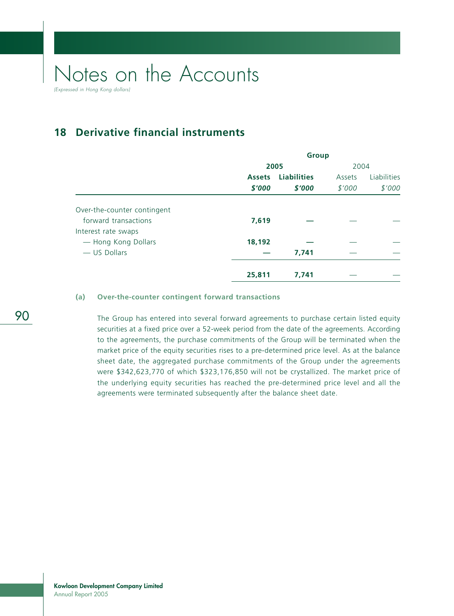**18 Derivative financial instruments**

|                             | <b>Group</b>  |                    |        |             |  |  |
|-----------------------------|---------------|--------------------|--------|-------------|--|--|
|                             | 2005          | 2004               |        |             |  |  |
|                             | <b>Assets</b> | <b>Liabilities</b> | Assets | Liabilities |  |  |
|                             | \$'000        | \$'000             | \$'000 | \$'000      |  |  |
| Over-the-counter contingent |               |                    |        |             |  |  |
| forward transactions        | 7,619         |                    |        |             |  |  |
| Interest rate swaps         |               |                    |        |             |  |  |
| - Hong Kong Dollars         | 18,192        |                    |        |             |  |  |
| - US Dollars                |               | 7,741              |        |             |  |  |
|                             | 25,811        | 7,741              |        |             |  |  |

#### **(a) Over-the-counter contingent forward transactions**

The Group has entered into several forward agreements to purchase certain listed equity securities at a fixed price over a 52-week period from the date of the agreements. According to the agreements, the purchase commitments of the Group will be terminated when the market price of the equity securities rises to a pre-determined price level. As at the balance sheet date, the aggregated purchase commitments of the Group under the agreements were \$342,623,770 of which \$323,176,850 will not be crystallized. The market price of the underlying equity securities has reached the pre-determined price level and all the agreements were terminated subsequently after the balance sheet date.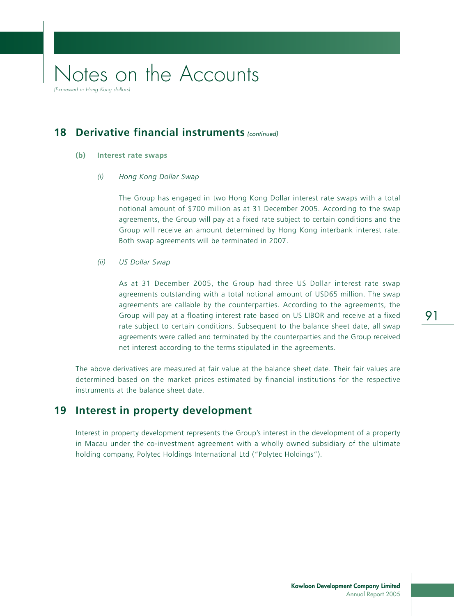### **18 Derivative financial instruments** (continued)

- **(b) Interest rate swaps**
	- *(i) Hong Kong Dollar Swap*

The Group has engaged in two Hong Kong Dollar interest rate swaps with a total notional amount of \$700 million as at 31 December 2005. According to the swap agreements, the Group will pay at a fixed rate subject to certain conditions and the Group will receive an amount determined by Hong Kong interbank interest rate. Both swap agreements will be terminated in 2007.

*(ii) US Dollar Swap*

As at 31 December 2005, the Group had three US Dollar interest rate swap agreements outstanding with a total notional amount of USD65 million. The swap agreements are callable by the counterparties. According to the agreements, the Group will pay at a floating interest rate based on US LIBOR and receive at a fixed rate subject to certain conditions. Subsequent to the balance sheet date, all swap agreements were called and terminated by the counterparties and the Group received net interest according to the terms stipulated in the agreements.

The above derivatives are measured at fair value at the balance sheet date. Their fair values are determined based on the market prices estimated by financial institutions for the respective instruments at the balance sheet date.

### **19 Interest in property development**

Interest in property development represents the Group's interest in the development of a property in Macau under the co-investment agreement with a wholly owned subsidiary of the ultimate holding company, Polytec Holdings International Ltd ("Polytec Holdings").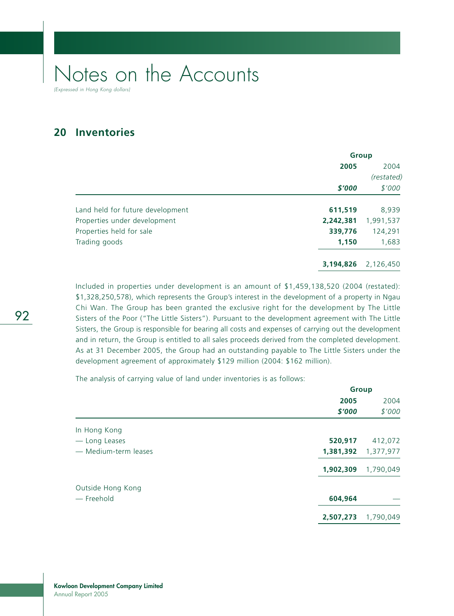**20 Inventories**

|                                  |           | <b>Group</b> |
|----------------------------------|-----------|--------------|
|                                  | 2005      | 2004         |
|                                  |           | (restated)   |
|                                  | \$'000    | \$'000       |
| Land held for future development | 611,519   | 8,939        |
| Properties under development     | 2,242,381 | 1,991,537    |
| Properties held for sale         | 339,776   | 124,291      |
| Trading goods                    | 1,150     | 1,683        |
|                                  | 3,194,826 | 2,126,450    |

Included in properties under development is an amount of \$1,459,138,520 (2004 (restated): \$1,328,250,578), which represents the Group's interest in the development of a property in Ngau Chi Wan. The Group has been granted the exclusive right for the development by The Little Sisters of the Poor ("The Little Sisters"). Pursuant to the development agreement with The Little Sisters, the Group is responsible for bearing all costs and expenses of carrying out the development and in return, the Group is entitled to all sales proceeds derived from the completed development. As at 31 December 2005, the Group had an outstanding payable to The Little Sisters under the development agreement of approximately \$129 million (2004: \$162 million).

The analysis of carrying value of land under inventories is as follows:

|                      | Group     |           |  |
|----------------------|-----------|-----------|--|
|                      | 2005      | 2004      |  |
|                      | \$'000    | \$'000    |  |
| In Hong Kong         |           |           |  |
| - Long Leases        | 520,917   | 412,072   |  |
| - Medium-term leases | 1,381,392 | 1,377,977 |  |
|                      | 1,902,309 | 1,790,049 |  |
| Outside Hong Kong    |           |           |  |
| — Freehold           | 604,964   |           |  |
|                      | 2,507,273 | 1,790,049 |  |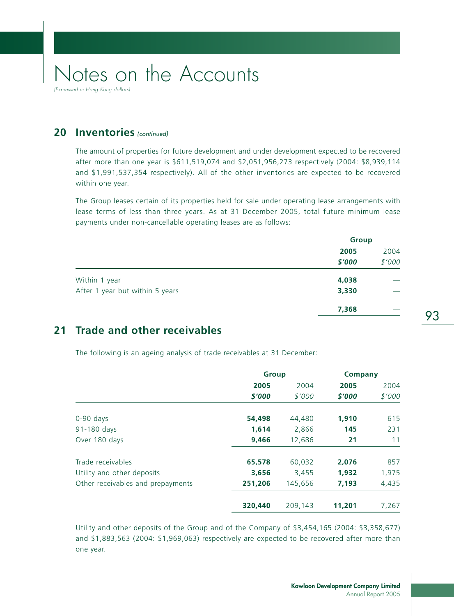(Expressed in Hong Kong dollars)

### 20 Inventories (continued)

The amount of properties for future development and under development expected to be recovered after more than one year is \$611,519,074 and \$2,051,956,273 respectively (2004: \$8,939,114 and \$1,991,537,354 respectively). All of the other inventories are expected to be recovered within one year.

The Group leases certain of its properties held for sale under operating lease arrangements with lease terms of less than three years. As at 31 December 2005, total future minimum lease payments under non-cancellable operating leases are as follows:

|                                 | <b>Group</b>   |                |  |
|---------------------------------|----------------|----------------|--|
|                                 | 2005<br>\$'000 | 2004<br>\$'000 |  |
| Within 1 year                   | 4,038          |                |  |
| After 1 year but within 5 years | 3,330          |                |  |
|                                 | 7,368          |                |  |

### **21 Trade and other receivables**

The following is an ageing analysis of trade receivables at 31 December:

|                                   |         | <b>Group</b> |        | <b>Company</b> |
|-----------------------------------|---------|--------------|--------|----------------|
|                                   | 2005    | 2004         | 2005   | 2004           |
|                                   | \$'000  | \$'000       | \$'000 | \$'000         |
| $0-90$ days                       | 54,498  | 44,480       | 1,910  | 615            |
| 91-180 days                       | 1,614   | 2,866        | 145    | 231            |
| Over 180 days                     | 9,466   | 12,686       | 21     | 11             |
| Trade receivables                 | 65,578  | 60,032       | 2,076  | 857            |
| Utility and other deposits        | 3,656   | 3,455        | 1,932  | 1,975          |
| Other receivables and prepayments | 251,206 | 145,656      | 7,193  | 4,435          |
|                                   | 320,440 | 209,143      | 11,201 | 7,267          |
|                                   |         |              |        |                |

Utility and other deposits of the Group and of the Company of \$3,454,165 (2004: \$3,358,677) and \$1,883,563 (2004: \$1,969,063) respectively are expected to be recovered after more than one year.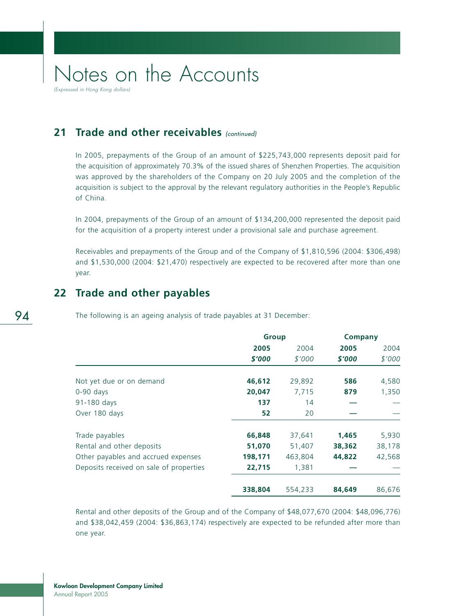(Expressed in Hong Kong dollars)

### **21 Trade and other receivables** (continued)

In 2005, prepayments of the Group of an amount of \$225,743,000 represents deposit paid for the acquisition of approximately 70.3% of the issued shares of Shenzhen Properties. The acquisition was approved by the shareholders of the Company on 20 July 2005 and the completion of the acquisition is subject to the approval by the relevant regulatory authorities in the People's Republic of China.

In 2004, prepayments of the Group of an amount of \$134,200,000 represented the deposit paid for the acquisition of a property interest under a provisional sale and purchase agreement.

Receivables and prepayments of the Group and of the Company of \$1,810,596 (2004: \$306,498) and \$1,530,000 (2004: \$21,470) respectively are expected to be recovered after more than one year.

### **22 Trade and other payables**

The following is an ageing analysis of trade payables at 31 December:

|                                         | <b>Group</b> |         | <b>Company</b> |        |
|-----------------------------------------|--------------|---------|----------------|--------|
|                                         | 2005         | 2004    | 2005           | 2004   |
|                                         | \$'000       | \$'000  | \$'000         | \$'000 |
| Not yet due or on demand                | 46,612       | 29,892  | 586            | 4,580  |
| $0-90$ days                             | 20,047       | 7,715   | 879            | 1,350  |
| 91-180 days                             | 137          | 14      |                |        |
| Over 180 days                           | 52           | 20      |                |        |
| Trade payables                          | 66,848       | 37,641  | 1,465          | 5,930  |
| Rental and other deposits               | 51,070       | 51,407  | 38,362         | 38,178 |
| Other payables and accrued expenses     | 198,171      | 463,804 | 44,822         | 42,568 |
| Deposits received on sale of properties | 22,715       | 1,381   |                |        |
|                                         | 338,804      | 554,233 | 84,649         | 86,676 |

Rental and other deposits of the Group and of the Company of \$48,077,670 (2004: \$48,096,776) and \$38,042,459 (2004: \$36,863,174) respectively are expected to be refunded after more than one year.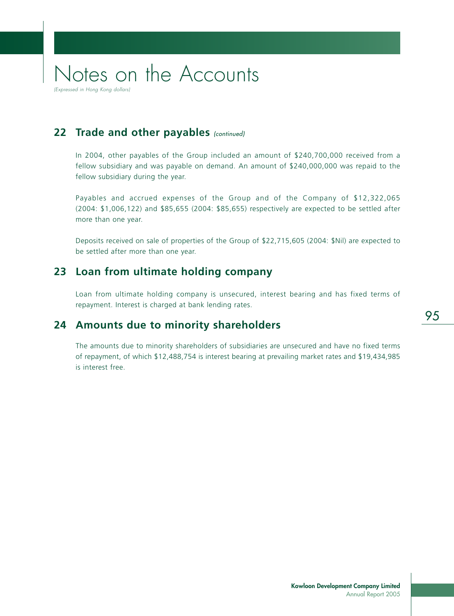22 Trade and other payables (continued)

In 2004, other payables of the Group included an amount of \$240,700,000 received from a fellow subsidiary and was payable on demand. An amount of \$240,000,000 was repaid to the fellow subsidiary during the year.

Payables and accrued expenses of the Group and of the Company of \$12,322,065 (2004: \$1,006,122) and \$85,655 (2004: \$85,655) respectively are expected to be settled after more than one year.

Deposits received on sale of properties of the Group of \$22,715,605 (2004: \$Nil) are expected to be settled after more than one year.

### **23 Loan from ultimate holding company**

Loan from ultimate holding company is unsecured, interest bearing and has fixed terms of repayment. Interest is charged at bank lending rates.

### **24 Amounts due to minority shareholders**

The amounts due to minority shareholders of subsidiaries are unsecured and have no fixed terms of repayment, of which \$12,488,754 is interest bearing at prevailing market rates and \$19,434,985 is interest free.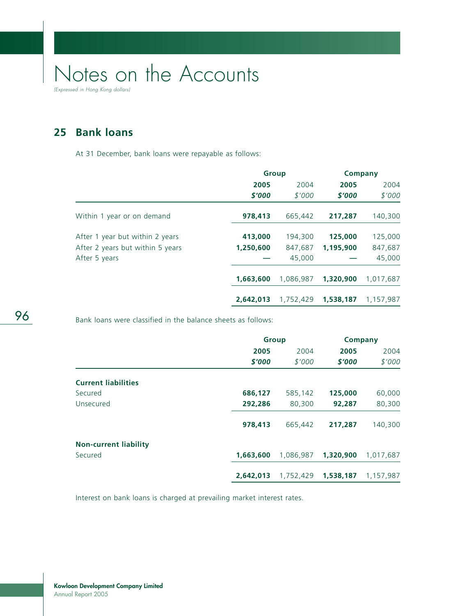**25 Bank loans**

At 31 December, bank loans were repayable as follows:

|                                  |           | <b>Group</b> |           | Company   |
|----------------------------------|-----------|--------------|-----------|-----------|
|                                  | 2005      | 2004         | 2005      | 2004      |
|                                  | \$'000    | \$'000       | \$'000    | \$'000    |
| Within 1 year or on demand       | 978,413   | 665,442      | 217,287   | 140,300   |
| After 1 year but within 2 years  | 413,000   | 194,300      | 125,000   | 125,000   |
| After 2 years but within 5 years | 1,250,600 | 847,687      | 1.195.900 | 847,687   |
| After 5 years                    |           | 45,000       |           | 45,000    |
|                                  | 1,663,600 | 1,086,987    | 1,320,900 | 1,017,687 |
|                                  | 2,642,013 | 1,752,429    | 1,538,187 | 1,157,987 |

Bank loans were classified in the balance sheets as follows:

|                              |           | <b>Group</b> |           | Company   |
|------------------------------|-----------|--------------|-----------|-----------|
|                              | 2005      | 2004         | 2005      | 2004      |
|                              | \$'000    | \$'000       | \$'000    | \$'000    |
| <b>Current liabilities</b>   |           |              |           |           |
| Secured                      | 686,127   | 585,142      | 125,000   | 60,000    |
| Unsecured                    | 292,286   | 80,300       | 92,287    | 80,300    |
|                              | 978,413   | 665,442      | 217,287   | 140,300   |
| <b>Non-current liability</b> |           |              |           |           |
| Secured                      | 1,663,600 | 1,086,987    | 1,320,900 | 1,017,687 |
|                              | 2,642,013 | 1,752,429    | 1,538,187 | 1,157,987 |

Interest on bank loans is charged at prevailing market interest rates.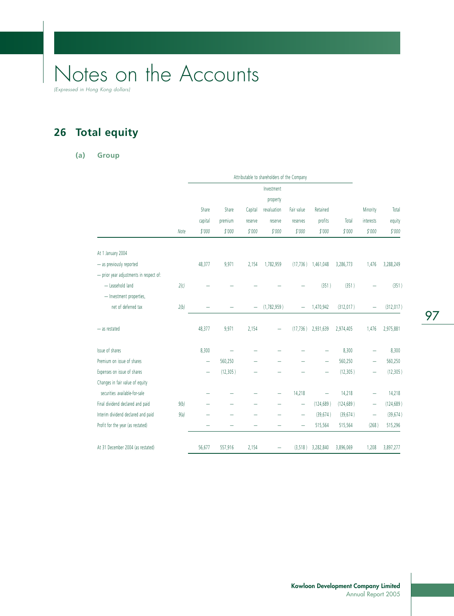**26 Total equity**

#### **(a) Group**

|                                         |      |         |           |          | Attributable to shareholders of the Company |                          |                          |            |           |            |
|-----------------------------------------|------|---------|-----------|----------|---------------------------------------------|--------------------------|--------------------------|------------|-----------|------------|
|                                         |      |         |           |          | Investment                                  |                          |                          |            |           |            |
|                                         |      |         |           |          | property                                    |                          |                          |            |           |            |
|                                         |      | Share   | Share     | Capital  | revaluation                                 | Fair value               | Retained                 |            | Minority  | Total      |
|                                         |      | capital | premium   | reserve  | reserve                                     | reserves                 | profits                  | Total      | interests | equity     |
|                                         | Note | \$'000  | \$'000    | \$'000   | \$'000                                      | \$'000                   | \$'000                   | \$'000     | \$'000    | \$'000     |
| At 1 January 2004                       |      |         |           |          |                                             |                          |                          |            |           |            |
| - as previously reported                |      | 48,377  | 9,971     | 2,154    | 1,782,959                                   | (17, 736)                | 1,461,048                | 3,286,773  | 1,476     | 3,288,249  |
| - prior year adjustments in respect of: |      |         |           |          |                                             |                          |                          |            |           |            |
| - Leasehold land                        | 2(c) |         |           |          |                                             |                          | (351)                    | (351)      |           | (351)      |
| - Investment properties,                |      |         |           |          |                                             |                          |                          |            |           |            |
| net of deferred tax                     | 2(b) |         |           | $\equiv$ | (1,782,959)                                 |                          | 1,470,942                | (312, 017) |           | (312, 017) |
| - as restated                           |      | 48,377  | 9,971     | 2,154    |                                             | (17, 736)                | 2,931,639                | 2,974,405  | 1,476     | 2,975,881  |
| Issue of shares                         |      | 8,300   |           |          |                                             |                          |                          | 8,300      |           | 8,300      |
| Premium on issue of shares              |      | -       | 560,250   |          |                                             |                          | $\overline{\phantom{0}}$ | 560,250    | -         | 560,250    |
| Expenses on issue of shares             |      |         | (12, 305) |          |                                             |                          |                          | (12, 305)  | -         | (12, 305)  |
| Changes in fair value of equity         |      |         |           |          |                                             |                          |                          |            |           |            |
| securities available-for-sale           |      |         |           |          |                                             | 14,218                   | -                        | 14,218     | -         | 14,218     |
| Final dividend declared and paid        | 9(b) |         |           |          |                                             | $\overline{\phantom{0}}$ | (124, 689)               | (124, 689) | -         | (124, 689) |
| Interim dividend declared and paid      | 9(a) |         |           |          |                                             | $\overline{\phantom{0}}$ | (39, 674)                | (39, 674)  | -         | (39, 674)  |
| Profit for the year (as restated)       |      |         |           |          |                                             | $\equiv$                 | 515,564                  | 515,564    | (268)     | 515,296    |
| At 31 December 2004 (as restated)       |      | 56,677  | 557,916   | 2,154    |                                             | (3,518)                  | 3,282,840                | 3,896,069  | 1,208     | 3,897,277  |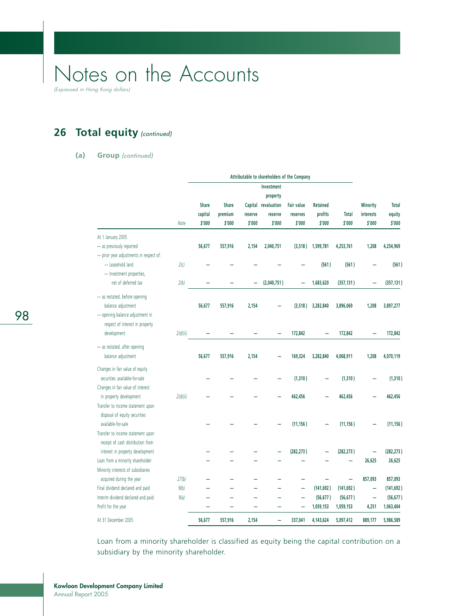(Expressed in Hong Kong dollars)

## 26 Total equity (continued)

#### **(a) Group** (continued)

|                                         |          | Attributable to shareholders of the Company |                   |                   |                        |                    |                   |                        |                          |                  |
|-----------------------------------------|----------|---------------------------------------------|-------------------|-------------------|------------------------|--------------------|-------------------|------------------------|--------------------------|------------------|
|                                         |          |                                             |                   |                   | Investment<br>property |                    |                   |                        |                          |                  |
|                                         |          | Share                                       | <b>Share</b>      |                   | Capital revaluation    | Fair value         | <b>Retained</b>   |                        | <b>Minority</b>          | <b>Total</b>     |
|                                         | Note     | capital<br>\$'000                           | premium<br>\$'000 | reserve<br>\$'000 | reserve<br>\$'000      | reserves<br>\$'000 | profits<br>\$'000 | <b>Total</b><br>\$'000 | interests<br>\$'000      | equity<br>\$'000 |
| At 1 January 2005                       |          |                                             |                   |                   |                        |                    |                   |                        |                          |                  |
| - as previously reported                |          | 56,677                                      | 557,916           | 2,154             | 2,040,751              | (3, 518)           | 1,599,781         | 4,253,761              | 1,208                    | 4,254,969        |
| - prior year adjustments in respect of: |          |                                             |                   |                   |                        |                    |                   |                        |                          |                  |
| - Leasehold land                        | 2(c)     |                                             |                   |                   |                        |                    | (561)             | (561)                  |                          | (561)            |
| - Investment properties,                |          |                                             |                   |                   |                        |                    |                   |                        |                          |                  |
| net of deferred tax                     | 2(b)     |                                             |                   |                   | (2,040,751)            | -                  | 1,683,620         | (357, 131)             | -                        | (357, 131)       |
| - as restated, before opening           |          |                                             |                   |                   |                        |                    |                   |                        |                          |                  |
| balance adjustment                      |          | 56,677                                      | 557,916           | 2,154             |                        | (3,518)            | 3,282,840         | 3,896,069              | 1,208                    | 3,897,277        |
| - opening balance adjustment in         |          |                                             |                   |                   |                        |                    |                   |                        |                          |                  |
| respect of interest in property         |          |                                             |                   |                   |                        |                    |                   |                        |                          |                  |
| development                             | 2(d)(ii) |                                             |                   |                   |                        | 172,842            |                   | 172,842                |                          | 172,842          |
| - as restated, after opening            |          |                                             |                   |                   |                        |                    |                   |                        |                          |                  |
| balance adjustment                      |          | 56,677                                      | 557,916           | 2,154             |                        | 169,324            | 3,282,840         | 4,068,911              | 1,208                    | 4,070,119        |
| Changes in fair value of equity         |          |                                             |                   |                   |                        |                    |                   |                        |                          |                  |
| securities available-for-sale           |          |                                             |                   |                   |                        | (1, 310)           | -                 | (1,310)                |                          | (1, 310)         |
| Changes in fair value of interest       |          |                                             |                   |                   |                        |                    |                   |                        |                          |                  |
| in property development                 | 2(d)(ii) |                                             |                   |                   |                        | 462,456            |                   | 462,456                |                          | 462,456          |
| Transfer to income statement upon       |          |                                             |                   |                   |                        |                    |                   |                        |                          |                  |
| disposal of equity securities           |          |                                             |                   |                   |                        |                    |                   |                        |                          |                  |
| available-for-sale                      |          |                                             |                   |                   |                        | (11, 156)          |                   | (11, 156)              |                          | (11, 156)        |
| Transfer to income statement upon       |          |                                             |                   |                   |                        |                    |                   |                        |                          |                  |
| receipt of cash distribution from       |          |                                             |                   |                   |                        |                    |                   |                        |                          |                  |
| interest in property development        |          |                                             |                   |                   |                        | (282, 273)         |                   | (282, 273)             |                          | (282, 273)       |
| Loan from a minority shareholder        |          |                                             |                   |                   |                        |                    |                   |                        | 26,625                   | 26,625           |
| Minority interests of subsidiaries      |          |                                             |                   |                   |                        |                    |                   |                        |                          |                  |
| acquired during the year                | 27(b)    |                                             |                   |                   |                        |                    |                   |                        | 857,093                  | 857,093          |
| Final dividend declared and paid        | 9(b)     |                                             |                   |                   |                        |                    | (141, 692)        | (141, 692)             | $\overline{\phantom{0}}$ | (141, 692)       |
| Interim dividend declared and paid      | 9(a)     |                                             |                   |                   |                        |                    | (56, 677)         | (56, 677)              | -                        | (56, 677)        |
| Profit for the year                     |          |                                             |                   |                   |                        |                    | 1,059,153         | 1,059,153              | 4,251                    | 1,063,404        |
| At 31 December 2005                     |          | 56,677                                      | 557,916           | 2,154             |                        | 337,041            | 4,143,624         | 5,097,412              | 889,177                  | 5,986,589        |

Loan from a minority shareholder is classified as equity being the capital contribution on a subsidiary by the minority shareholder.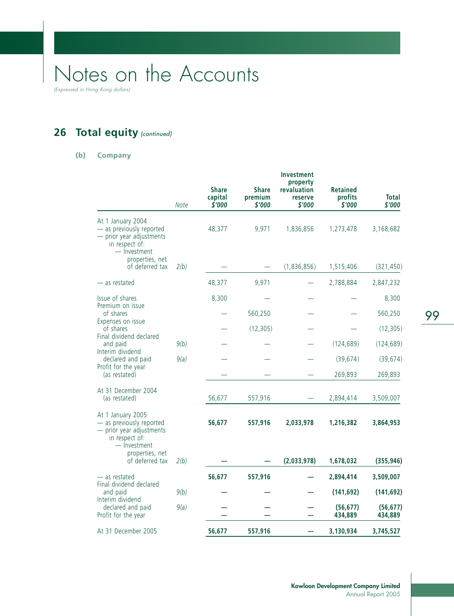(Expressed in Hong Kong dollars)

## 26 Total equity (continued)

#### **(b) Company**

|                                                                                                                                                   | Note | <b>Share</b><br>capital<br>\$'000 | <b>Share</b><br>premium<br>\$'000 | Investment<br>property<br>revaluation<br>reserve<br>\$'000 | <b>Retained</b><br>profits<br>\$'000 | Total<br>\$'000      |
|---------------------------------------------------------------------------------------------------------------------------------------------------|------|-----------------------------------|-----------------------------------|------------------------------------------------------------|--------------------------------------|----------------------|
| At 1 January 2004<br>- as previously reported<br>- prior year adjustments<br>in respect of:<br>- Investment                                       |      | 48,377                            | 9,971                             | 1,836,856                                                  | 1,273,478                            | 3,168,682            |
| properties, net<br>of deferred tax                                                                                                                | 2(b) |                                   |                                   | (1,836,856)                                                | 1,515,406                            | (321, 450)           |
| — as restated                                                                                                                                     |      | 48,377                            | 9,971                             |                                                            | 2,788,884                            | 2,847,232            |
| Issue of shares                                                                                                                                   |      | 8,300                             |                                   |                                                            |                                      | 8,300                |
| Premium on issue<br>of shares                                                                                                                     |      |                                   | 560,250                           |                                                            |                                      | 560,250              |
| Expenses on issue<br>of shares                                                                                                                    |      |                                   | (12, 305)                         |                                                            |                                      | (12, 305)            |
| Final dividend declared<br>and paid                                                                                                               | 9(b) |                                   |                                   |                                                            | (124, 689)                           | (124, 689)           |
| Interim dividend<br>declared and paid                                                                                                             | 9(a) |                                   |                                   |                                                            | (39, 674)                            | (39, 674)            |
| Profit for the year<br>(as restated)                                                                                                              |      |                                   |                                   |                                                            | 269,893                              | 269,893              |
| At 31 December 2004<br>(as restated)                                                                                                              |      | 56,677                            | 557,916                           |                                                            | 2,894,414                            | 3,509,007            |
| At 1 January 2005<br>- as previously reported<br>- prior year adjustments<br>in respect of:<br>- Investment<br>properties, net<br>of deferred tax |      | 56,677                            | 557,916                           | 2,033,978                                                  | 1,216,382                            | 3,864,953            |
|                                                                                                                                                   | 2(b) |                                   |                                   | (2,033,978)                                                | 1,678,032                            | (355, 946)           |
| — as restated                                                                                                                                     |      | 56,677                            | 557,916                           |                                                            | 2,894,414                            | 3,509,007            |
| Final dividend declared<br>and paid<br>Interim dividend<br>declared and paid<br>Profit for the year                                               | 9(b) |                                   |                                   |                                                            | (141, 692)                           | (141, 692)           |
|                                                                                                                                                   | 9(a) |                                   |                                   |                                                            | (56, 677)<br>434,889                 | (56, 677)<br>434,889 |
| At 31 December 2005                                                                                                                               |      | 56,677                            | 557,916                           |                                                            | 3,130,934                            | 3,745,527            |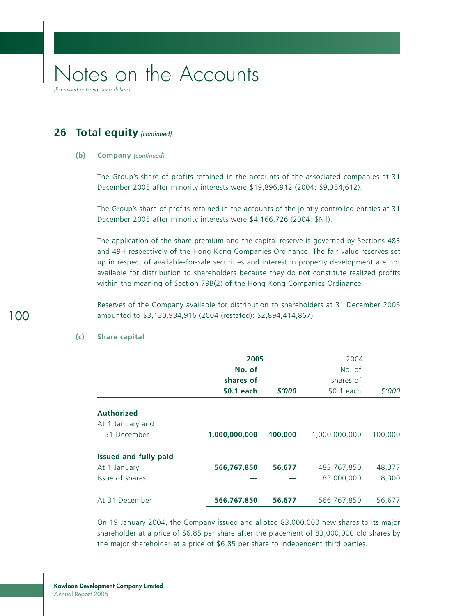## 26 Total equity (continued)

#### **(b) Company** (continued)

The Group's share of profits retained in the accounts of the associated companies at 31 December 2005 after minority interests were \$19,896,912 (2004: \$9,354,612).

The Group's share of profits retained in the accounts of the jointly controlled entities at 31 December 2005 after minority interests were \$4,166,726 (2004: \$Nil).

The application of the share premium and the capital reserve is governed by Sections 48B and 49H respectively of the Hong Kong Companies Ordinance. The fair value reserves set up in respect of available-for-sale securities and interest in property development are not available for distribution to shareholders because they do not constitute realized profits within the meaning of Section 79B(2) of the Hong Kong Companies Ordinance.

Reserves of the Company available for distribution to shareholders at 31 December 2005 amounted to \$3,130,934,916 (2004 (restated): \$2,894,414,867).

|                                       | 2005<br>No. of<br>shares of |         | 2004<br>No. of<br>shares of |         |  |
|---------------------------------------|-----------------------------|---------|-----------------------------|---------|--|
|                                       | <b>\$0.1 each</b>           | \$'000  | $$0.1$ each                 | \$'000  |  |
| <b>Authorized</b><br>At 1 January and |                             |         |                             |         |  |
| 31 December                           | 1,000,000,000               | 100,000 | 1,000,000,000               | 100,000 |  |
| <b>Issued and fully paid</b>          |                             |         |                             |         |  |
| At 1 January                          | 566,767,850                 | 56,677  | 483,767,850                 | 48,377  |  |
| Issue of shares                       |                             |         | 83,000,000                  | 8,300   |  |
| At 31 December                        | 566,767,850                 | 56,677  | 566,767,850                 | 56,677  |  |

#### **(c) Share capital**

On 19 January 2004, the Company issued and alloted 83,000,000 new shares to its major shareholder at a price of \$6.85 per share after the placement of 83,000,000 old shares by the major shareholder at a price of \$6.85 per share to independent third parties.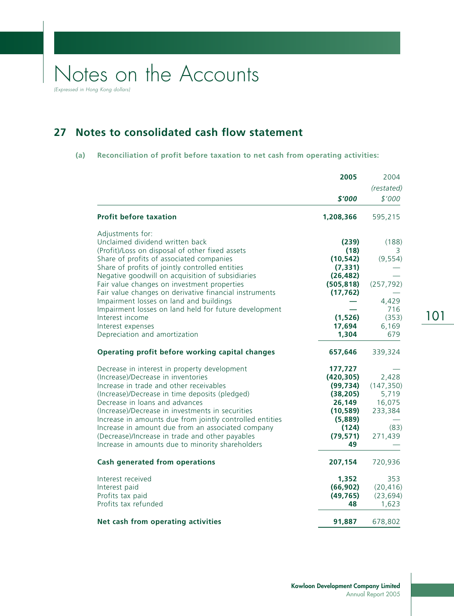**27 Notes to consolidated cash flow statement**

#### **(a) Reconciliation of profit before taxation to net cash from operating activities:**

|                                                                                                                                                                                                                                                                                                                                                                                                                                                                                                                                                 | 2005                                                                                                          | 2004<br>(restated)                                                            |
|-------------------------------------------------------------------------------------------------------------------------------------------------------------------------------------------------------------------------------------------------------------------------------------------------------------------------------------------------------------------------------------------------------------------------------------------------------------------------------------------------------------------------------------------------|---------------------------------------------------------------------------------------------------------------|-------------------------------------------------------------------------------|
|                                                                                                                                                                                                                                                                                                                                                                                                                                                                                                                                                 | \$'000                                                                                                        | \$'000                                                                        |
| <b>Profit before taxation</b>                                                                                                                                                                                                                                                                                                                                                                                                                                                                                                                   | 1,208,366                                                                                                     | 595,215                                                                       |
| Adjustments for:<br>Unclaimed dividend written back<br>(Profit)/Loss on disposal of other fixed assets<br>Share of profits of associated companies<br>Share of profits of jointly controlled entities<br>Negative goodwill on acquisition of subsidiaries<br>Fair value changes on investment properties<br>Fair value changes on derivative financial instruments<br>Impairment losses on land and buildings<br>Impairment losses on land held for future development<br>Interest income<br>Interest expenses<br>Depreciation and amortization | (239)<br>(18)<br>(10, 542)<br>(7, 331)<br>(26, 482)<br>(505, 818)<br>(17, 762)<br>(1,526)<br>17,694<br>1,304  | (188)<br>3<br>(9, 554)<br>(257, 792)<br>4,429<br>716<br>(353)<br>6,169<br>679 |
| Operating profit before working capital changes                                                                                                                                                                                                                                                                                                                                                                                                                                                                                                 | 657,646                                                                                                       | 339,324                                                                       |
| Decrease in interest in property development<br>(Increase)/Decrease in inventories<br>Increase in trade and other receivables<br>(Increase)/Decrease in time deposits (pledged)<br>Decrease in loans and advances<br>(Increase)/Decrease in investments in securities<br>Increase in amounts due from jointly controlled entities<br>Increase in amount due from an associated company<br>(Decrease)/Increase in trade and other payables<br>Increase in amounts due to minority shareholders                                                   | 177,727<br>(420, 305)<br>(99, 734)<br>(38, 205)<br>26,149<br>(10, 589)<br>(5,889)<br>(124)<br>(79, 571)<br>49 | 2,428<br>(147, 350)<br>5,719<br>16,075<br>233,384<br>(83)<br>271,439          |
| <b>Cash generated from operations</b>                                                                                                                                                                                                                                                                                                                                                                                                                                                                                                           | 207,154                                                                                                       | 720,936                                                                       |
| Interest received<br>Interest paid<br>Profits tax paid<br>Profits tax refunded                                                                                                                                                                                                                                                                                                                                                                                                                                                                  | 1,352<br>(66, 902)<br>(49, 765)<br>48                                                                         | 353<br>(20, 416)<br>(23, 694)<br>1,623                                        |
| Net cash from operating activities                                                                                                                                                                                                                                                                                                                                                                                                                                                                                                              | 91,887                                                                                                        | 678,802                                                                       |

101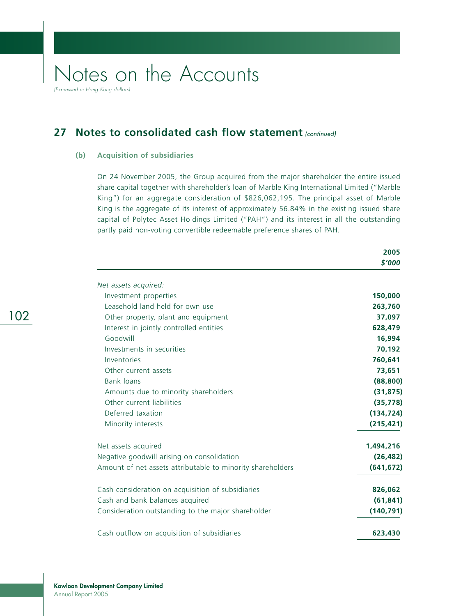(Expressed in Hong Kong dollars)

## **27 Notes to consolidated cash flow statement (continued)**

#### **(b) Acquisition of subsidiaries**

On 24 November 2005, the Group acquired from the major shareholder the entire issued share capital together with shareholder's loan of Marble King International Limited ("Marble King") for an aggregate consideration of \$826,062,195. The principal asset of Marble King is the aggregate of its interest of approximately 56.84% in the existing issued share capital of Polytec Asset Holdings Limited ("PAH") and its interest in all the outstanding partly paid non-voting convertible redeemable preference shares of PAH.

|                                                            | 2005       |
|------------------------------------------------------------|------------|
|                                                            | \$'000     |
| Net assets acquired:                                       |            |
| Investment properties                                      | 150,000    |
| Leasehold land held for own use                            | 263,760    |
| Other property, plant and equipment                        | 37,097     |
| Interest in jointly controlled entities                    | 628,479    |
| Goodwill                                                   | 16,994     |
| Investments in securities                                  | 70,192     |
| Inventories                                                | 760,641    |
| Other current assets                                       | 73,651     |
| Bank loans                                                 | (88, 800)  |
| Amounts due to minority shareholders                       | (31, 875)  |
| Other current liabilities                                  | (35, 778)  |
| Deferred taxation                                          | (134, 724) |
| Minority interests                                         | (215, 421) |
| Net assets acquired                                        | 1,494,216  |
| Negative goodwill arising on consolidation                 | (26, 482)  |
| Amount of net assets attributable to minority shareholders | (641, 672) |
| Cash consideration on acquisition of subsidiaries          | 826,062    |
| Cash and bank balances acquired                            | (61, 841)  |
| Consideration outstanding to the major shareholder         | (140, 791) |
| Cash outflow on acquisition of subsidiaries                | 623,430    |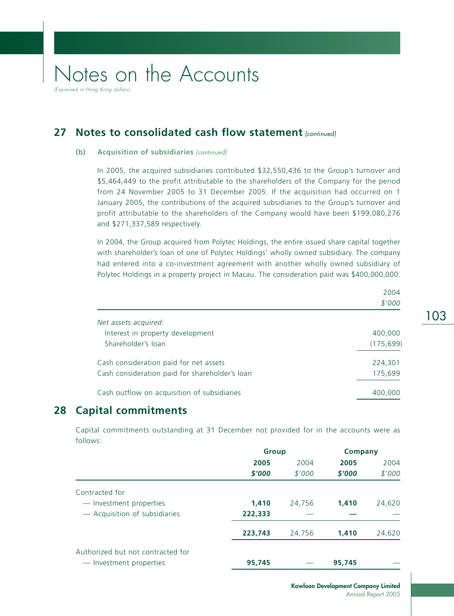(Expressed in Hong Kong dollars)

### **27 Notes to consolidated cash flow statement (continued)**

#### **(b)** Acquisition of subsidiaries (continued)

In 2005, the acquired subsidiaries contributed \$32,550,436 to the Group's turnover and \$5,464,449 to the profit attributable to the shareholders of the Company for the period from 24 November 2005 to 31 December 2005. If the acquisition had occurred on 1 January 2005, the contributions of the acquired subsidiaries to the Group's turnover and profit attributable to the shareholders of the Company would have been \$199,080,276 and \$271,337,589 respectively.

In 2004, the Group acquired from Polytec Holdings, the entire issued share capital together with shareholder's loan of one of Polytec Holdings' wholly owned subsidiary. The company had entered into a co-investment agreement with another wholly owned subsidiary of Polytec Holdings in a property project in Macau. The consideration paid was \$400,000,000.

|                                                | \$'000     |
|------------------------------------------------|------------|
| Net assets acquired:                           |            |
| Interest in property development               | 400,000    |
| Shareholder's loan                             | (175, 699) |
| Cash consideration paid for net assets         | 224,301    |
| Cash consideration paid for shareholder's loan | 175,699    |
| Cash outflow on acquisition of subsidiaries    | 400,000    |

## **28 Capital commitments**

Capital commitments outstanding at 31 December not provided for in the accounts were as follows:

|                                   | <b>Group</b> |        | <b>Company</b> |        |
|-----------------------------------|--------------|--------|----------------|--------|
|                                   | 2005         | 2004   | 2005           | 2004   |
|                                   | \$'000       | \$'000 | \$'000         | \$'000 |
| Contracted for                    |              |        |                |        |
| - Investment properties           | 1,410        | 24,756 | 1,410          | 24,620 |
| - Acquisition of subsidiaries     | 222,333      |        |                |        |
|                                   | 223,743      | 24,756 | 1,410          | 24,620 |
| Authorized but not contracted for |              |        |                |        |
| - Investment properties           | 95,745       |        | 95,745         |        |

103

2004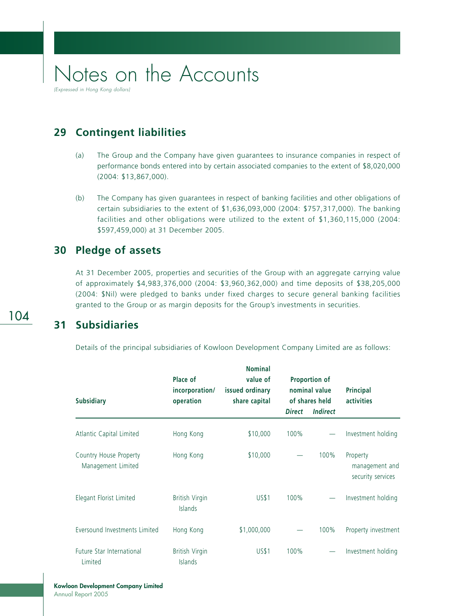**29 Contingent liabilities**

- (a) The Group and the Company have given guarantees to insurance companies in respect of performance bonds entered into by certain associated companies to the extent of \$8,020,000 (2004: \$13,867,000).
- (b) The Company has given guarantees in respect of banking facilities and other obligations of certain subsidiaries to the extent of \$1,636,093,000 (2004: \$757,317,000). The banking facilities and other obligations were utilized to the extent of \$1,360,115,000 (2004: \$597,459,000) at 31 December 2005.

### **30 Pledge of assets**

At 31 December 2005, properties and securities of the Group with an aggregate carrying value of approximately \$4,983,376,000 (2004: \$3,960,362,000) and time deposits of \$38,205,000 (2004: \$Nil) were pledged to banks under fixed charges to secure general banking facilities granted to the Group or as margin deposits for the Group's investments in securities.

### **31 Subsidiaries**

Details of the principal subsidiaries of Kowloon Development Company Limited are as follows:

| <b>Subsidiary</b>                            | Place of<br>incorporation/<br>operation | <b>Nominal</b><br>value of<br>issued ordinary<br>share capital | Proportion of<br>nominal value<br>of shares held |                 | <b>Principal</b><br>activities                  |  |
|----------------------------------------------|-----------------------------------------|----------------------------------------------------------------|--------------------------------------------------|-----------------|-------------------------------------------------|--|
|                                              |                                         |                                                                | <b>Direct</b>                                    | <b>Indirect</b> |                                                 |  |
| Atlantic Capital Limited                     | Hong Kong                               | \$10,000                                                       | 100%                                             |                 | Investment holding                              |  |
| Country House Property<br>Management Limited | Hong Kong                               | \$10,000                                                       |                                                  | 100%            | Property<br>management and<br>security services |  |
| Elegant Florist Limited                      | <b>British Virgin</b><br><b>Islands</b> | <b>US\$1</b>                                                   | 100%                                             |                 | Investment holding                              |  |
| Eversound Investments Limited                | Hong Kong                               | \$1,000,000                                                    |                                                  | 100%            | Property investment                             |  |
| Future Star International<br>Limited         | <b>British Virgin</b><br><b>Islands</b> | <b>US\$1</b>                                                   | 100%                                             |                 | Investment holding                              |  |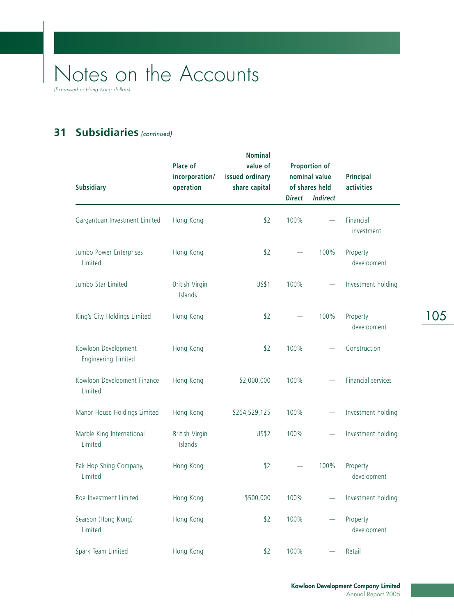(Expressed in Hong Kong dollars)

## **31 Subsidiaries** (continued)

| <b>Subsidiary</b>                          | Place of<br>incorporation/<br>operation | <b>Nominal</b><br>value of<br>issued ordinary<br>share capital |                          | Proportion of<br>nominal value<br>of shares held | <b>Principal</b><br>activities |  |
|--------------------------------------------|-----------------------------------------|----------------------------------------------------------------|--------------------------|--------------------------------------------------|--------------------------------|--|
|                                            |                                         |                                                                | <b>Direct</b>            | <b>Indirect</b>                                  |                                |  |
| Gargantuan Investment Limited              | Hong Kong                               | \$2                                                            | 100%                     |                                                  | Financial<br>investment        |  |
| Jumbo Power Enterprises<br>Limited         | Hong Kong                               | \$2                                                            |                          | 100%                                             | Property<br>development        |  |
| Jumbo Star Limited                         | <b>British Virgin</b><br>Islands        | <b>US\$1</b>                                                   | 100%                     |                                                  | Investment holding             |  |
| King's City Holdings Limited               | Hong Kong                               | \$2                                                            |                          | 100%                                             | Property<br>development        |  |
| Kowloon Development<br>Engineering Limited | Hong Kong                               | \$2                                                            | 100%                     |                                                  | Construction                   |  |
| Kowloon Development Finance<br>Limited     | Hong Kong                               | \$2,000,000                                                    | 100%                     |                                                  | Financial services             |  |
| Manor House Holdings Limited               | Hong Kong                               | \$264,529,125                                                  | 100%                     |                                                  | Investment holding             |  |
| Marble King International<br>Limited       | <b>British Virgin</b><br>Islands        | <b>US\$2</b>                                                   | 100%                     |                                                  | Investment holding             |  |
| Pak Hop Shing Company,<br>Limited          | Hong Kong                               | \$2                                                            | $\overline{\phantom{0}}$ | 100%                                             | Property<br>development        |  |
| Roe Investment Limited                     | Hong Kong                               | \$500,000                                                      | 100%                     |                                                  | Investment holding             |  |
| Searson (Hong Kong)<br>Limited             | Hong Kong                               | \$2                                                            | 100%                     |                                                  | Property<br>development        |  |
| Spark Team Limited                         | Hong Kong                               | \$2                                                            | 100%                     |                                                  | Retail                         |  |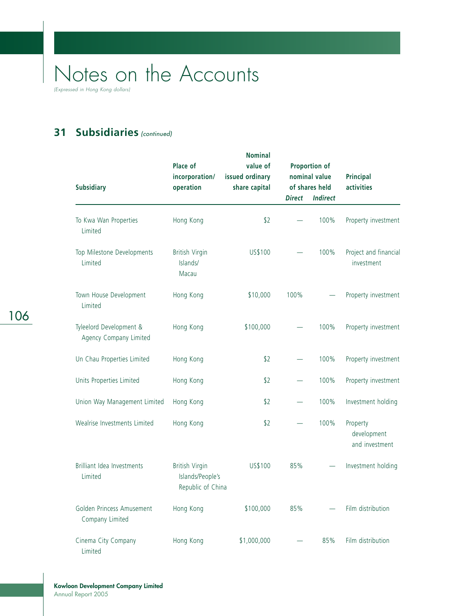(Expressed in Hong Kong dollars)

## **31 Subsidiaries** (continued)

| <b>Subsidiary</b>                                 | Place of<br>incorporation/<br>operation                        | <b>Nominal</b><br>value of<br>issued ordinary<br>share capital |               | Proportion of<br>nominal value<br>of shares held | <b>Principal</b><br>activities            |  |
|---------------------------------------------------|----------------------------------------------------------------|----------------------------------------------------------------|---------------|--------------------------------------------------|-------------------------------------------|--|
|                                                   |                                                                |                                                                | <b>Direct</b> | <b>Indirect</b>                                  |                                           |  |
| To Kwa Wan Properties<br>Limited                  | Hong Kong                                                      | \$2                                                            |               | 100%                                             | Property investment                       |  |
| Top Milestone Developments<br>Limited             | <b>British Virgin</b><br>Islands/<br>Macau                     | US\$100                                                        |               | 100%                                             | Project and financial<br>investment       |  |
| Town House Development<br>Limited                 | Hong Kong                                                      | \$10,000                                                       | 100%          |                                                  | Property investment                       |  |
| Tyleelord Development &<br>Agency Company Limited | Hong Kong                                                      | \$100,000                                                      |               | 100%                                             | Property investment                       |  |
| Un Chau Properties Limited                        | Hong Kong                                                      | \$2                                                            |               | 100%                                             | Property investment                       |  |
| Units Properties Limited                          | Hong Kong                                                      | \$2                                                            |               | 100%                                             | Property investment                       |  |
| Union Way Management Limited                      | Hong Kong                                                      | \$2                                                            |               | 100%                                             | Investment holding                        |  |
| Wealrise Investments Limited                      | Hong Kong                                                      | \$2                                                            |               | 100%                                             | Property<br>development<br>and investment |  |
| Brilliant Idea Investments<br>Limited             | <b>British Virgin</b><br>Islands/People's<br>Republic of China | US\$100                                                        | 85%           |                                                  | Investment holding                        |  |
| Golden Princess Amusement<br>Company Limited      | Hong Kong                                                      | \$100,000                                                      | 85%           |                                                  | Film distribution                         |  |
| Cinema City Company<br>Limited                    | Hong Kong                                                      | \$1,000,000                                                    |               | 85%                                              | Film distribution                         |  |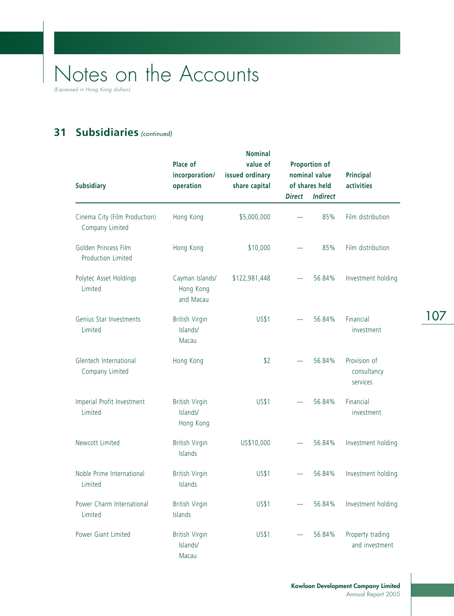(Expressed in Hong Kong dollars)

## **31 Subsidiaries** (continued)

| <b>Subsidiary</b>                                | Place of<br>incorporation/<br>operation        | <b>Nominal</b><br>value of<br>issued ordinary<br>share capital | Proportion of<br>nominal value<br>of shares held |                 | <b>Principal</b><br>activities          |  |
|--------------------------------------------------|------------------------------------------------|----------------------------------------------------------------|--------------------------------------------------|-----------------|-----------------------------------------|--|
|                                                  |                                                |                                                                | <b>Direct</b>                                    | <b>Indirect</b> |                                         |  |
| Cinema City (Film Production)<br>Company Limited | Hong Kong                                      | \$5,000,000                                                    |                                                  | 85%             | Film distribution                       |  |
| Golden Princess Film<br>Production Limited       | Hong Kong                                      | \$10,000                                                       |                                                  | 85%             | Film distribution                       |  |
| Polytec Asset Holdings<br>Limited                | Cayman Islands/<br>Hong Kong<br>and Macau      | \$122,981,448                                                  |                                                  | 56.84%          | Investment holding                      |  |
| Genius Star Investments<br>Limited               | <b>British Virgin</b><br>Islands/<br>Macau     | <b>US\$1</b>                                                   | $\equiv$                                         | 56.84%          | Financial<br>investment                 |  |
| Glentech International<br>Company Limited        | Hong Kong                                      | \$2                                                            |                                                  | 56.84%          | Provision of<br>consultancy<br>services |  |
| Imperial Profit Investment<br>Limited            | <b>British Virgin</b><br>Islands/<br>Hong Kong | <b>US\$1</b>                                                   | $\equiv$                                         | 56.84%          | Financial<br>investment                 |  |
| Newcott Limited                                  | <b>British Virgin</b><br>Islands               | US\$10,000                                                     |                                                  | 56.84%          | Investment holding                      |  |
| Noble Prime International<br>Limited             | <b>British Virgin</b><br>Islands               | <b>US\$1</b>                                                   |                                                  | 56.84%          | Investment holding                      |  |
| Power Charm International<br>Limited             | <b>British Virgin</b><br>Islands               | <b>US\$1</b>                                                   |                                                  | 56.84%          | Investment holding                      |  |
| Power Giant Limited                              | <b>British Virgin</b><br>Islands/<br>Macau     | <b>US\$1</b>                                                   |                                                  | 56.84%          | Property trading<br>and investment      |  |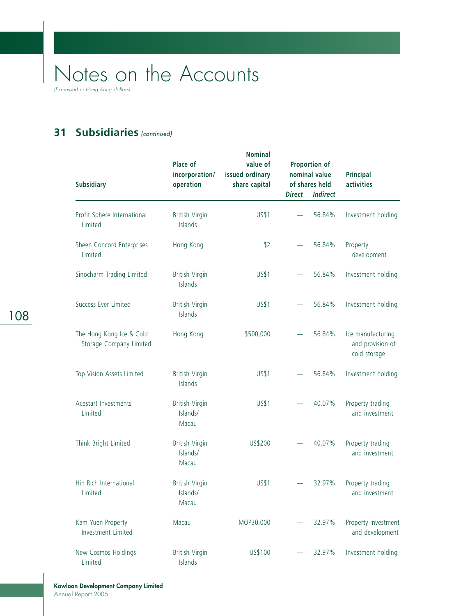(Expressed in Hong Kong dollars)

## **31 Subsidiaries** (continued)

| <b>Subsidiary</b>                                   | Place of<br>incorporation/<br>operation    | <b>Nominal</b><br>value of<br>issued ordinary<br>share capital |               | Proportion of<br>nominal value<br>of shares held | <b>Principal</b><br>activities                        |  |
|-----------------------------------------------------|--------------------------------------------|----------------------------------------------------------------|---------------|--------------------------------------------------|-------------------------------------------------------|--|
|                                                     |                                            |                                                                | <b>Direct</b> | <b>Indirect</b>                                  |                                                       |  |
| Profit Sphere International<br>Limited              | <b>British Virgin</b><br>Islands           | <b>US\$1</b>                                                   |               | 56.84%                                           | Investment holding                                    |  |
| Sheen Concord Enterprises<br>Limited                | Hong Kong                                  | \$2                                                            |               | 56.84%                                           | Property<br>development                               |  |
| Sinocharm Trading Limited                           | <b>British Virgin</b><br>Islands           | <b>US\$1</b>                                                   |               | 56.84%                                           | Investment holding                                    |  |
| Success Ever Limited                                | <b>British Virgin</b><br>Islands           | <b>US\$1</b>                                                   |               | 56.84%                                           | Investment holding                                    |  |
| The Hong Kong Ice & Cold<br>Storage Company Limited | Hong Kong                                  | \$500,000                                                      |               | 56.84%                                           | Ice manufacturing<br>and provision of<br>cold storage |  |
| Top Vision Assets Limited                           | <b>British Virgin</b><br>Islands           | <b>US\$1</b>                                                   |               | 56.84%                                           | Investment holding                                    |  |
| Acestart Investments<br>Limited                     | <b>British Virgin</b><br>Islands/<br>Macau | <b>US\$1</b>                                                   |               | 40.07%                                           | Property trading<br>and investment                    |  |
| Think Bright Limited                                | <b>British Virgin</b><br>Islands/<br>Macau | US\$200                                                        |               | 40.07%                                           | Property trading<br>and investment                    |  |
| Hin Rich International<br>Limited                   | <b>British Virgin</b><br>Islands/<br>Macau | <b>US\$1</b>                                                   |               | 32.97%                                           | Property trading<br>and investment                    |  |
| Kam Yuen Property<br>Investment Limited             | Macau                                      | MOP30,000                                                      |               | 32.97%                                           | Property investment<br>and development                |  |
| New Cosmos Holdings<br>Limited                      | <b>British Virgin</b><br>Islands           | US\$100                                                        |               | 32.97%                                           | Investment holding                                    |  |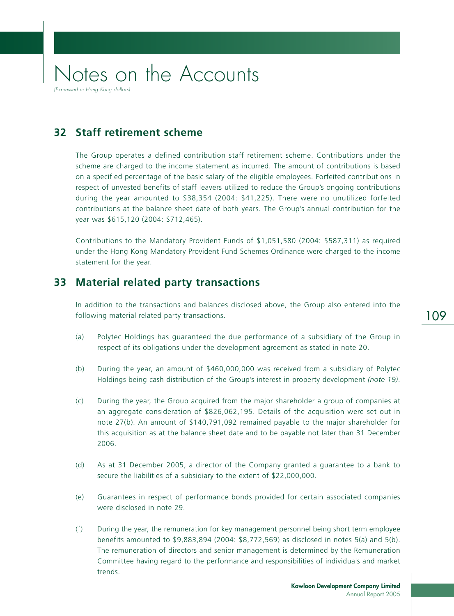## Notes on the Accounts (Expressed in Hong Kong dollar

### **32 Staff retirement scheme**

The Group operates a defined contribution staff retirement scheme. Contributions under the scheme are charged to the income statement as incurred. The amount of contributions is based on a specified percentage of the basic salary of the eligible employees. Forfeited contributions in respect of unvested benefits of staff leavers utilized to reduce the Group's ongoing contributions during the year amounted to \$38,354 (2004: \$41,225). There were no unutilized forfeited contributions at the balance sheet date of both years. The Group's annual contribution for the year was \$615,120 (2004: \$712,465).

Contributions to the Mandatory Provident Funds of \$1,051,580 (2004: \$587,311) as required under the Hong Kong Mandatory Provident Fund Schemes Ordinance were charged to the income statement for the year.

#### **33 Material related party transactions**

In addition to the transactions and balances disclosed above, the Group also entered into the following material related party transactions.

- (a) Polytec Holdings has guaranteed the due performance of a subsidiary of the Group in respect of its obligations under the development agreement as stated in note 20.
- (b) During the year, an amount of \$460,000,000 was received from a subsidiary of Polytec Holdings being cash distribution of the Group's interest in property development *(note 19)*.
- (c) During the year, the Group acquired from the major shareholder a group of companies at an aggregate consideration of \$826,062,195. Details of the acquisition were set out in note 27(b). An amount of \$140,791,092 remained payable to the major shareholder for this acquisition as at the balance sheet date and to be payable not later than 31 December 2006.
- (d) As at 31 December 2005, a director of the Company granted a guarantee to a bank to secure the liabilities of a subsidiary to the extent of \$22,000,000.
- (e) Guarantees in respect of performance bonds provided for certain associated companies were disclosed in note 29.
- (f) During the year, the remuneration for key management personnel being short term employee benefits amounted to \$9,883,894 (2004: \$8,772,569) as disclosed in notes 5(a) and 5(b). The remuneration of directors and senior management is determined by the Remuneration Committee having regard to the performance and responsibilities of individuals and market trends.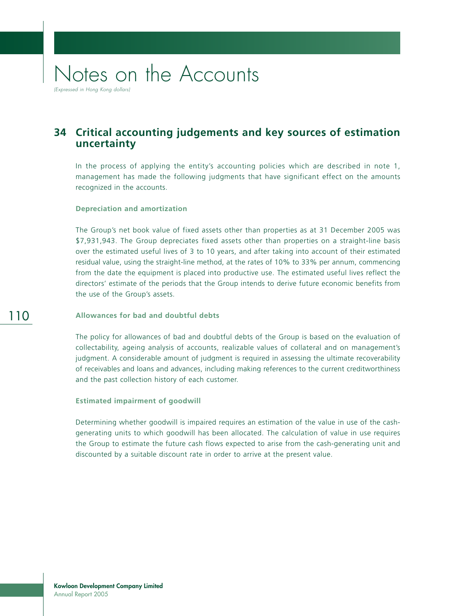(Expressed in Hong Kong dollars)

### **34 Critical accounting judgements and key sources of estimation uncertainty**

In the process of applying the entity's accounting policies which are described in note 1, management has made the following judgments that have significant effect on the amounts recognized in the accounts.

#### **Depreciation and amortization**

The Group's net book value of fixed assets other than properties as at 31 December 2005 was \$7,931,943. The Group depreciates fixed assets other than properties on a straight-line basis over the estimated useful lives of 3 to 10 years, and after taking into account of their estimated residual value, using the straight-line method, at the rates of 10% to 33% per annum, commencing from the date the equipment is placed into productive use. The estimated useful lives reflect the directors' estimate of the periods that the Group intends to derive future economic benefits from the use of the Group's assets.

#### **Allowances for bad and doubtful debts**

The policy for allowances of bad and doubtful debts of the Group is based on the evaluation of collectability, ageing analysis of accounts, realizable values of collateral and on management's judgment. A considerable amount of judgment is required in assessing the ultimate recoverability of receivables and loans and advances, including making references to the current creditworthiness and the past collection history of each customer.

#### **Estimated impairment of goodwill**

Determining whether goodwill is impaired requires an estimation of the value in use of the cashgenerating units to which goodwill has been allocated. The calculation of value in use requires the Group to estimate the future cash flows expected to arise from the cash-generating unit and discounted by a suitable discount rate in order to arrive at the present value.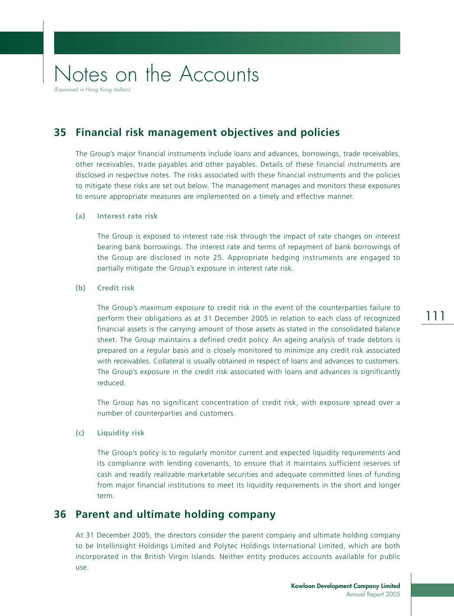(Expressed in Hong Kong dollars)

### **35 Financial risk management objectives and policies**

The Group's major financial instruments include loans and advances, borrowings, trade receivables, other receivables, trade payables and other payables. Details of these financial instruments are disclosed in respective notes. The risks associated with these financial instruments and the policies to mitigate these risks are set out below. The management manages and monitors these exposures to ensure appropriate measures are implemented on a timely and effective manner.

#### **(a) Interest rate risk**

The Group is exposed to interest rate risk through the impact of rate changes on interest bearing bank borrowings. The interest rate and terms of repayment of bank borrowings of the Group are disclosed in note 25. Appropriate hedging instruments are engaged to partially mitigate the Group's exposure in interest rate risk.

#### **(b) Credit risk**

The Group's maximum exposure to credit risk in the event of the counterparties failure to perform their obligations as at 31 December 2005 in relation to each class of recognized financial assets is the carrying amount of those assets as stated in the consolidated balance sheet. The Group maintains a defined credit policy. An ageing analysis of trade debtors is prepared on a regular basis and is closely monitored to minimize any credit risk associated with receivables. Collateral is usually obtained in respect of loans and advances to customers. The Group's exposure in the credit risk associated with loans and advances is significantly reduced.

The Group has no significant concentration of credit risk, with exposure spread over a number of counterparties and customers.

#### **(c) Liquidity risk**

The Group's policy is to regularly monitor current and expected liquidity requirements and its compliance with lending covenants, to ensure that it maintains sufficient reserves of cash and readily realizable marketable securities and adequate committed lines of funding from major financial institutions to meet its liquidity requirements in the short and longer term.

### **36 Parent and ultimate holding company**

At 31 December 2005, the directors consider the parent company and ultimate holding company to be Intellinsight Holdings Limited and Polytec Holdings International Limited, which are both incorporated in the British Virgin Islands. Neither entity produces accounts available for public use.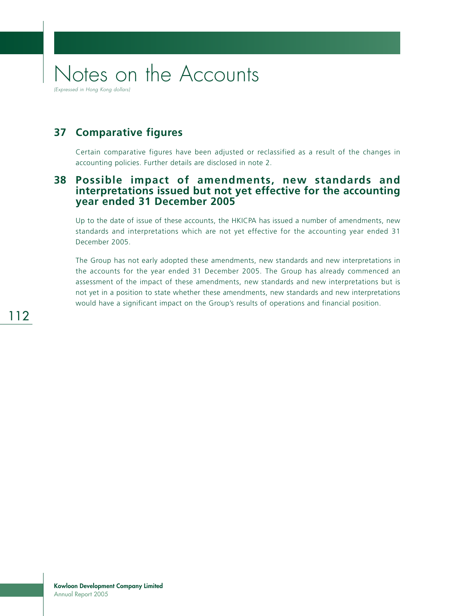# Notes on the Accounts (Expressed in Hong Kong dollars)

**37 Comparative figures**

Certain comparative figures have been adjusted or reclassified as a result of the changes in accounting policies. Further details are disclosed in note 2.

#### **38 Possible impact of amendments, new standards and interpretations issued but not yet effective for the accounting year ended 31 December 2005**

Up to the date of issue of these accounts, the HKICPA has issued a number of amendments, new standards and interpretations which are not yet effective for the accounting year ended 31 December 2005.

The Group has not early adopted these amendments, new standards and new interpretations in the accounts for the year ended 31 December 2005. The Group has already commenced an assessment of the impact of these amendments, new standards and new interpretations but is not yet in a position to state whether these amendments, new standards and new interpretations would have a significant impact on the Group's results of operations and financial position.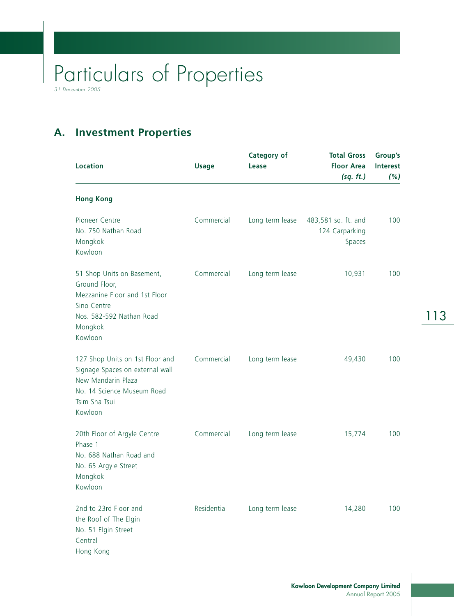## **A. Investment Properties**

| <b>Location</b>                                                                                                                                    | <b>Usage</b> | <b>Category of</b><br>Lease | <b>Total Gross</b><br><b>Floor Area</b><br>(sq. ft.) | Group's<br>Interest<br>(%) |
|----------------------------------------------------------------------------------------------------------------------------------------------------|--------------|-----------------------------|------------------------------------------------------|----------------------------|
| <b>Hong Kong</b>                                                                                                                                   |              |                             |                                                      |                            |
| Pioneer Centre<br>No. 750 Nathan Road<br>Mongkok<br>Kowloon                                                                                        | Commercial   | Long term lease             | 483,581 sq. ft. and<br>124 Carparking<br>Spaces      | 100                        |
| 51 Shop Units on Basement,<br>Ground Floor,<br>Mezzanine Floor and 1st Floor<br>Sino Centre<br>Nos. 582-592 Nathan Road<br>Mongkok<br>Kowloon      | Commercial   | Long term lease             | 10,931                                               | 100                        |
| 127 Shop Units on 1st Floor and<br>Signage Spaces on external wall<br>New Mandarin Plaza<br>No. 14 Science Museum Road<br>Tsim Sha Tsui<br>Kowloon | Commercial   | Long term lease             | 49,430                                               | 100                        |
| 20th Floor of Argyle Centre<br>Phase 1<br>No. 688 Nathan Road and<br>No. 65 Argyle Street<br>Mongkok<br>Kowloon                                    | Commercial   | Long term lease             | 15,774                                               | 100                        |
| 2nd to 23rd Floor and<br>the Roof of The Elgin<br>No. 51 Elgin Street<br>Central<br>Hong Kong                                                      | Residential  | Long term lease             | 14,280                                               | 100                        |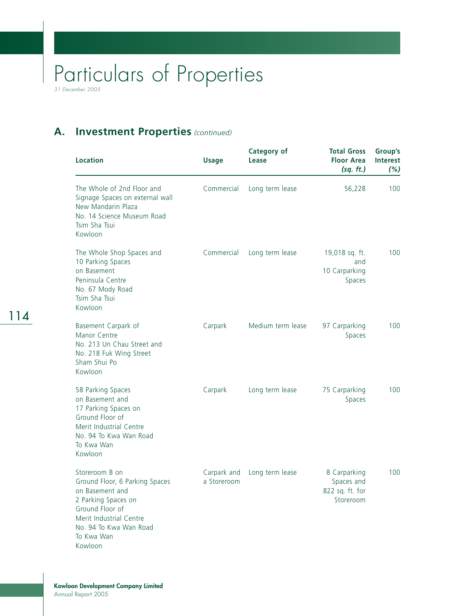### **A. Investment Properties** *(continued)*

| <b>Location</b>                                                                                                                                                                             | <b>Usage</b>               | <b>Category of</b><br>Lease | <b>Total Gross</b><br><b>Floor Area</b><br>(sq. ft.)       | Group's<br><b>Interest</b><br>(%) |
|---------------------------------------------------------------------------------------------------------------------------------------------------------------------------------------------|----------------------------|-----------------------------|------------------------------------------------------------|-----------------------------------|
| The Whole of 2nd Floor and<br>Signage Spaces on external wall<br>New Mandarin Plaza<br>No. 14 Science Museum Road<br>Tsim Sha Tsui<br>Kowloon                                               | Commercial                 | Long term lease             | 56,228                                                     | 100                               |
| The Whole Shop Spaces and<br>10 Parking Spaces<br>on Basement<br>Peninsula Centre<br>No. 67 Mody Road<br>Tsim Sha Tsui<br>Kowloon                                                           | Commercial                 | Long term lease             | 19,018 sq. ft.<br>and<br>10 Carparking<br>Spaces           | 100                               |
| Basement Carpark of<br>Manor Centre<br>No. 213 Un Chau Street and<br>No. 218 Fuk Wing Street<br>Sham Shui Po<br>Kowloon                                                                     | Carpark                    | Medium term lease           | 97 Carparking<br>Spaces                                    | 100                               |
| 58 Parking Spaces<br>on Basement and<br>17 Parking Spaces on<br>Ground Floor of<br>Merit Industrial Centre<br>No. 94 To Kwa Wan Road<br>To Kwa Wan<br>Kowloon                               | Carpark                    | Long term lease             | 75 Carparking<br>Spaces                                    | 100                               |
| Storeroom B on<br>Ground Floor, 6 Parking Spaces<br>on Basement and<br>2 Parking Spaces on<br>Ground Floor of<br>Merit Industrial Centre<br>No. 94 To Kwa Wan Road<br>To Kwa Wan<br>Kowloon | Carpark and<br>a Storeroom | Long term lease             | 8 Carparking<br>Spaces and<br>822 sq. ft. for<br>Storeroom | 100                               |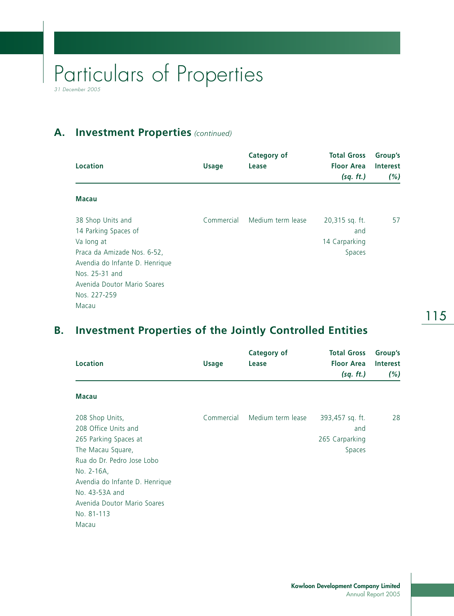### **A. Investment Properties** *(continued)*

| Location                                                                                                                                                                                           | <b>Usage</b> | Category of<br>Lease | <b>Total Gross</b><br><b>Floor Area</b><br>(sq. ft.) | Group's<br><b>Interest</b><br>(%) |
|----------------------------------------------------------------------------------------------------------------------------------------------------------------------------------------------------|--------------|----------------------|------------------------------------------------------|-----------------------------------|
| <b>Macau</b>                                                                                                                                                                                       |              |                      |                                                      |                                   |
| 38 Shop Units and<br>14 Parking Spaces of<br>Va long at<br>Praca da Amizade Nos. 6-52,<br>Avendia do Infante D. Henrique<br>Nos. 25-31 and<br>Avenida Doutor Mario Soares<br>Nos. 227-259<br>Macau | Commercial   | Medium term lease    | 20,315 sq. ft.<br>and<br>14 Carparking<br>Spaces     | 57                                |

### **B. Investment Properties of the Jointly Controlled Entities**

|                                |              | <b>Category of</b> | <b>Total Gross</b> | Group's         |
|--------------------------------|--------------|--------------------|--------------------|-----------------|
| <b>Location</b>                | <b>Usage</b> | Lease              | <b>Floor Area</b>  | <b>Interest</b> |
|                                |              |                    | (sq. ft.)          | (%)             |
| <b>Macau</b>                   |              |                    |                    |                 |
| 208 Shop Units,                | Commercial   | Medium term lease  | 393,457 sq. ft.    | 28              |
| 208 Office Units and           |              |                    | and                |                 |
| 265 Parking Spaces at          |              |                    | 265 Carparking     |                 |
| The Macau Square,              |              |                    | Spaces             |                 |
| Rua do Dr. Pedro Jose Lobo     |              |                    |                    |                 |
| No. 2-16A,                     |              |                    |                    |                 |
| Avendia do Infante D. Henrique |              |                    |                    |                 |
| No. 43-53A and                 |              |                    |                    |                 |
| Avenida Doutor Mario Soares    |              |                    |                    |                 |
| No. 81-113                     |              |                    |                    |                 |
| Macau                          |              |                    |                    |                 |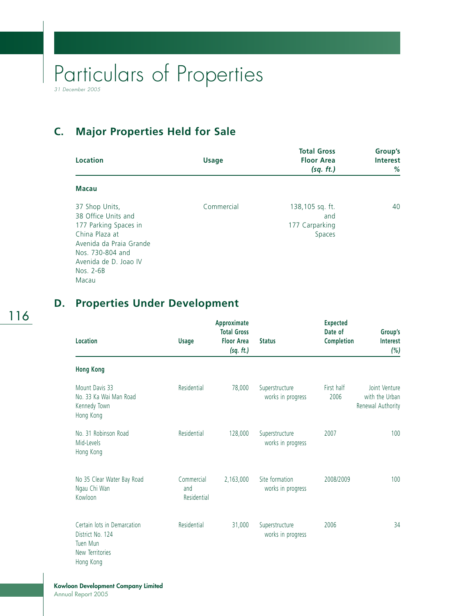## **C. Major Properties Held for Sale**

| <b>Location</b>                                                                                                                                                       | <b>Usage</b> | <b>Total Gross</b><br><b>Floor Area</b><br>(sq. ft.) | Group's<br><b>Interest</b><br>% |
|-----------------------------------------------------------------------------------------------------------------------------------------------------------------------|--------------|------------------------------------------------------|---------------------------------|
| <b>Macau</b>                                                                                                                                                          |              |                                                      |                                 |
| 37 Shop Units,<br>38 Office Units and<br>177 Parking Spaces in<br>China Plaza at<br>Avenida da Praia Grande<br>Nos. 730-804 and<br>Avenida de D. Joao IV<br>Nos. 2-6B | Commercial   | 138,105 sq. ft.<br>and<br>177 Carparking<br>Spaces   | 40                              |
| Macau                                                                                                                                                                 |              |                                                      |                                 |

## 116

### **D. Properties Under Development**

| Location                                                                                    | <b>Usage</b>                     | Approximate<br><b>Total Gross</b><br><b>Floor Area</b><br>(sq. ft.) | <b>Status</b>                       | <b>Expected</b><br>Date of<br>Completion | Group's<br><b>Interest</b><br>(%)                    |
|---------------------------------------------------------------------------------------------|----------------------------------|---------------------------------------------------------------------|-------------------------------------|------------------------------------------|------------------------------------------------------|
| <b>Hong Kong</b>                                                                            |                                  |                                                                     |                                     |                                          |                                                      |
| Mount Davis 33<br>No. 33 Ka Wai Man Road<br>Kennedy Town<br>Hong Kong                       | Residential                      | 78,000                                                              | Superstructure<br>works in progress | First half<br>2006                       | Joint Venture<br>with the Urban<br>Renewal Authority |
| No. 31 Robinson Road<br>Mid-Levels<br>Hong Kong                                             | Residential                      | 128,000                                                             | Superstructure<br>works in progress | 2007                                     | 100                                                  |
| No 35 Clear Water Bay Road<br>Ngau Chi Wan<br>Kowloon                                       | Commercial<br>and<br>Residential | 2,163,000                                                           | Site formation<br>works in progress | 2008/2009                                | 100                                                  |
| Certain lots in Demarcation<br>District No. 124<br>Tuen Mun<br>New Territories<br>Hong Kong | Residential                      | 31,000                                                              | Superstructure<br>works in progress | 2006                                     | 34                                                   |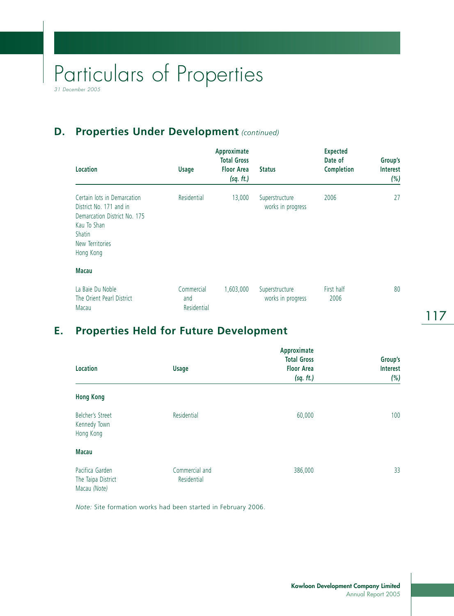## **D. Properties Under Development** *(continued)*

| Location                                                                                                                                               | <b>Usage</b>                     | Approximate<br><b>Total Gross</b><br><b>Floor Area</b><br>(sq. ft.) | <b>Status</b>                       | <b>Expected</b><br>Date of<br>Completion | Group's<br><b>Interest</b><br>(%) |
|--------------------------------------------------------------------------------------------------------------------------------------------------------|----------------------------------|---------------------------------------------------------------------|-------------------------------------|------------------------------------------|-----------------------------------|
| Certain lots in Demarcation<br>District No. 171 and in<br>Demarcation District No. 175<br>Kau To Shan<br><b>Shatin</b><br>New Territories<br>Hong Kong | Residential                      | 13,000                                                              | Superstructure<br>works in progress | 2006                                     | 27                                |
| <b>Macau</b>                                                                                                                                           |                                  |                                                                     |                                     |                                          |                                   |
| La Baie Du Noble<br>The Orient Pearl District<br>Macau                                                                                                 | Commercial<br>and<br>Residential | 1,603,000                                                           | Superstructure<br>works in progress | First half<br>2006                       | 80                                |

## **E. Properties Held for Future Development**

| Location                                              | <b>Usage</b>                  | Approximate<br><b>Total Gross</b><br><b>Floor Area</b><br>(sq. ft.) | Group's<br>Interest<br>(%) |
|-------------------------------------------------------|-------------------------------|---------------------------------------------------------------------|----------------------------|
| <b>Hong Kong</b>                                      |                               |                                                                     |                            |
| Belcher's Street<br>Kennedy Town<br>Hong Kong         | Residential                   | 60,000                                                              | 100                        |
| <b>Macau</b>                                          |                               |                                                                     |                            |
| Pacifica Garden<br>The Taipa District<br>Macau (Note) | Commercial and<br>Residential | 386,000                                                             | 33                         |

*Note:* Site formation works had been started in February 2006.